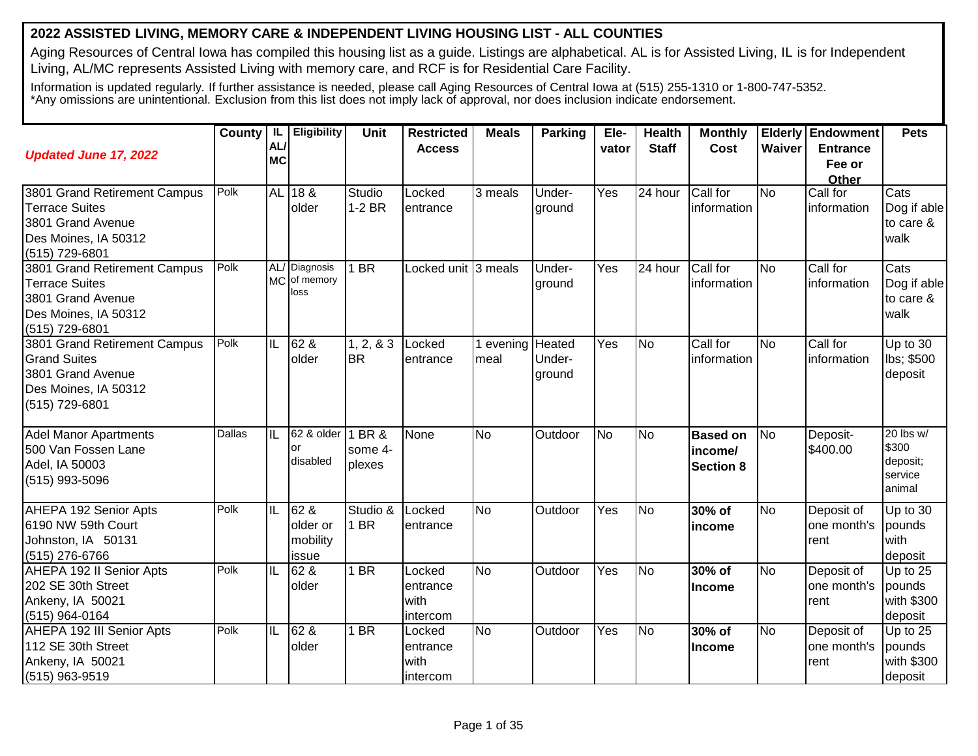## **2022 ASSISTED LIVING, MEMORY CARE & INDEPENDENT LIVING HOUSING LIST - ALL COUNTIES**

Aging Resources of Central Iowa has compiled this housing list as a guide. Listings are alphabetical. AL is for Assisted Living, IL is for Independent Living, AL/MC represents Assisted Living with memory care, and RCF is for Residential Care Facility.

Information is updated regularly. If further assistance is needed, please call Aging Resources of Central Iowa at (515) 255-1310 or 1-800-747-5352. \*Any omissions are unintentional. Exclusion from this list does not imply lack of approval, nor does inclusion indicate endorsement.

| <b>Updated June 17, 2022</b>                                                                                         | County   IL | AL<br><b>MC</b> | Eligibility                           | Unit                    | <b>Restricted</b><br><b>Access</b>     | <b>Meals</b>    | Parking                    | Ele-<br>vator    | <b>Health</b><br><b>Staff</b> | <b>Monthly</b><br>Cost                         | Waiver    | <b>Elderly Endowment</b><br><b>Entrance</b><br>Fee or<br><b>Other</b> | <b>Pets</b>                                         |
|----------------------------------------------------------------------------------------------------------------------|-------------|-----------------|---------------------------------------|-------------------------|----------------------------------------|-----------------|----------------------------|------------------|-------------------------------|------------------------------------------------|-----------|-----------------------------------------------------------------------|-----------------------------------------------------|
| 3801 Grand Retirement Campus<br><b>Terrace Suites</b><br>3801 Grand Avenue<br>Des Moines, IA 50312<br>(515) 729-6801 | Polk        | <b>AL</b>       | 18 &<br>older                         | Studio<br>$1-2$ BR      | Locked<br>entrance                     | 3 meals         | Under-<br>ground           | Yes              | 24 hour                       | Call for<br>information                        | <b>No</b> | Call for<br>information                                               | Cats<br>Dog if able<br>to care &<br>walk            |
| 3801 Grand Retirement Campus<br>Terrace Suites<br>3801 Grand Avenue<br>Des Moines, IA 50312<br>(515) 729-6801        | Polk        |                 | AL/ Diagnosis<br>MC of memory<br>loss | $1$ BR                  | Locked unit 3 meals                    |                 | Under-<br>ground           | $\overline{Yes}$ | $\overline{24}$ hour          | Call for<br>information                        | <b>No</b> | Call for<br>information                                               | Cats<br>Dog if able<br>to care &<br>walk            |
| 3801 Grand Retirement Campus<br><b>Grand Suites</b><br>3801 Grand Avenue<br>Des Moines, IA 50312<br>(515) 729-6801   | Polk        | IL              | 62 &<br>older                         | 1, 2, 8, 3<br><b>BR</b> | Locked<br>entrance                     | evening<br>meal | Heated<br>Under-<br>ground | Yes              | <b>No</b>                     | Call for<br>information                        | <b>No</b> | Call for<br>information                                               | Up to 30<br>lbs; \$500<br>deposit                   |
| <b>Adel Manor Apartments</b><br>500 Van Fossen Lane<br>Adel, IA 50003<br>(515) 993-5096                              | Dallas      | IL              | 62 & older 1 BR &<br>or<br>disabled   | some 4-<br>plexes       | None                                   | <b>No</b>       | Outdoor                    | <b>No</b>        | <b>No</b>                     | <b>Based on</b><br>income/<br><b>Section 8</b> | <b>No</b> | Deposit-<br>\$400.00                                                  | 20 lbs w/<br>\$300<br>deposit;<br>service<br>animal |
| AHEPA 192 Senior Apts<br>6190 NW 59th Court<br>Johnston, IA 50131<br>(515) 276-6766                                  | Polk        | IL              | 62 &<br>older or<br>mobility<br>issue | Studio &<br>1 BR        | Locked<br>entrance                     | <b>No</b>       | Outdoor                    | Yes              | N <sub>o</sub>                | 30% of<br>income                               | <b>No</b> | Deposit of<br>one month's<br>rent                                     | Up to 30<br>pounds<br>with<br>deposit               |
| AHEPA 192 II Senior Apts<br>202 SE 30th Street<br>Ankeny, IA 50021<br>(515) 964-0164                                 | Polk        | IL              | 62 &<br>older                         | $1$ BR                  | Locked<br>entrance<br>with<br>intercom | <b>No</b>       | Outdoor                    | Yes              | No                            | 30% of<br>Income                               | <b>No</b> | Deposit of<br>one month's<br>rent                                     | Up to 25<br>pounds<br>with \$300<br>deposit         |
| AHEPA 192 III Senior Apts<br>112 SE 30th Street<br>Ankeny, IA 50021<br>(515) 963-9519                                | Polk        | IL              | 62 &<br>older                         | 1 BR                    | Locked<br>entrance<br>with<br>intercom | <b>No</b>       | Outdoor                    | Yes              | No                            | 30% of<br><b>Income</b>                        | <b>No</b> | Deposit of<br>one month's<br>rent                                     | Up to 25<br>pounds<br>with \$300<br>deposit         |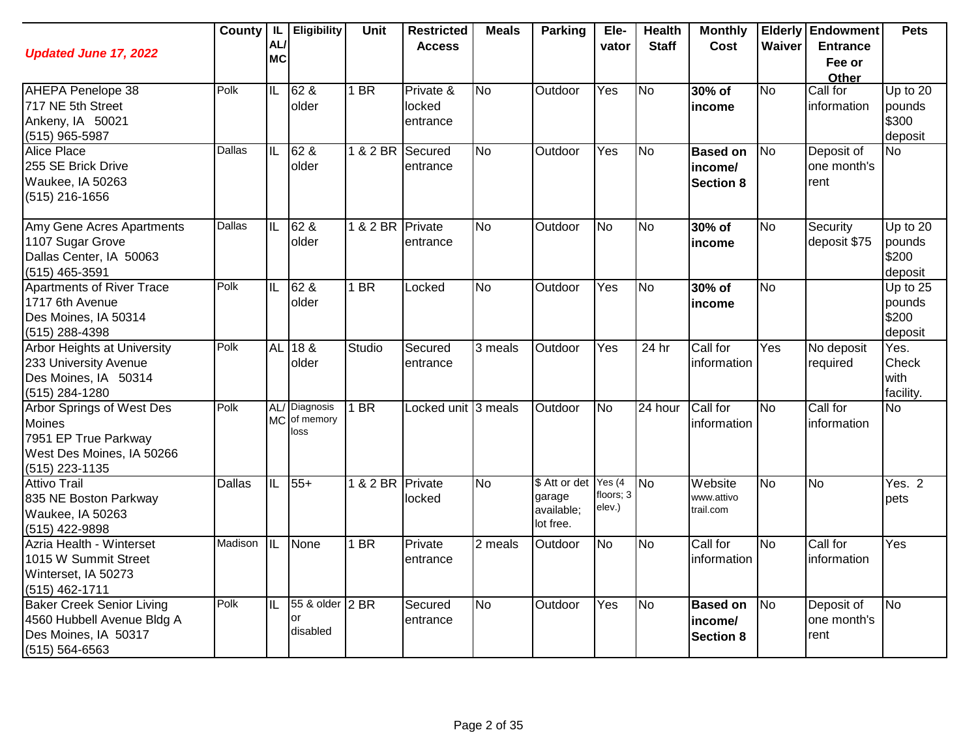| <b>Updated June 17, 2022</b>                                                                                        |               | AL/<br><b>MC</b>        | County   IL   Eligibility             | Unit             | <b>Restricted</b><br><b>Access</b> | <b>Meals</b>   | <b>Parking</b>                                     | Ele-<br>vator                    | <b>Health</b><br><b>Staff</b> | <b>Monthly</b><br><b>Cost</b>                  | Waiver         | Elderly   Endowment<br><b>Entrance</b><br>Fee or<br>Other | <b>Pets</b>                              |
|---------------------------------------------------------------------------------------------------------------------|---------------|-------------------------|---------------------------------------|------------------|------------------------------------|----------------|----------------------------------------------------|----------------------------------|-------------------------------|------------------------------------------------|----------------|-----------------------------------------------------------|------------------------------------------|
| AHEPA Penelope 38<br>717 NE 5th Street<br>Ankeny, IA 50021<br>$(515)$ 965-5987                                      | Polk          | IL                      | 62 &<br>older                         | $1$ BR           | Private &<br>locked<br>entrance    | <b>No</b>      | Outdoor                                            | Yes                              | No                            | 30% of<br>income                               | <b>No</b>      | Call for<br>information                                   | Up to $20$<br>pounds<br>\$300<br>deposit |
| <b>Alice Place</b><br>255 SE Brick Drive<br>Waukee, IA 50263<br>(515) 216-1656                                      | Dallas        | $\overline{\mathbb{L}}$ | $62$ &<br>older                       | 1 & 2 BR         | Secured<br>entrance                | <b>No</b>      | Outdoor                                            | $\overline{Yes}$                 | No                            | <b>Based on</b><br>income/<br><b>Section 8</b> | <b>No</b>      | Deposit of<br>one month's<br>rent                         | <b>No</b>                                |
| Amy Gene Acres Apartments<br>1107 Sugar Grove<br>Dallas Center, IA 50063<br>(515) 465-3591                          | Dallas        | $\overline{\mathbb{L}}$ | 62 &<br>older                         | 1 & 2 BR Private | entrance                           | $\overline{N}$ | Outdoor                                            | $\overline{\mathsf{No}}$         | No                            | 30% of<br>income                               | <b>No</b>      | Security<br>deposit \$75                                  | Up to $20$<br>pounds<br>\$200<br>deposit |
| <b>Apartments of River Trace</b><br>1717 6th Avenue<br>Des Moines, IA 50314<br>(515) 288-4398                       | Polk          | IIL                     | $62\&$<br>older                       | $1$ BR           | Locked                             | <b>No</b>      | Outdoor                                            | Yes                              | No                            | 30% of<br>income                               | <b>No</b>      |                                                           | Up to 25<br>pounds<br>\$200<br>deposit   |
| Arbor Heights at University<br>233 University Avenue<br>Des Moines, IA 50314<br>(515) 284-1280                      | Polk          | AL                      | $ 18 \&$<br>older                     | Studio           | Secured<br>entrance                | 3 meals        | Outdoor                                            | Yes                              | 24 hr                         | Call for<br>information                        | Yes            | No deposit<br>required                                    | Yes.<br>Check<br>with<br>facility.       |
| <b>Arbor Springs of West Des</b><br>Moines<br>7951 EP True Parkway<br>West Des Moines, IA 50266<br>$(515)$ 223-1135 | Polk          |                         | AL/ Diagnosis<br>MC of memory<br>loss | $1$ BR           | Locked unit 3 meals                |                | Outdoor                                            | <b>No</b>                        | 24 hour                       | Call for<br>information                        | <b>No</b>      | Call for<br>information                                   | <b>No</b>                                |
| <b>Attivo Trail</b><br>835 NE Boston Parkway<br>Waukee, IA 50263<br>(515) 422-9898                                  | <b>Dallas</b> | IL                      | $55+$                                 | 1 & 2 BR         | Private<br>locked                  | <b>No</b>      | \$ Att or det<br>garage<br>available;<br>lot free. | Yes $(4)$<br>floors; 3<br>elev.) | $\overline{\text{No}}$        | Website<br>www.attivo<br>trail.com             | <b>No</b>      | No                                                        | Yes. 2<br>pets                           |
| Azria Health - Winterset<br>1015 W Summit Street<br>Winterset, IA 50273<br>(515) 462-1711                           | Madison       | ℼ                       | None                                  | $1$ BR           | Private<br>entrance                | 2 meals        | Outdoor                                            | $\overline{\mathsf{No}}$         | N <sub>o</sub>                | Call for<br>information                        | $\overline{N}$ | Call for<br>information                                   | $\overline{Yes}$                         |
| <b>Baker Creek Senior Living</b><br>4560 Hubbell Avenue Bldg A<br>Des Moines, IA 50317<br>(515) 564-6563            | Polk          | IL                      | 55 & older 2 BR<br>or<br>disabled     |                  | Secured<br>entrance                | <b>No</b>      | Outdoor                                            | Yes                              | No                            | <b>Based on</b><br>income/<br><b>Section 8</b> | No             | Deposit of<br>one month's<br>rent                         | <b>No</b>                                |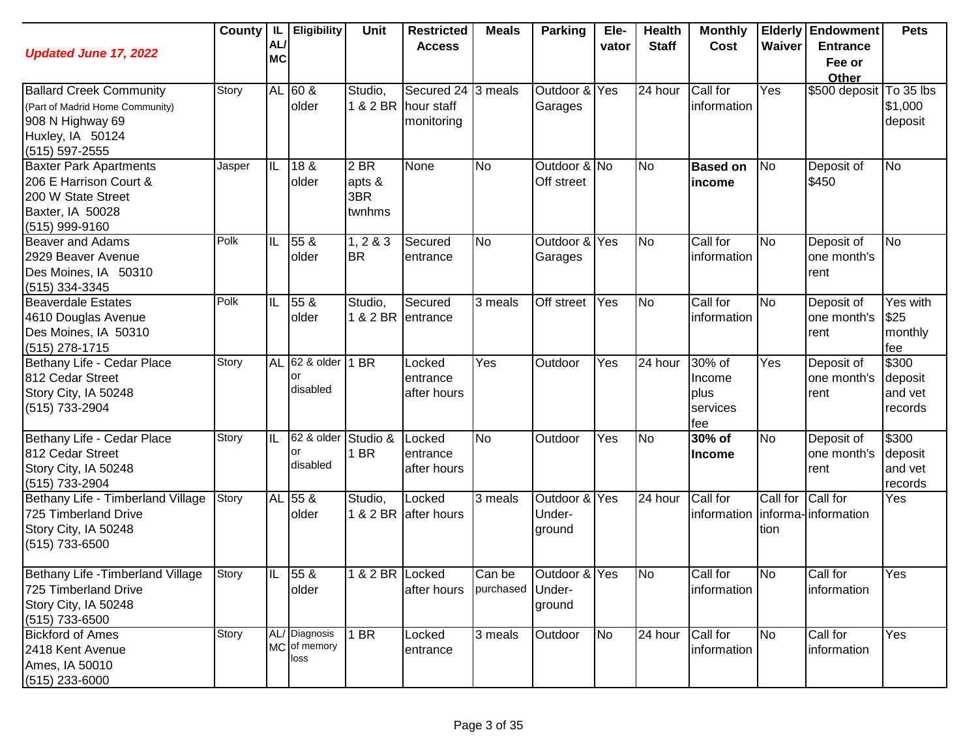| <b>Updated June 17, 2022</b>                                                                                                | County | IL I<br>AL/<br><b>MC</b> | Eligibility                           | Unit                            | <b>Restricted</b><br><b>Access</b>                      | <b>Meals</b>               | <b>Parking</b>                    | Ele-<br>vator  | <b>Health</b><br><b>Staff</b> | <b>Monthly</b><br>Cost                      | Waiver           | <b>Elderly Endowment</b><br><b>Entrance</b><br>Fee or<br>Other | <b>Pets</b>                            |
|-----------------------------------------------------------------------------------------------------------------------------|--------|--------------------------|---------------------------------------|---------------------------------|---------------------------------------------------------|----------------------------|-----------------------------------|----------------|-------------------------------|---------------------------------------------|------------------|----------------------------------------------------------------|----------------------------------------|
| <b>Ballard Creek Community</b><br>(Part of Madrid Home Community)<br>908 N Highway 69<br>Huxley, IA 50124<br>(515) 597-2555 | Story  |                          | AL 60 &<br>older                      | Studio,                         | Secured 24 3 meals<br>1 & 2 BR hour staff<br>monitoring |                            | Outdoor & Yes<br>Garages          |                | 24 hour                       | Call for<br>information                     | Yes              | \$500 deposit To 35 lbs                                        | \$1,000<br>deposit                     |
| <b>Baxter Park Apartments</b><br>206 E Harrison Court &<br>200 W State Street<br>Baxter, IA 50028<br>(515) 999-9160         | Jasper | IIL                      | 18 &<br>older                         | 2 BR<br>apts &<br>3BR<br>twnhms | None                                                    | <b>No</b>                  | Outdoor & No<br>Off street        |                | <b>No</b>                     | <b>Based on</b><br>income                   | No               | Deposit of<br>\$450                                            | <b>No</b>                              |
| <b>Beaver and Adams</b><br>2929 Beaver Avenue<br>Des Moines, IA 50310<br>(515) 334-3345                                     | Polk   | IL                       | 55 &<br>older                         | 1, 283<br><b>BR</b>             | Secured<br>entrance                                     | <b>No</b>                  | Outdoor & Yes<br>Garages          |                | <b>No</b>                     | Call for<br>information                     | <b>No</b>        | Deposit of<br>one month's<br>rent                              | <b>No</b>                              |
| Beaverdale Estates<br>4610 Douglas Avenue<br>Des Moines, IA 50310<br>(515) 278-1715                                         | Polk   | IL                       | 55 &<br>older                         | Studio,<br>1 & 2 BR entrance    | Secured                                                 | 3 meals                    | Off street                        | Yes            | <b>No</b>                     | Call for<br>information                     | <b>No</b>        | Deposit of<br>one month's<br>rent                              | Yes with<br>\$25<br>monthly<br>fee     |
| Bethany Life - Cedar Place<br>812 Cedar Street<br>Story City, IA 50248<br>(515) 733-2904                                    | Story  |                          | AL 62 & older<br>or<br>disabled       | 1 BR                            | Locked<br>entrance<br>after hours                       | Yes                        | Outdoor                           | Yes            | $\overline{24}$ hour          | 30% of<br>Income<br>plus<br>services<br>fee | Yes              | Deposit of<br>lone month's<br>rent                             | \$300<br>deposit<br>and vet<br>records |
| Bethany Life - Cedar Place<br>812 Cedar Street<br>Story City, IA 50248<br>(515) 733-2904                                    | Story  | IL                       | 62 & older<br>or<br>disabled          | Studio &<br>1 BR                | Locked<br>entrance<br>after hours                       | <b>No</b>                  | Outdoor                           | Yes            | No                            | 30% of<br><b>Income</b>                     | <b>No</b>        | Deposit of<br>one month's<br>rent                              | \$300<br>deposit<br>and vet<br>records |
| Bethany Life - Timberland Village<br>725 Timberland Drive<br>Story City, IA 50248<br>$(515)$ 733-6500                       | Story  |                          | AL 55 &<br>older                      | Studio,                         | Locked<br>1 & 2 BR after hours                          | $\overline{3}$ meals       | Outdoor & Yes<br>Under-<br>ground |                | $\overline{24}$ hour          | Call for<br>information                     | Call for<br>tion | Call for<br>informa-information                                | Yes                                    |
| Bethany Life - Timberland Village<br>725 Timberland Drive<br>Story City, IA 50248<br>$(515)$ 733-6500                       | Story  | IIL                      | $\overline{55}$ &<br>older            | 1 & 2 BR Locked                 | after hours                                             | Can be<br>purchased Under- | Outdoor & Yes<br>ground           |                | No                            | Call for<br>information                     | N <sub>o</sub>   | Call for<br>information                                        | Yes                                    |
| <b>Bickford of Ames</b><br>2418 Kent Avenue<br>Ames, IA 50010<br>$(515)$ 233-6000                                           | Story  |                          | AL/ Diagnosis<br>MC of memory<br>loss | $1$ BR                          | Locked<br>entrance                                      | 3 meals                    | Outdoor                           | N <sub>o</sub> | 24 hour                       | Call for<br>information                     | <b>No</b>        | Call for<br>information                                        | Yes                                    |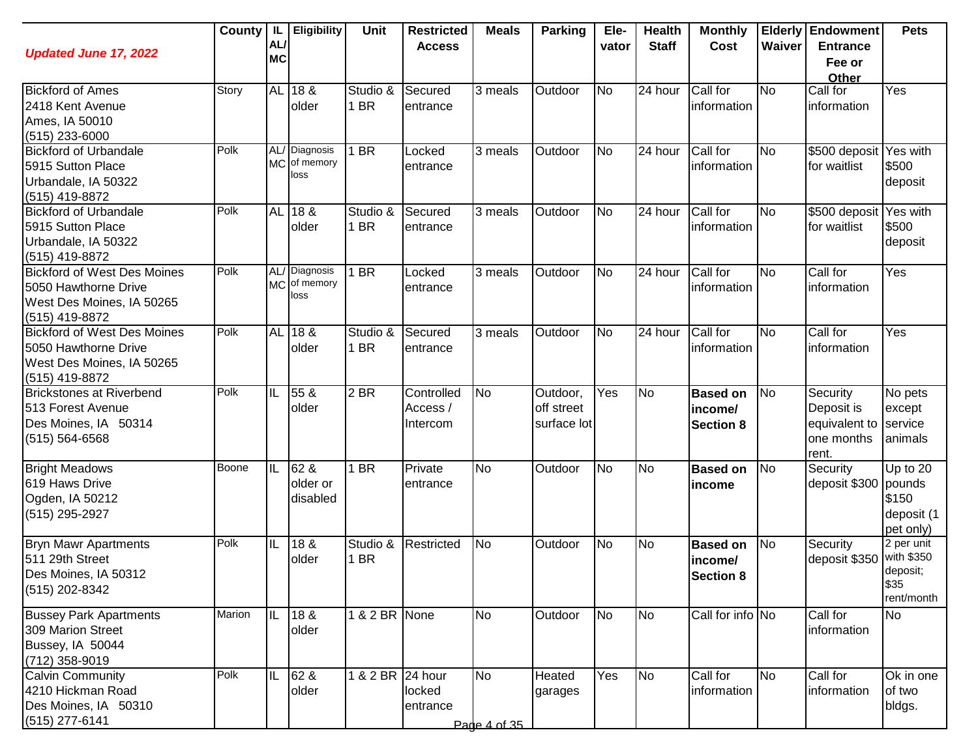| <b>Updated June 17, 2022</b>                                                                              |        | AL/<br><b>MC</b> | County   IL   Eligibility             | <b>Unit</b>      | <b>Restricted</b><br><b>Access</b> | <b>Meals</b>              | Parking                               | Ele-<br>vator | <b>Health</b><br><b>Staff</b> | <b>Monthly</b><br>Cost                         | Waiver         | <b>Elderly Endowment</b><br><b>Entrance</b><br>Fee or<br>Other | <b>Pets</b>                                                |
|-----------------------------------------------------------------------------------------------------------|--------|------------------|---------------------------------------|------------------|------------------------------------|---------------------------|---------------------------------------|---------------|-------------------------------|------------------------------------------------|----------------|----------------------------------------------------------------|------------------------------------------------------------|
| <b>Bickford of Ames</b><br>2418 Kent Avenue<br>Ames, IA 50010<br>(515) 233-6000                           | Story  |                  | AL 18 &<br>older                      | Studio &<br>1 BR | Secured<br>entrance                | 3 meals                   | Outdoor                               | <b>No</b>     | 24 hour                       | Call for<br>information                        | <b>No</b>      | Call for<br>information                                        | Yes                                                        |
| <b>Bickford of Urbandale</b><br>5915 Sutton Place<br>Urbandale, IA 50322<br>(515) 419-8872                | Polk   |                  | AL/ Diagnosis<br>MC of memory<br>loss | 1 BR             | Locked<br>entrance                 | 3 meals                   | Outdoor                               | <b>No</b>     | 24 hour                       | Call for<br>information                        | <b>No</b>      | \$500 deposit Yes with<br>for waitlist                         | \$500<br>deposit                                           |
| <b>Bickford of Urbandale</b><br>5915 Sutton Place<br>Urbandale, IA 50322<br>(515) 419-8872                | Polk   |                  | AL 18 &<br>older                      | Studio &<br>1 BR | Secured<br>entrance                | 3 meals                   | Outdoor                               | <b>No</b>     | 24 hour                       | Call for<br>information                        | <b>No</b>      | \$500 deposit<br>for waitlist                                  | Yes with<br>\$500<br>deposit                               |
| <b>Bickford of West Des Moines</b><br>5050 Hawthorne Drive<br>West Des Moines, IA 50265<br>(515) 419-8872 | Polk   |                  | AL/ Diagnosis<br>MC of memory<br>loss | 1 BR             | Locked<br>entrance                 | 3 meals                   | Outdoor                               | <b>No</b>     | 24 hour                       | Call for<br>information                        | <b>No</b>      | Call for<br>information                                        | Yes                                                        |
| <b>Bickford of West Des Moines</b><br>5050 Hawthorne Drive<br>West Des Moines, IA 50265<br>(515) 419-8872 | Polk   |                  | AL 18 &<br>older                      | Studio &<br>1 BR | Secured<br>entrance                | 3 meals                   | Outdoor                               | <b>No</b>     | 24 hour                       | Call for<br>information                        | No             | Call for<br>information                                        | Yes                                                        |
| Brickstones at Riverbend<br>513 Forest Avenue<br>Des Moines, IA 50314<br>$(515) 564 - 6568$               | Polk   | IL               | 55 &<br>older                         | 2 BR             | Controlled<br>Access /<br>Intercom | <b>No</b>                 | Outdoor,<br>off street<br>surface lot | Yes           | <b>No</b>                     | <b>Based on</b><br>income/<br><b>Section 8</b> | <b>No</b>      | Security<br>Deposit is<br>equivalent to<br>one months<br>rent. | No pets<br>except<br>service<br>animals                    |
| <b>Bright Meadows</b><br>619 Haws Drive<br>Ogden, IA 50212<br>(515) 295-2927                              | Boone  | IIL              | 62 &<br>older or<br>disabled          | 1 BR             | Private<br>entrance                | <b>No</b>                 | Outdoor                               | <b>No</b>     | <b>No</b>                     | <b>Based on</b><br>income                      | N <sub>o</sub> | Security<br>deposit \$300 pounds                               | Up to 20<br>\$150<br>deposit (1<br>pet only)               |
| <b>Bryn Mawr Apartments</b><br>511 29th Street<br>Des Moines, IA 50312<br>(515) 202-8342                  | Polk   | IL               | 18 &<br>older                         | Studio &<br>1 BR | Restricted                         | <b>No</b>                 | Outdoor                               | <b>No</b>     | <b>No</b>                     | <b>Based on</b><br>income/<br><b>Section 8</b> | N <sub>o</sub> | Security<br>deposit \$350                                      | 2 per unit<br>with \$350<br>deposit;<br>\$35<br>rent/month |
| <b>Bussey Park Apartments</b><br>309 Marion Street<br>Bussey, IA 50044<br>(712) 358-9019                  | Marion | IL               | 18 &<br>older                         | 1 & 2 BR None    |                                    | <b>No</b>                 | Outdoor                               | <b>No</b>     | <b>No</b>                     | Call for info No                               |                | Call for<br>information                                        | <b>No</b>                                                  |
| <b>Calvin Community</b><br>4210 Hickman Road<br>Des Moines, IA 50310<br>(515) 277-6141                    | Polk   | IIL              | 62 &<br>older                         | 1 & 2 BR 24 hour | locked<br>entrance                 | <b>No</b><br>Page 4 of 35 | Heated<br>garages                     | Yes           | <b>No</b>                     | Call for<br>information                        | <b>No</b>      | Call for<br>information                                        | Ok in one<br>of two<br>bldgs.                              |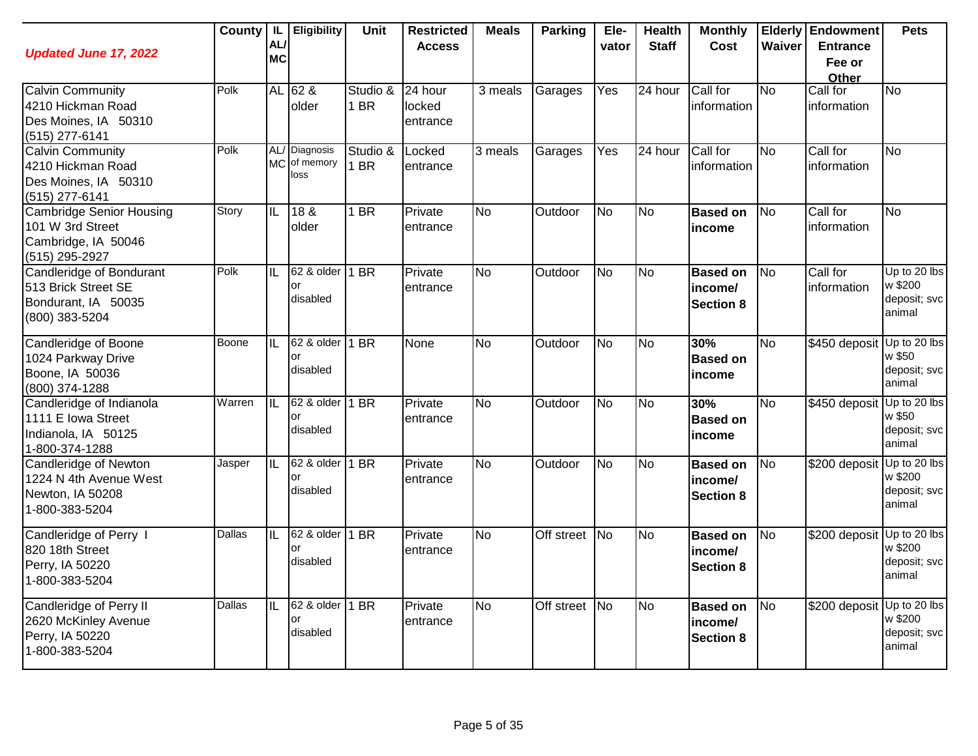| <b>Updated June 17, 2022</b>                                                                 | County | IL<br>AL/<br><b>MC</b>   | Eligibility                        | Unit             | <b>Restricted</b><br><b>Access</b> | <b>Meals</b>   | <b>Parking</b> | Ele-<br>vator  | <b>Health</b><br><b>Staff</b> | <b>Monthly</b><br>Cost                         | Waiver    | <b>Elderly Endowment</b><br><b>Entrance</b><br>Fee or<br><b>Other</b> | <b>Pets</b>                                       |
|----------------------------------------------------------------------------------------------|--------|--------------------------|------------------------------------|------------------|------------------------------------|----------------|----------------|----------------|-------------------------------|------------------------------------------------|-----------|-----------------------------------------------------------------------|---------------------------------------------------|
| <b>Calvin Community</b><br>4210 Hickman Road<br>Des Moines, IA 50310<br>(515) 277-6141       | Polk   |                          | AL 62 &<br>older                   | Studio &<br>1 BR | 24 hour<br>locked<br>entrance      | 3 meals        | Garages        | Yes            | $\overline{2}4$ hour          | Call for<br>information                        | No        | Call for<br>information                                               | No                                                |
| <b>Calvin Community</b><br>4210 Hickman Road<br>Des Moines, IA 50310<br>(515) 277-6141       | Polk   | MC                       | AL/ Diagnosis<br>of memory<br>loss | Studio &<br>1 BR | Locked<br>entrance                 | 3 meals        | Garages        | Yes            | 24 hour                       | Call for<br>information                        | No        | Call for<br>information                                               | No                                                |
| <b>Cambridge Senior Housing</b><br>101 W 3rd Street<br>Cambridge, IA 50046<br>(515) 295-2927 | Story  | IL                       | 18 <sub>8</sub><br>older           | 1 BR             | Private<br>entrance                | $\overline{N}$ | Outdoor        | <b>No</b>      | <b>No</b>                     | <b>Based on</b><br>income                      | No        | Call for<br>information                                               | $\overline{N}$                                    |
| Candleridge of Bondurant<br>513 Brick Street SE<br>Bondurant, IA 50035<br>(800) 383-5204     | Polk   | IL                       | 62 & older<br>or<br>disabled       | 1 BR             | Private<br>entrance                | $\overline{N}$ | Outdoor        | No             | <b>No</b>                     | <b>Based on</b><br>income/<br><b>Section 8</b> | No        | Call for<br>information                                               | Up to 20 lbs<br>w \$200<br>deposit; svc<br>animal |
| Candleridge of Boone<br>1024 Parkway Drive<br>Boone, IA 50036<br>(800) 374-1288              | Boone  | IL                       | 62 & older<br>or<br>disabled       | 1 BR             | None                               | <b>No</b>      | Outdoor        | No             | <b>No</b>                     | 30%<br><b>Based on</b><br>income               | No        | \$450 deposit                                                         | Up to 20 lbs<br>w \$50<br>deposit; svc<br>animal  |
| Candleridge of Indianola<br>1111 E Iowa Street<br>Indianola, IA 50125<br>1-800-374-1288      | Warren | IL                       | 62 & older<br>or<br>disabled       | 1 BR             | Private<br>entrance                | $\overline{N}$ | Outdoor        | No             | <b>No</b>                     | 30%<br><b>Based on</b><br>income               | <b>No</b> | \$450 deposit                                                         | Up to 20 lbs<br>w \$50<br>deposit; svc<br>animal  |
| Candleridge of Newton<br>1224 N 4th Avenue West<br>Newton, IA 50208<br>1-800-383-5204        | Jasper | IL                       | 62 & older<br>or<br>disabled       | 1 BR             | Private<br>entrance                | <b>No</b>      | Outdoor        | <b>No</b>      | No                            | <b>Based on</b><br>income/<br><b>Section 8</b> | <b>No</b> | \$200 deposit                                                         | Up to 20 lbs<br>w \$200<br>deposit; svc<br>animal |
| Candleridge of Perry I<br>820 18th Street<br>Perry, IA 50220<br>1-800-383-5204               | Dallas | IL                       | 62 & older<br>or<br>disabled       | 1 BR             | Private<br>entrance                | <b>No</b>      | Off street     | $\overline{N}$ | No                            | <b>Based on</b><br>income/<br><b>Section 8</b> | <b>No</b> | \$200 deposit                                                         | Up to 20 lbs<br>w \$200<br>deposit; svc<br>animal |
| Candleridge of Perry II<br>2620 McKinley Avenue<br>Perry, IA 50220<br>1-800-383-5204         | Dallas | $\overline{\mathsf{IL}}$ | 62 & older<br>or<br>disabled       | 1 BR             | Private<br>entrance                | $\overline{N}$ | Off street     | $\overline{N}$ | No                            | <b>Based on</b><br>income/<br><b>Section 8</b> | <b>No</b> | \$200 deposit                                                         | Up to 20 lbs<br>w \$200<br>deposit; svc<br>animal |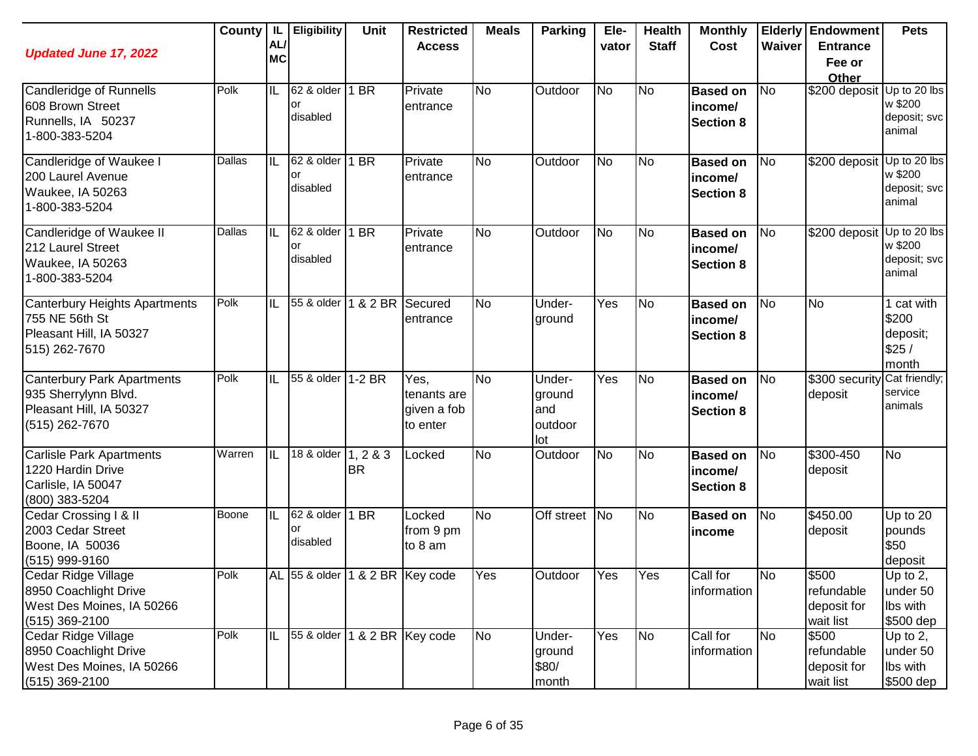| <b>Updated June 17, 2022</b>                                                                           | County | -IL<br>AL/<br><b>MC</b> | <b>Eligibility</b>                  | <b>Unit</b>         | <b>Restricted</b><br><b>Access</b>             | <b>Meals</b> | <b>Parking</b>                            | Ele-<br>vator | <b>Health</b><br><b>Staff</b> | <b>Monthly</b><br>Cost                         | Waiver         | <b>Elderly Endowment</b><br><b>Entrance</b><br>Fee or<br>Other | <b>Pets</b>                                       |
|--------------------------------------------------------------------------------------------------------|--------|-------------------------|-------------------------------------|---------------------|------------------------------------------------|--------------|-------------------------------------------|---------------|-------------------------------|------------------------------------------------|----------------|----------------------------------------------------------------|---------------------------------------------------|
| Candleridge of Runnells<br>608 Brown Street<br>Runnells, IA 50237<br>1-800-383-5204                    | Polk   | IL                      | 62 & older<br>or<br>disabled        | 1 BR                | Private<br>entrance                            | <b>No</b>    | Outdoor                                   | <b>No</b>     | No                            | <b>Based on</b><br>income/<br><b>Section 8</b> | <b>No</b>      | \$200 deposit Up to 20 lbs                                     | w \$200<br>deposit; svc<br>animal                 |
| Candleridge of Waukee I<br>200 Laurel Avenue<br>Waukee, IA 50263<br>1-800-383-5204                     | Dallas | IIL                     | 62 & older<br>or<br>disabled        | 1 BR                | Private<br>entrance                            | <b>No</b>    | Outdoor                                   | <b>No</b>     | No                            | <b>Based on</b><br>income/<br><b>Section 8</b> | <b>No</b>      | \$200 deposit Up to 20 lbs                                     | w \$200<br>deposit; svc<br>animal                 |
| Candleridge of Waukee II<br>212 Laurel Street<br>Waukee, IA 50263<br>1-800-383-5204                    | Dallas | IIL                     | 62 & older<br>or<br>disabled        | 1 BR                | Private<br>entrance                            | <b>No</b>    | Outdoor                                   | <b>No</b>     | No                            | <b>Based on</b><br>income/<br><b>Section 8</b> | <b>No</b>      | \$200 deposit Up to 20 lbs                                     | w \$200<br>deposit; svc<br>animal                 |
| Canterbury Heights Apartments<br>755 NE 56th St<br>Pleasant Hill, IA 50327<br>515) 262-7670            | Polk   | IIL                     | 55 & older                          | 1 & 2 BR            | Secured<br>entrance                            | <b>No</b>    | Under-<br>ground                          | Yes           | No                            | <b>Based on</b><br>income/<br><b>Section 8</b> | N <sub>o</sub> | <b>No</b>                                                      | 1 cat with<br>\$200<br>deposit;<br>\$25/<br>month |
| <b>Canterbury Park Apartments</b><br>935 Sherrylynn Blvd.<br>Pleasant Hill, IA 50327<br>(515) 262-7670 | Polk   | IIL                     | 55 & older 1-2 BR                   |                     | Yes,<br>tenants are<br>given a fob<br>to enter | <b>No</b>    | Under-<br>ground<br>and<br>outdoor<br>lot | Yes           | N <sub>o</sub>                | <b>Based on</b><br>income/<br><b>Section 8</b> | <b>No</b>      | \$300 security<br>deposit                                      | Cat friendly;<br>service<br>animals               |
| <b>Carlisle Park Apartments</b><br>1220 Hardin Drive<br>Carlisle, IA 50047<br>(800) 383-5204           | Warren | IIE                     | 18 & older                          | 1, 283<br><b>BR</b> | Locked                                         | <b>No</b>    | Outdoor                                   | <b>No</b>     | No                            | <b>Based on</b><br>income/<br><b>Section 8</b> | N <sub>o</sub> | $$300-450$<br>deposit                                          | No                                                |
| Cedar Crossing I & II<br>2003 Cedar Street<br>Boone, IA 50036<br>(515) 999-9160                        | Boone  | IL                      | 62 & older<br>or<br>disabled        | 1 BR                | Locked<br>from 9 pm<br>to 8 am                 | <b>No</b>    | Off street No                             |               | No                            | <b>Based on</b><br>income                      | <b>No</b>      | \$450.00<br>deposit                                            | Up to $20$<br>pounds<br>\$50<br>deposit           |
| Cedar Ridge Village<br>8950 Coachlight Drive<br>West Des Moines, IA 50266<br>(515) 369-2100            | Polk   |                         | AL 55 & older   1 & 2 BR   Key code |                     |                                                | Yes          | Outdoor                                   | Yes           | Yes                           | Call for<br>information                        | No             | \$500<br>refundable<br>deposit for<br>wait list                | Up to 2,<br>under 50<br>Ibs with<br>\$500 dep     |
| Cedar Ridge Village<br>8950 Coachlight Drive<br>West Des Moines, IA 50266<br>$(515)$ 369-2100          | Polk   | IIL                     | 55 & older                          | 1 & 2 BR Key code   |                                                | <b>No</b>    | Under-<br>ground<br>\$80/<br>month        | Yes           | No                            | Call for<br>information                        | <b>No</b>      | \$500<br>refundable<br>deposit for<br>wait list                | Up to $2$ ,<br>under 50<br>Ibs with<br>\$500 dep  |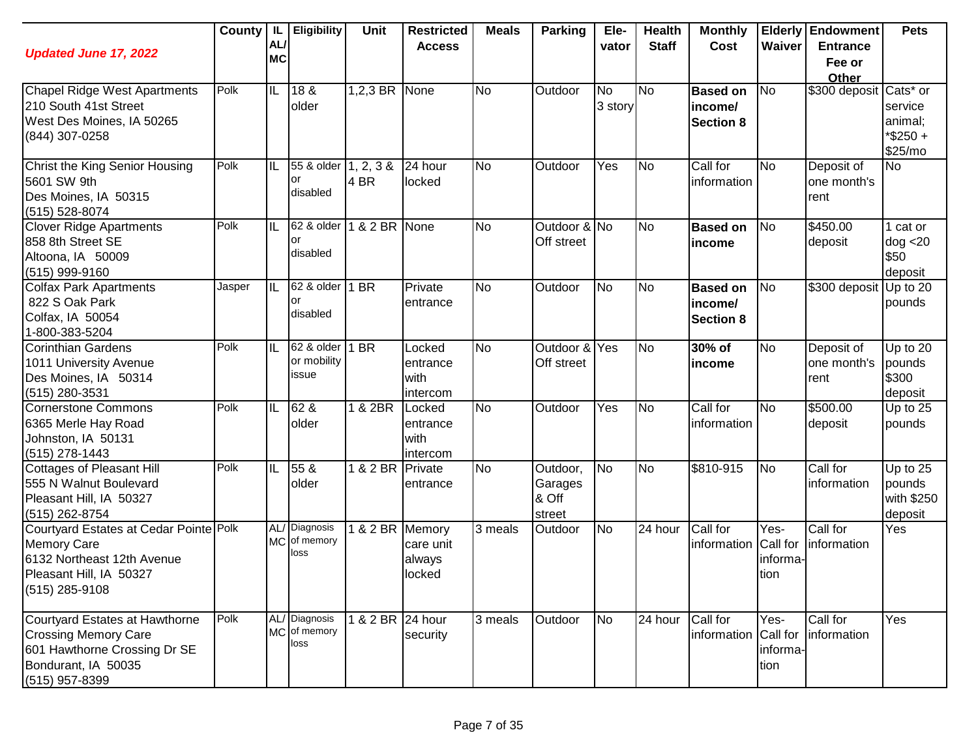| <b>Updated June 17, 2022</b>                                                                                                             | County | IL.<br>AL/<br><b>MC</b> | <b>Eligibility</b>                    | Unit              | <b>Restricted</b><br><b>Access</b>     | <b>Meals</b> | <b>Parking</b>                         | Ele-<br>vator        | <b>Health</b><br><b>Staff</b> | <b>Monthly</b><br>Cost                         | Waiver                               | <b>Elderly Endowment</b><br><b>Entrance</b> | <b>Pets</b>                                 |
|------------------------------------------------------------------------------------------------------------------------------------------|--------|-------------------------|---------------------------------------|-------------------|----------------------------------------|--------------|----------------------------------------|----------------------|-------------------------------|------------------------------------------------|--------------------------------------|---------------------------------------------|---------------------------------------------|
|                                                                                                                                          |        |                         |                                       |                   |                                        |              |                                        |                      |                               |                                                |                                      | Fee or<br>Other                             |                                             |
| Chapel Ridge West Apartments<br>210 South 41st Street<br>West Des Moines, IA 50265<br>(844) 307-0258                                     | Polk   | IL                      | 18 &<br>older                         | 1,2,3 BR None     |                                        | <b>No</b>    | Outdoor                                | <b>No</b><br>3 story | <b>No</b>                     | <b>Based on</b><br>income/<br><b>Section 8</b> | N <sub>o</sub>                       | \$300 deposit Cats* or                      | service<br>animal;<br>*\$250+<br>\$25/mo    |
| Christ the King Senior Housing<br>5601 SW 9th<br>Des Moines, IA 50315<br>(515) 528-8074                                                  | Polk   | IL                      | 55 & older<br>or<br>disabled          | 1, 2, 3 &<br>4 BR | 24 hour<br>locked                      | <b>No</b>    | Outdoor                                | Yes                  | <b>No</b>                     | Call for<br>information                        | <b>No</b>                            | Deposit of<br>one month's<br>rent           | <b>No</b>                                   |
| <b>Clover Ridge Apartments</b><br>858 8th Street SE<br>Altoona, IA 50009<br>(515) 999-9160                                               | Polk   | IL                      | 62 & older<br>or<br>disabled          | 1 & 2 BR None     |                                        | No           | Outdoor & No<br>Off street             |                      | <b>No</b>                     | <b>Based on</b><br>income                      | <b>No</b>                            | \$450.00<br>deposit                         | 1 cat or<br>dog < 20<br>\$50<br>deposit     |
| <b>Colfax Park Apartments</b><br>822 S Oak Park<br>Colfax, IA 50054<br>1-800-383-5204                                                    | Jasper | IL                      | 62 & older<br>or<br>disabled          | 1 BR              | Private<br>entrance                    | <b>No</b>    | Outdoor                                | <b>No</b>            | N <sub>o</sub>                | <b>Based on</b><br>income/<br><b>Section 8</b> | <b>No</b>                            | \$300 deposit                               | Up to 20<br>pounds                          |
| Corinthian Gardens<br>1011 University Avenue<br>Des Moines, IA 50314<br>(515) 280-3531                                                   | Polk   | IIL                     | 62 & older<br>or mobility<br>issue    | 1 BR              | Locked<br>entrance<br>with<br>intercom | <b>No</b>    | Outdoor & Yes<br>Off street            |                      | N <sub>o</sub>                | 30% of<br>income                               | <b>No</b>                            | Deposit of<br>one month's<br>rent           | Up to 20<br>pounds<br>\$300<br>deposit      |
| Cornerstone Commons<br>6365 Merle Hay Road<br>Johnston, IA 50131<br>(515) 278-1443                                                       | Polk   | IL                      | 62 &<br>older                         | 1 & 2BR           | Locked<br>entrance<br>with<br>intercom | No           | Outdoor                                | Yes                  | <b>No</b>                     | Call for<br>information                        | <b>No</b>                            | \$500.00<br>deposit                         | Up to $25$<br>pounds                        |
| Cottages of Pleasant Hill<br>555 N Walnut Boulevard<br>Pleasant Hill, IA 50327<br>(515) 262-8754                                         | Polk   | IIL                     | 55 <sub>8</sub><br>older              | 1 & 2 BR Private  | entrance                               | <b>No</b>    | Outdoor,<br>Garages<br>& Off<br>street | N <sub>o</sub>       | <b>No</b>                     | \$810-915                                      | N <sub>o</sub>                       | Call for<br>information                     | Up to 25<br>pounds<br>with \$250<br>deposit |
| Courtyard Estates at Cedar Pointe Polk<br><b>Memory Care</b><br>6132 Northeast 12th Avenue<br>Pleasant Hill, IA 50327<br>(515) 285-9108  |        |                         | AL/ Diagnosis<br>MC of memory<br>loss | 1 & 2 BR Memory   | care unit<br>always<br>locked          | 3 meals      | Outdoor                                | No                   | $\overline{24}$ hour          | Call for<br>information Call for               | $\bar{Y}$ es-<br>informa-<br>tion    | Call for<br>information                     | Yes                                         |
| Courtyard Estates at Hawthorne<br><b>Crossing Memory Care</b><br>601 Hawthorne Crossing Dr SE<br>Bondurant, IA 50035<br>$(515)$ 957-8399 | Polk   |                         | AL/ Diagnosis<br>MC of memory<br>loss | 1 & 2 BR 24 hour  | security                               | 3 meals      | Outdoor                                | <b>No</b>            | 24 hour                       | Call for<br>information                        | Yes-<br>Call for<br>informa-<br>tion | Call for<br>information                     | Yes                                         |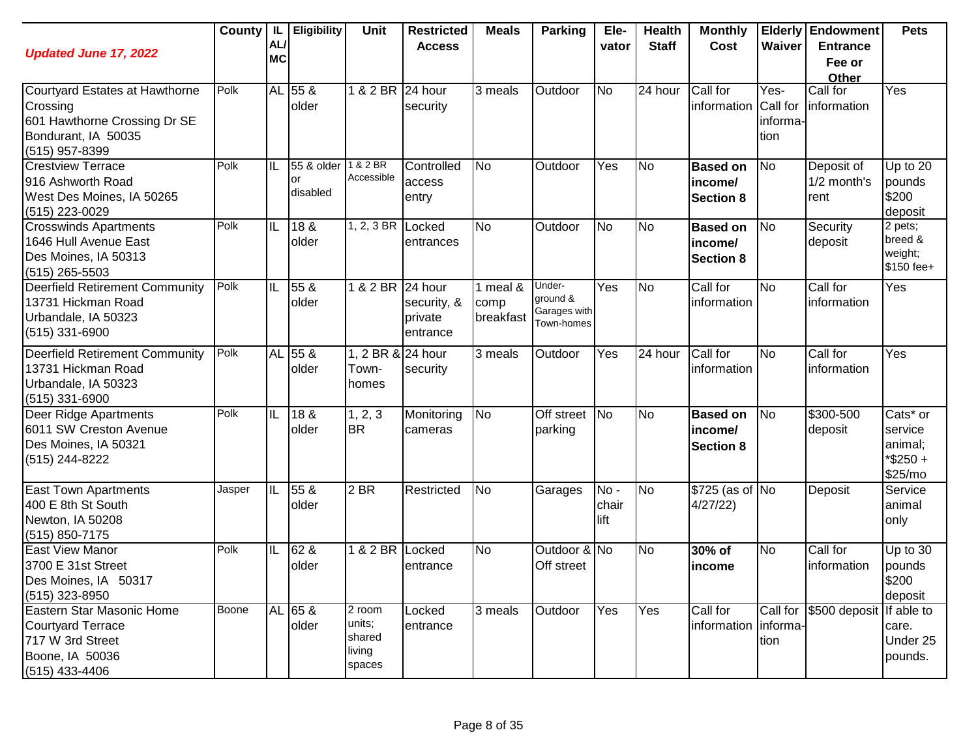| <b>Updated June 17, 2022</b>                                                                                        | County | IL.<br>AL/<br><b>MC</b> | <b>Eligibility</b>           | Unit                                             | <b>Restricted</b><br><b>Access</b> | <b>Meals</b>                  | Parking                                          | Ele-<br>vator        | <b>Health</b><br><b>Staff</b> | <b>Monthly</b><br>Cost                         | Waiver                               | <b>Elderly Endowment</b><br><b>Entrance</b><br>Fee or<br>Other | <b>Pets</b>                                                          |
|---------------------------------------------------------------------------------------------------------------------|--------|-------------------------|------------------------------|--------------------------------------------------|------------------------------------|-------------------------------|--------------------------------------------------|----------------------|-------------------------------|------------------------------------------------|--------------------------------------|----------------------------------------------------------------|----------------------------------------------------------------------|
| Courtyard Estates at Hawthorne<br>Crossing<br>601 Hawthorne Crossing Dr SE<br>Bondurant, IA 50035<br>(515) 957-8399 | Polk   |                         | AL 55 &<br>older             | 1 & 2 BR 24 hour                                 | security                           | 3 meals                       | Outdoor                                          | <b>No</b>            | 24 hour                       | Call for<br>information                        | Yes-<br>Call for<br>informa-<br>tion | Call for<br>information                                        | Yes                                                                  |
| <b>Crestview Terrace</b><br>916 Ashworth Road<br>West Des Moines, IA 50265<br>(515) 223-0029                        | Polk   | IL                      | 55 & older<br>or<br>disabled | 1 & 2 BR<br>Accessible                           | Controlled<br>access<br>entry      | <b>No</b>                     | Outdoor                                          | Yes                  | <b>No</b>                     | <b>Based on</b><br>income/<br><b>Section 8</b> | No                                   | Deposit of<br>1/2 month's<br>rent                              | Up to 20<br>pounds<br>\$200<br>deposit                               |
| <b>Crosswinds Apartments</b><br>1646 Hull Avenue East<br>Des Moines, IA 50313<br>$(515)$ 265-5503                   | Polk   | IL                      | 18 &<br>older                | 1, 2, 3 BR $\vert$ Locked                        | entrances                          | <b>No</b>                     | Outdoor                                          | <b>No</b>            | N <sub>o</sub>                | <b>Based on</b><br>income/<br><b>Section 8</b> | No                                   | Security<br>deposit                                            | 2 pets;<br>breed &<br>weight;<br>\$150 fee+                          |
| <b>Deerfield Retirement Community</b><br>13731 Hickman Road<br>Urbandale, IA 50323<br>(515) 331-6900                | Polk   | IL                      | 55 &<br>older                | 1 & 2 BR 24 hour                                 | security, &<br>private<br>entrance | 1 meal &<br>comp<br>breakfast | Under-<br>ground &<br>Garages with<br>Town-homes | Yes                  | N <sub>o</sub>                | Call for<br>information                        | No                                   | Call for<br>linformation                                       | Yes                                                                  |
| <b>Deerfield Retirement Community</b><br>13731 Hickman Road<br>Urbandale, IA 50323<br>(515) 331-6900                | Polk   |                         | AL 55 &<br>older             | 1, 2 BR & 24 hour<br>Town-<br>homes              | security                           | 3 meals                       | Outdoor                                          | Yes                  | 24 hour                       | Call for<br>information                        | No                                   | Call for<br>information                                        | Yes                                                                  |
| Deer Ridge Apartments<br>6011 SW Creston Avenue<br>Des Moines, IA 50321<br>(515) 244-8222                           | Polk   | IL                      | 18 &<br>older                | 1, 2, 3<br><b>BR</b>                             | Monitoring<br>cameras              | <b>No</b>                     | Off street<br>parking                            | <b>No</b>            | N <sub>o</sub>                | <b>Based on</b><br>income/<br><b>Section 8</b> | No                                   | \$300-500<br>deposit                                           | Cats <sup>*</sup> or<br>service<br>animal;<br>$*$ \$250 +<br>\$25/mo |
| <b>East Town Apartments</b><br>400 E 8th St South<br>Newton, IA 50208<br>$(515) 850 - 7175$                         | Jasper | IL                      | 55 &<br>older                | $2$ BR                                           | Restricted                         | <b>No</b>                     | Garages                                          | No-<br>chair<br>lift | <b>No</b>                     | \$725 (as of No<br>4/27/22)                    |                                      | Deposit                                                        | Service<br>animal<br>only                                            |
| <b>East View Manor</b><br>3700 E 31st Street<br>Des Moines, IA 50317<br>$(515)$ 323-8950                            | Polk   | IL                      | 62 &<br>older                | 1 & 2 BR Locked                                  | entrance                           | <b>No</b>                     | Outdoor & No<br>Off street                       |                      | N <sub>o</sub>                | 30% of<br>income                               | <b>No</b>                            | Call for<br>information                                        | Up to $30$<br>pounds<br>\$200<br>deposit                             |
| Eastern Star Masonic Home<br>Courtyard Terrace<br>717 W 3rd Street<br>Boone, IA 50036<br>$(515)$ 433-4406           | Boone  |                         | AL 65 &<br>older             | $2$ room<br>units;<br>shared<br>living<br>spaces | Locked<br>entrance                 | 3 meals                       | Outdoor                                          | Yes                  | Yes                           | Call for<br>information informa-               | Call for<br>tion                     | \$500 deposit If able to                                       | care.<br>Under 25<br>pounds.                                         |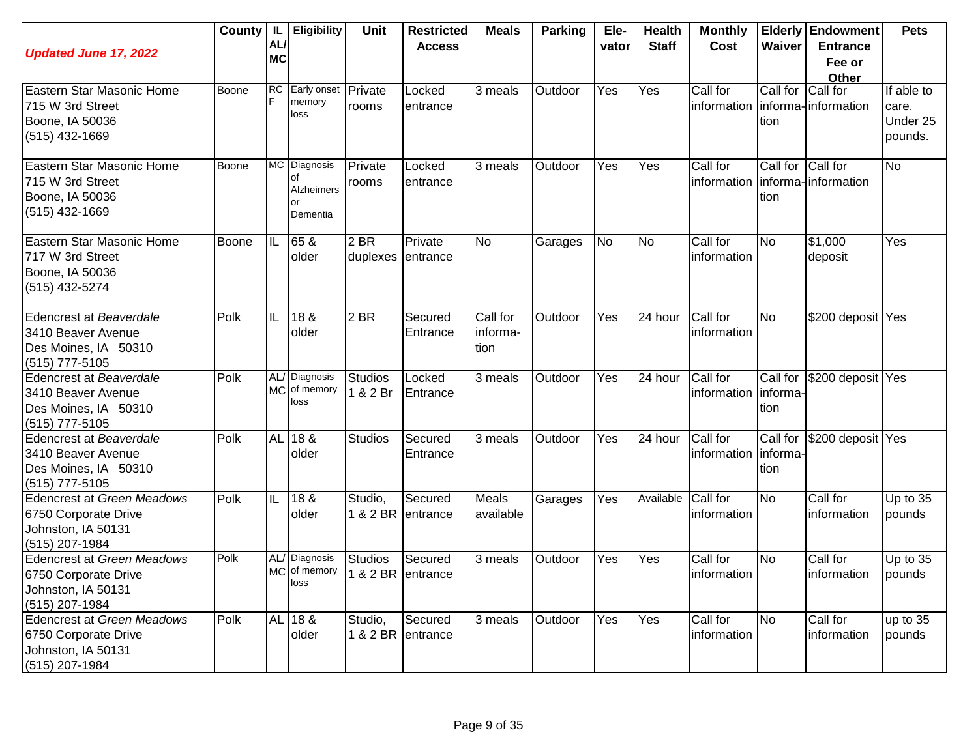| <b>Updated June 17, 2022</b>                                                                      | County       | IL<br>AL<br><b>MC</b> | <b>Eligibility</b>                                 | <b>Unit</b>                         | <b>Restricted</b><br><b>Access</b> | <b>Meals</b>                 | <b>Parking</b> | Ele-<br>vator | <b>Health</b><br><b>Staff</b> | <b>Monthly</b><br>Cost  | Waiver                        | <b>Elderly Endowment</b><br><b>Entrance</b><br>Fee or<br>Other | <b>Pets</b>                                |
|---------------------------------------------------------------------------------------------------|--------------|-----------------------|----------------------------------------------------|-------------------------------------|------------------------------------|------------------------------|----------------|---------------|-------------------------------|-------------------------|-------------------------------|----------------------------------------------------------------|--------------------------------------------|
| Eastern Star Masonic Home<br>715 W 3rd Street<br>Boone, IA 50036<br>$(515)$ 432-1669              | Boone        | <b>RC</b>             | Early onset Private<br>memory<br>loss              | rooms                               | Locked<br>entrance                 | 3 meals                      | Outdoor        | Yes           | Yes                           | Call for<br>information | Call for<br>tion              | Call for<br>linforma-linformation                              | If able to<br>care.<br>Under 25<br>pounds. |
| Eastern Star Masonic Home<br>715 W 3rd Street<br>Boone, IA 50036<br>$(515)$ 432-1669              | Boone        |                       | MC Diagnosis<br>of<br>Alzheimers<br>or<br>Dementia | Private<br>rooms                    | Locked<br>entrance                 | 3 meals                      | Outdoor        | Yes           | Yes                           | Call for<br>information | Call for Call for<br>tion     | informa-information                                            | <b>No</b>                                  |
| Eastern Star Masonic Home<br>717 W 3rd Street<br>Boone, IA 50036<br>(515) 432-5274                | <b>Boone</b> | IIL                   | 65 &<br>older                                      | 2 BR<br>duplexes entrance           | Private                            | <b>No</b>                    | Garages        | <b>No</b>     | <b>No</b>                     | Call for<br>information | N <sub>o</sub>                | $\sqrt{$1,000}$<br>deposit                                     | Yes                                        |
| Edencrest at Beaverdale<br>3410 Beaver Avenue<br>Des Moines, IA 50310<br>(515) 777-5105           | Polk         | IL                    | 18 &<br>older                                      | $\overline{2}$ BR                   | Secured<br>Entrance                | Call for<br>informa-<br>tion | Outdoor        | Yes           | 24 hour                       | Call for<br>information | <b>No</b>                     | \$200 deposit Yes                                              |                                            |
| Edencrest at Beaverdale<br>3410 Beaver Avenue<br>Des Moines, IA 50310<br>(515) 777-5105           | Polk         | <b>MC</b>             | AL/ Diagnosis<br>of memory<br>loss                 | <b>Studios</b><br>1 & 2 Br          | Locked<br>Entrance                 | 3 meals                      | Outdoor        | Yes           | 24 hour                       | Call for<br>information | Call for<br>informa-<br>tion  | \$200 deposit Yes                                              |                                            |
| Edencrest at Beaverdale<br>3410 Beaver Avenue<br>Des Moines, IA 50310<br>(515) 777-5105           | Polk         | AL <sup>1</sup>       | 18 &<br>older                                      | <b>Studios</b>                      | Secured<br>Entrance                | 3 meals                      | Outdoor        | Yes           | 24 hour                       | Call for<br>information | Call for<br>linforma-<br>tion | \$200 deposit Yes                                              |                                            |
| <b>Edencrest at Green Meadows</b><br>6750 Corporate Drive<br>Johnston, IA 50131<br>(515) 207-1984 | Polk         | IL                    | 18 &<br>older                                      | Studio,                             | Secured<br>1 & 2 BR entrance       | Meals<br>available           | Garages        | Yes           | Available                     | Call for<br>information | <b>No</b>                     | Call for<br>information                                        | Up to 35<br>pounds                         |
| <b>Edencrest at Green Meadows</b><br>6750 Corporate Drive<br>Johnston, IA 50131<br>(515) 207-1984 | Polk         |                       | AL/ Diagnosis<br>MC of memory<br>loss              | <b>Studios</b><br>1 & 2 BR entrance | Secured                            | 3 meals                      | Outdoor        | Yes           | Yes                           | Call for<br>information | No                            | Call for<br>information                                        | Up to 35<br>pounds                         |
| <b>Edencrest at Green Meadows</b><br>6750 Corporate Drive<br>Johnston, IA 50131<br>(515) 207-1984 | Polk         |                       | AL 18 &<br>older                                   | Studio,                             | Secured<br>1 & 2 BR entrance       | 3 meals                      | Outdoor        | Yes           | Yes                           | Call for<br>information | No                            | Call for<br>information                                        | up to 35<br>pounds                         |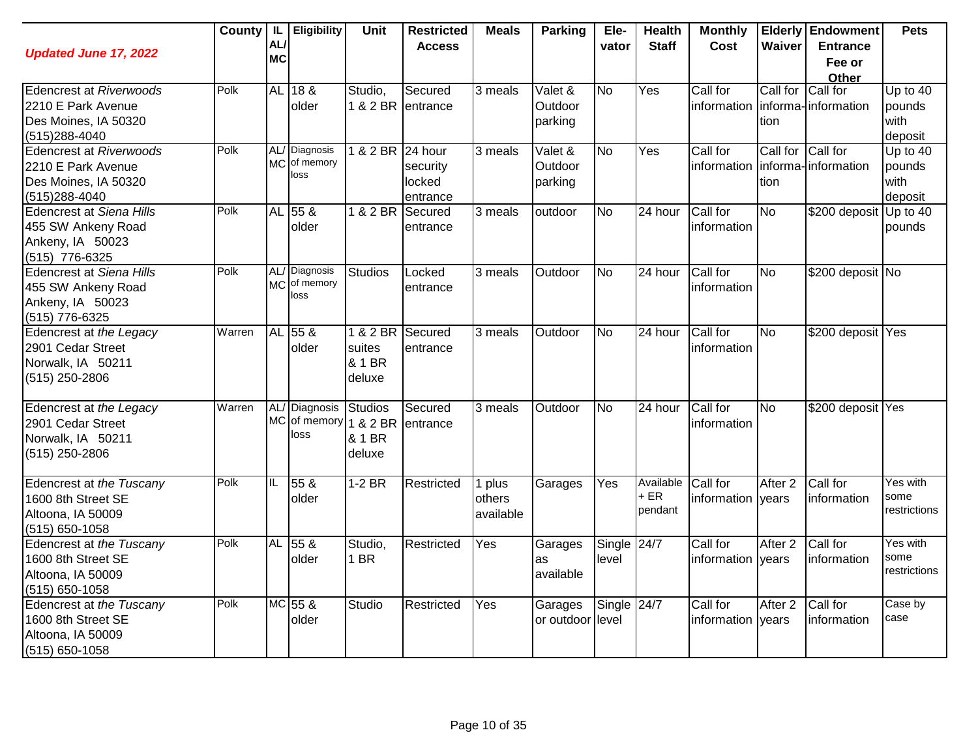| <b>Updated June 17, 2022</b>    | <b>County</b> | IL<br>AL/<br><b>MC</b> | Eligibility           | Unit              | <b>Restricted</b><br><b>Access</b> | <b>Meals</b> | <b>Parking</b>              | Ele-<br>vator | <b>Health</b><br><b>Staff</b> | <b>Monthly</b><br><b>Cost</b> | Waiver             | <b>Elderly Endowment</b><br><b>Entrance</b> | <b>Pets</b>  |
|---------------------------------|---------------|------------------------|-----------------------|-------------------|------------------------------------|--------------|-----------------------------|---------------|-------------------------------|-------------------------------|--------------------|---------------------------------------------|--------------|
|                                 |               |                        |                       |                   |                                    |              |                             |               |                               |                               |                    | Fee or<br>Other                             |              |
| <b>Edencrest at Riverwoods</b>  | Polk          |                        | AL 18 &               | Studio,           | Secured                            | 3 meals      | Valet &                     | <b>No</b>     | Yes                           | Call for                      | Call for Call for  |                                             | Up to $40$   |
| 2210 E Park Avenue              |               |                        | older                 | 1 & 2 BR entrance |                                    |              | Outdoor                     |               |                               | information                   |                    | informa-information                         | pounds       |
| Des Moines, IA 50320            |               |                        |                       |                   |                                    |              | parking                     |               |                               |                               | tion               |                                             | with         |
| (515)288-4040                   |               |                        |                       |                   |                                    |              |                             |               |                               |                               |                    |                                             | deposit      |
| <b>Edencrest at Riverwoods</b>  | Polk          | AL/                    | Diagnosis             | 1 & 2 BR 24 hour  |                                    | 3 meals      | $\overline{\text{Valet}}$ & | No            | Yes                           | Call for                      | Call for Call for  |                                             | Up to 40     |
| 2210 E Park Avenue              |               | <b>MC</b>              | of memory             |                   | security                           |              | Outdoor                     |               |                               | information                   |                    | informa-information                         | pounds       |
| Des Moines, IA 50320            |               |                        | loss                  |                   | locked                             |              | parking                     |               |                               |                               | tion               |                                             | with         |
| (515) 288-4040                  |               |                        |                       |                   | entrance                           |              |                             |               |                               |                               |                    |                                             | deposit      |
| <b>Edencrest at Siena Hills</b> | Polk          | <b>AL</b>              | 55 <sub>8</sub>       | 1 & 2 BR          | Secured                            | 3 meals      | outdoor                     | No            | 24 hour                       | Call for                      | No                 | \$200 deposit                               | Up to 40     |
| 455 SW Ankeny Road              |               |                        | older                 |                   | entrance                           |              |                             |               |                               | information                   |                    |                                             | pounds       |
| Ankeny, IA 50023                |               |                        |                       |                   |                                    |              |                             |               |                               |                               |                    |                                             |              |
| (515) 776-6325                  |               |                        |                       |                   |                                    |              |                             |               |                               |                               |                    |                                             |              |
| <b>Edencrest at Siena Hills</b> | Polk          |                        | AL/Diagnosis          | <b>Studios</b>    | Locked                             | 3 meals      | Outdoor                     | <b>No</b>     | 24 hour                       | Call for                      | No                 | \$200 deposit No                            |              |
| 455 SW Ankeny Road              |               | <b>MC</b>              | of memory<br>loss     |                   | entrance                           |              |                             |               |                               | information                   |                    |                                             |              |
| Ankeny, IA 50023                |               |                        |                       |                   |                                    |              |                             |               |                               |                               |                    |                                             |              |
| (515) 776-6325                  |               |                        |                       |                   |                                    |              |                             |               |                               |                               |                    |                                             |              |
| Edencrest at the Legacy         | Warren        |                        | AL 55 &               | 1 & 2 BR          | Secured                            | 3 meals      | Outdoor                     | <b>No</b>     | 24 hour                       | Call for                      | <b>No</b>          | \$200 deposit Yes                           |              |
| 2901 Cedar Street               |               |                        | older                 | suites            | entrance                           |              |                             |               |                               | information                   |                    |                                             |              |
| Norwalk, IA 50211               |               |                        |                       | & 1 BR            |                                    |              |                             |               |                               |                               |                    |                                             |              |
| (515) 250-2806                  |               |                        |                       | deluxe            |                                    |              |                             |               |                               |                               |                    |                                             |              |
| Edencrest at the Legacy         | Warren        | AL/                    | <b>Diagnosis</b>      | <b>Studios</b>    | Secured                            | 3 meals      | Outdoor                     | <b>No</b>     | 24 hour                       | Call for                      | <b>No</b>          | \$200 deposit Yes                           |              |
| 2901 Cedar Street               |               |                        | MC of memory 1 & 2 BR |                   | entrance                           |              |                             |               |                               | information                   |                    |                                             |              |
| Norwalk, IA 50211               |               |                        | loss                  | & 1 BR            |                                    |              |                             |               |                               |                               |                    |                                             |              |
| (515) 250-2806                  |               |                        |                       | deluxe            |                                    |              |                             |               |                               |                               |                    |                                             |              |
| Edencrest at the Tuscany        | Polk          | IL                     | 55 <sub>8</sub>       | $1-2$ BR          | Restricted                         | 1 plus       | Garages                     | Yes           | Available                     | Call for                      | After <sub>2</sub> | Call for                                    | Yes with     |
| 1600 8th Street SE              |               |                        | older                 |                   |                                    | others       |                             |               | + ER                          | information vears             |                    | information                                 | some         |
| Altoona, IA 50009               |               |                        |                       |                   |                                    | available    |                             |               | pendant                       |                               |                    |                                             | restrictions |
| (515) 650-1058                  |               |                        |                       |                   |                                    |              |                             |               |                               |                               |                    |                                             |              |
| Edencrest at the Tuscany        | Polk          | <b>AL</b>              | $55\ \&$              | Studio,           | Restricted                         | Yes          | Garages                     | Single 24/7   |                               | Call for                      | After <sub>2</sub> | Call for                                    | Yes with     |
| 1600 8th Street SE              |               |                        | older                 | 1 BR              |                                    |              | as                          | level         |                               | information years             |                    | information                                 | some         |
| Altoona, IA 50009               |               |                        |                       |                   |                                    |              | available                   |               |                               |                               |                    |                                             | restrictions |
| $(515)$ 650-1058                |               |                        |                       |                   |                                    |              |                             |               |                               |                               |                    |                                             |              |
| Edencrest at the Tuscany        | Polk          |                        | MC 55 &               | Studio            | Restricted                         | Yes          | Garages                     | Single 24/7   |                               | Call for                      | After <sub>2</sub> | Call for                                    | Case by      |
| 1600 8th Street SE              |               |                        | older                 |                   |                                    |              | or outdoor llevel           |               |                               | information vears             |                    | information                                 | case         |
| Altoona, IA 50009               |               |                        |                       |                   |                                    |              |                             |               |                               |                               |                    |                                             |              |
| $(515) 650 - 1058$              |               |                        |                       |                   |                                    |              |                             |               |                               |                               |                    |                                             |              |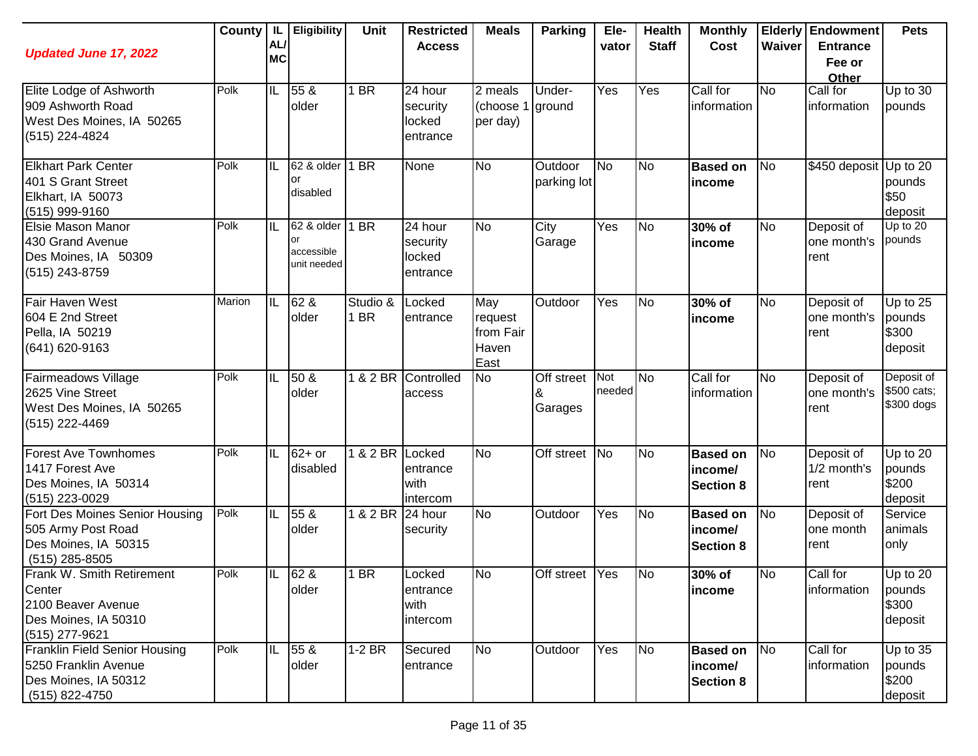| <b>Updated June 17, 2022</b>                                                                               | County   IL | AL<br><b>MC</b>          | <b>Eligibility</b>                            | <b>Unit</b>      | <b>Restricted</b><br><b>Access</b>        | <b>Meals</b>                                 | <b>Parking</b>         | Ele-<br>vator | <b>Health</b><br><b>Staff</b> | <b>Monthly</b><br>Cost                         | Waiver    | <b>Elderly Endowment</b><br><b>Entrance</b><br>Fee or<br>Other | <b>Pets</b>                              |
|------------------------------------------------------------------------------------------------------------|-------------|--------------------------|-----------------------------------------------|------------------|-------------------------------------------|----------------------------------------------|------------------------|---------------|-------------------------------|------------------------------------------------|-----------|----------------------------------------------------------------|------------------------------------------|
| Elite Lodge of Ashworth<br>909 Ashworth Road<br>West Des Moines, IA 50265<br>(515) 224-4824                | Polk        | $\overline{\mathsf{IL}}$ | 55 &<br>older                                 | 1 BR             | 24 hour<br>security<br>locked<br>entrance | 2 meals<br>(choose 1<br>per day)             | Under-<br>ground       | Yes           | Yes                           | Call for<br>information                        | <b>No</b> | Call for<br>information                                        | Up to 30<br>pounds                       |
| <b>Elkhart Park Center</b><br>401 S Grant Street<br>Elkhart, IA 50073<br>(515) 999-9160                    | Polk        | IL                       | 62 & older<br>or<br>disabled                  | 1 BR             | None                                      | <b>No</b>                                    | Outdoor<br>parking lot | <b>No</b>     | <b>No</b>                     | <b>Based on</b><br>income                      | No        | \$450 deposit                                                  | Up to 20<br>pounds<br>\$50<br>deposit    |
| Elsie Mason Manor<br>430 Grand Avenue<br>Des Moines, IA 50309<br>(515) 243-8759                            | Polk        | IL                       | 62 & older<br>or<br>accessible<br>unit needed | 1 BR             | 24 hour<br>security<br>locked<br>entrance | <b>No</b>                                    | City<br>Garage         | Yes           | <b>No</b>                     | 30% of<br>income                               | <b>No</b> | Deposit of<br>one month's<br>rent                              | Up to 20<br>pounds                       |
| Fair Haven West<br>604 E 2nd Street<br>Pella, IA 50219<br>(641) 620-9163                                   | Marion      | Iil                      | 62 &<br>older                                 | Studio &<br>1 BR | Locked<br>entrance                        | May<br>request<br>from Fair<br>Haven<br>East | Outdoor                | Yes           | No                            | 30% of<br>income                               | <b>No</b> | Deposit of<br>one month's<br>rent                              | Up to $25$<br>pounds<br>\$300<br>deposit |
| Fairmeadows Village<br>2625 Vine Street<br>West Des Moines, IA 50265<br>(515) 222-4469                     | Polk        | IL                       | 50 &<br>older                                 |                  | 1 & 2 BR Controlled<br>access             | <b>No</b>                                    | Off street<br>Garages  | Not<br>needed | <b>No</b>                     | Call for<br>information                        | <b>No</b> | Deposit of<br>one month's<br>rent                              | Deposit of<br>\$500 cats;<br>\$300 dogs  |
| <b>Forest Ave Townhomes</b><br>1417 Forest Ave<br>Des Moines, IA 50314<br>(515) 223-0029                   | Polk        | IL                       | $62+$ or<br>disabled                          | 1 & 2 BR Locked  | entrance<br>with<br>intercom              | <b>No</b>                                    | Off street No          |               | <b>No</b>                     | <b>Based on</b><br>income/<br><b>Section 8</b> | <b>No</b> | Deposit of<br>1/2 month's<br>rent                              | Up to 20<br>pounds<br>\$200<br>deposit   |
| Fort Des Moines Senior Housing<br>505 Army Post Road<br>Des Moines, IA 50315<br>$(515)$ 285-8505           | Polk        | IL                       | 55 &<br>older                                 | 1 & 2 BR 24 hour | security                                  | <b>No</b>                                    | Outdoor                | Yes           | <b>No</b>                     | <b>Based on</b><br>income/<br><b>Section 8</b> | No        | Deposit of<br>one month<br>rent                                | Service<br>animals<br>only               |
| <b>Frank W. Smith Retirement</b><br>Center<br>2100 Beaver Avenue<br>Des Moines, IA 50310<br>(515) 277-9621 | Polk        | IL                       | 62 &<br>older                                 | 1 BR             | Locked<br>entrance<br>with<br>intercom    | <b>No</b>                                    | Off street Yes         |               | N <sub>o</sub>                | 30% of<br>income                               | <b>No</b> | Call for<br>information                                        | Up to 20<br>pounds<br>\$300<br>deposit   |
| Franklin Field Senior Housing<br>5250 Franklin Avenue<br>Des Moines, IA 50312<br>(515) 822-4750            | Polk        | IL                       | 55 &<br>older                                 | $1-2$ BR         | Secured<br>entrance                       | <b>No</b>                                    | Outdoor                | Yes           | <b>No</b>                     | <b>Based on</b><br>income/<br><b>Section 8</b> | No        | Call for<br>information                                        | Up to 35<br>pounds<br>\$200<br>deposit   |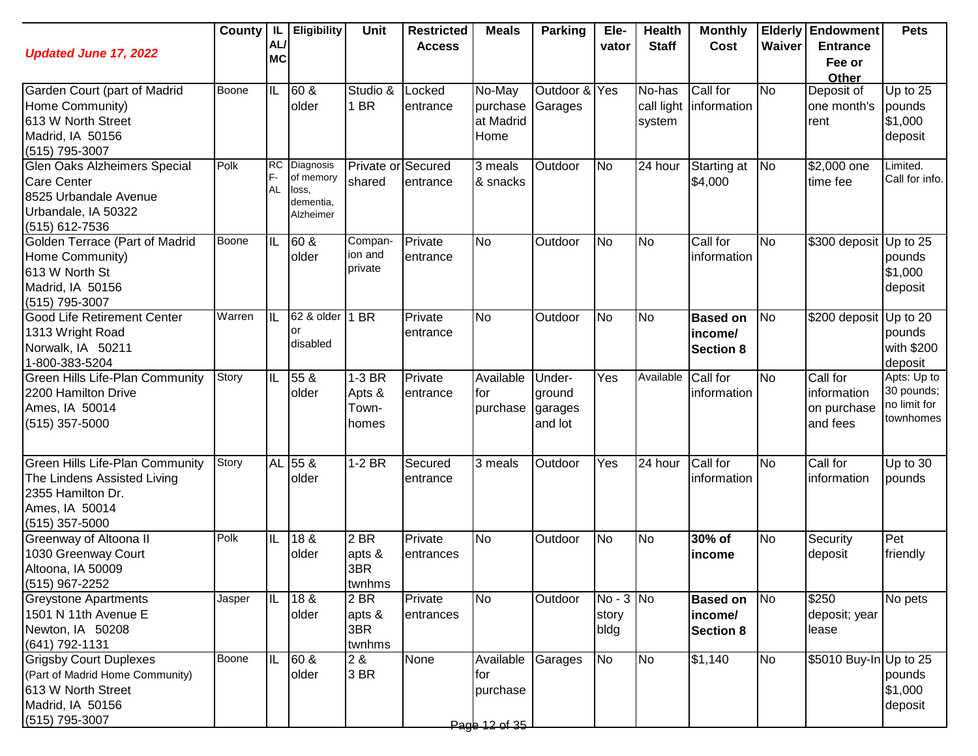| <b>Updated June 17, 2022</b>                                                                                                     |              | AL/<br><b>MC</b>             | County   IL   Eligibility                                 | <b>Unit</b>                        | <b>Restricted</b><br><b>Access</b> | <b>Meals</b>                                  | <b>Parking</b>                         | Ele-<br>vator                | <b>Health</b><br><b>Staff</b>  | <b>Monthly</b><br>Cost                         | Waiver    | <b>Elderly Endowment</b><br><b>Entrance</b><br>Fee or | <b>Pets</b>                                            |
|----------------------------------------------------------------------------------------------------------------------------------|--------------|------------------------------|-----------------------------------------------------------|------------------------------------|------------------------------------|-----------------------------------------------|----------------------------------------|------------------------------|--------------------------------|------------------------------------------------|-----------|-------------------------------------------------------|--------------------------------------------------------|
| Garden Court (part of Madrid<br>Home Community)<br>613 W North Street<br>Madrid, IA 50156<br>$(515)$ 795-3007                    | Boone        | $ \mathbb{L} $               | 60 &<br>older                                             | Studio &<br>1 BR                   | Locked<br>entrance                 | No-May<br>purchase<br>at Madrid<br>Home       | Outdoor & Yes<br>Garages               |                              | No-has<br>call light<br>system | Call for<br>information                        | <b>No</b> | Other<br>Deposit of<br>one month's<br>rent            | Up to 25<br>pounds<br>\$1,000<br>deposit               |
| <b>Glen Oaks Alzheimers Special</b><br><b>Care Center</b><br>8525 Urbandale Avenue<br>Urbandale, IA 50322<br>(515) 612-7536      | Polk         | <b>RC</b><br>F-<br><b>AL</b> | Diagnosis<br>of memory<br>loss,<br>dementia,<br>Alzheimer | Private or<br>shared               | Secured<br>entrance                | 3 meals<br>& snacks                           | Outdoor                                | No                           | 24 hour                        | Starting at<br>\$4,000                         | <b>No</b> | \$2,000 one<br>time fee                               | Limited.<br>Call for info.                             |
| Golden Terrace (Part of Madrid<br>Home Community)<br>613 W North St<br>Madrid, IA 50156<br>(515) 795-3007                        | <b>Boone</b> | IL                           | $\overline{60}$ &<br>older                                | Compan-<br>ion and<br>private      | Private<br>entrance                | <b>No</b>                                     | Outdoor                                | <b>No</b>                    | No                             | Call for<br>information                        | <b>No</b> | \$300 deposit Up to 25                                | pounds<br>\$1,000<br>deposit                           |
| <b>Good Life Retirement Center</b><br>1313 Wright Road<br>Norwalk, IA 50211<br>1-800-383-5204                                    | Warren       | $\overline{\mathbb{L}}$      | 62 & older<br>or<br>disabled                              | 1 BR                               | Private<br>entrance                | <b>No</b>                                     | Outdoor                                | <b>No</b>                    | N <sub>o</sub>                 | <b>Based on</b><br>income/<br><b>Section 8</b> | <b>No</b> | \$200 deposit                                         | Up to 20<br>pounds<br>with \$200<br>deposit            |
| <b>Green Hills Life-Plan Community</b><br>2200 Hamilton Drive<br>Ames, IA 50014<br>$(515)$ 357-5000                              | Story        | IIL                          | 55 &<br>older                                             | 1-3 BR<br>Apts &<br>Town-<br>homes | Private<br>entrance                | Available<br>for<br>purchase                  | Under-<br>ground<br>garages<br>and lot | Yes                          | Available                      | Call for<br>information                        | <b>No</b> | Call for<br>information<br>on purchase<br>and fees    | Apts: Up to<br>30 pounds;<br>no limit for<br>townhomes |
| <b>Green Hills Life-Plan Community</b><br>The Lindens Assisted Living<br>2355 Hamilton Dr.<br>Ames, IA 50014<br>$(515)$ 357-5000 | Story        |                              | AL 55 &<br>older                                          | $1-2$ BR                           | Secured<br>entrance                | 3 meals                                       | Outdoor                                | Yes                          | 24 hour                        | Call for<br>information                        | <b>No</b> | Call for<br>information                               | Up to 30<br>pounds                                     |
| Greenway of Altoona II<br>1030 Greenway Court<br>Altoona, IA 50009<br>(515) 967-2252                                             | Polk         | IL                           | 18 &<br>older                                             | 2 BR<br>apts &<br>3BR<br>twnhms    | Private<br>entrances               | <b>No</b>                                     | Outdoor                                | <b>No</b>                    | No                             | 30% of<br>income                               | No        | Security<br>deposit                                   | Pet<br>friendly                                        |
| <b>Greystone Apartments</b><br>1501 N 11th Avenue E<br>Newton, IA 50208<br>(641) 792-1131                                        | Jasper       | IIL                          | 18 &<br>older                                             | 2 BR<br>apts &<br>3BR<br>twnhms    | Private<br>entrances               | <b>No</b>                                     | Outdoor                                | $No - 3 No$<br>story<br>bldg |                                | <b>Based on</b><br>income/<br><b>Section 8</b> | No        | \$250<br>deposit; year<br>lease                       | No pets                                                |
| <b>Grigsby Court Duplexes</b><br>(Part of Madrid Home Community)<br>613 W North Street<br>Madrid, IA 50156<br>(515) 795-3007     | Boone        | IL                           | 60 &<br>older                                             | 2 &<br>3 BR                        | None                               | Available<br>for<br>purchase<br>Page 12 of 35 | Garages                                | <b>No</b>                    | No                             | \$1,140                                        | No        | \$5010 Buy-In Up to 25                                | pounds<br>\$1,000<br>deposit                           |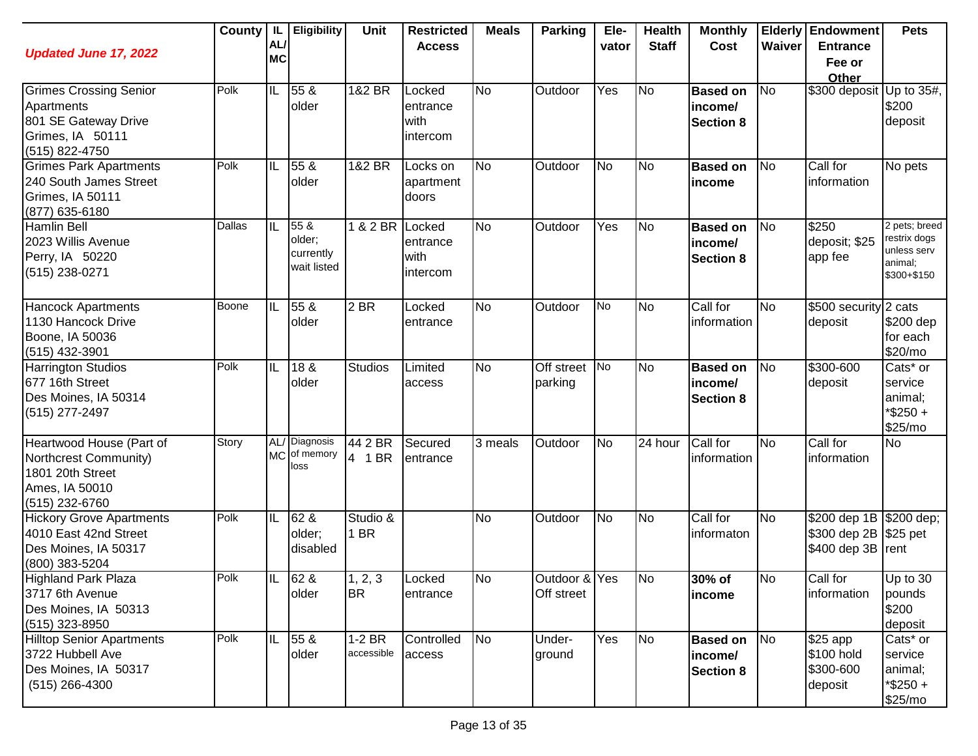| <b>Updated June 17, 2022</b>                                                                              |        | AL/<br><b>MC</b> | County   IL   Eligibility                  | Unit                   | <b>Restricted</b><br><b>Access</b>     | <b>Meals</b> | <b>Parking</b>                 | Ele-<br>vator | <b>Health</b><br><b>Staff</b> | <b>Monthly</b><br>Cost                         | Waiver    | <b>Elderly Endowment</b><br><b>Entrance</b><br>Fee or<br><b>Other</b>   | <b>Pets</b>                                                            |
|-----------------------------------------------------------------------------------------------------------|--------|------------------|--------------------------------------------|------------------------|----------------------------------------|--------------|--------------------------------|---------------|-------------------------------|------------------------------------------------|-----------|-------------------------------------------------------------------------|------------------------------------------------------------------------|
| <b>Grimes Crossing Senior</b><br>Apartments<br>801 SE Gateway Drive<br>Grimes, IA 50111<br>(515) 822-4750 | Polk   | IL               | 55 &<br>older                              | 1&2 BR                 | Locked<br>entrance<br>with<br>intercom | <b>No</b>    | Outdoor                        | Yes           | No                            | <b>Based on</b><br>income/<br><b>Section 8</b> | <b>No</b> | \$300 deposit Up to 35#,                                                | \$200<br>deposit                                                       |
| <b>Grimes Park Apartments</b><br>240 South James Street<br>Grimes, IA 50111<br>(877) 635-6180             | Polk   | IL               | 55 &<br>older                              | 1&2 BR                 | Locks on<br>apartment<br>doors         | <b>No</b>    | Outdoor                        | <b>No</b>     | <b>No</b>                     | <b>Based on</b><br>income                      | <b>No</b> | Call for<br>information                                                 | No pets                                                                |
| <b>Hamlin Bell</b><br>2023 Willis Avenue<br>Perry, IA 50220<br>$(515)$ 238-0271                           | Dallas | IL               | 55 &<br>older;<br>currently<br>wait listed | 1 & 2 BR               | Locked<br>entrance<br>with<br>intercom | <b>No</b>    | Outdoor                        | Yes           | No                            | <b>Based on</b><br>income/<br><b>Section 8</b> | No        | \$250<br>deposit; \$25<br>app fee                                       | 2 pets; breed<br>restrix dogs<br>unless serv<br>animal;<br>\$300+\$150 |
| <b>Hancock Apartments</b><br>1130 Hancock Drive<br>Boone, IA 50036<br>(515) 432-3901                      | Boone  | IIL              | 55 &<br>older                              | 2 BR                   | Locked<br>entrance                     | <b>No</b>    | Outdoor                        | <b>No</b>     | No                            | Call for<br>information                        | <b>No</b> | \$500 security $2$ cats<br>deposit                                      | \$200 dep<br>for each<br>\$20/mo                                       |
| <b>Harrington Studios</b><br>677 16th Street<br>Des Moines, IA 50314<br>(515) 277-2497                    | Polk   | IL               | 18 <sub>8</sub><br>older                   | <b>Studios</b>         | Limited<br>access                      | <b>No</b>    | Off street<br>parking          | <b>No</b>     | No                            | <b>Based on</b><br>income/<br><b>Section 8</b> | <b>No</b> | \$300-600<br>deposit                                                    | Cats* or<br>service<br>animal;<br>*\$250+<br>\$25/mo                   |
| Heartwood House (Part of<br>Northcrest Community)<br>1801 20th Street<br>Ames, IA 50010<br>(515) 232-6760 | Story  |                  | AL/ Diagnosis<br>MC of memory<br>loss      | 44 2 BR<br>4 1 BR      | Secured<br>entrance                    | 3 meals      | Outdoor                        | <b>No</b>     | 24 hour                       | Call for<br>information                        | <b>No</b> | Call for<br>information                                                 | <b>No</b>                                                              |
| <b>Hickory Grove Apartments</b><br>4010 East 42nd Street<br>Des Moines, IA 50317<br>(800) 383-5204        | Polk   | IL               | 62 &<br>older;<br>disabled                 | Studio &<br>1 BR       |                                        | <b>No</b>    | Outdoor                        | <b>No</b>     | No                            | Call for<br>informaton                         | <b>No</b> | \$200 dep 1B \$200 dep;<br>\$300 dep 2B   \$25 pet<br>\$400 dep 3B rent |                                                                        |
| <b>Highland Park Plaza</b><br>3717 6th Avenue<br>Des Moines, IA 50313<br>(515) 323-8950                   | Polk   |                  | IL 62 &<br>older                           | 1, 2, 3<br><b>BR</b>   | Locked<br>entrance                     | No           | Outdoor & Yes No<br>Off street |               |                               | 30% of<br><b>income</b>                        | No        | Call for<br>information                                                 | Up to 30<br>pounds<br>\$200<br>deposit                                 |
| <b>Hilltop Senior Apartments</b><br>3722 Hubbell Ave<br>Des Moines, IA 50317<br>$(515)$ 266-4300          | Polk   |                  | IL 55 &<br>older                           | $1-2$ BR<br>accessible | Controlled<br>access                   | <b>No</b>    | Under-<br>ground               | Yes           | N <sub>o</sub>                | <b>Based on</b><br>income/<br><b>Section 8</b> | <b>No</b> | $\sqrt{$25}$ app<br>\$100 hold<br>\$300-600<br>deposit                  | Cats* or<br>service<br>animal;<br>$*$ \$250 +<br>\$25/mo               |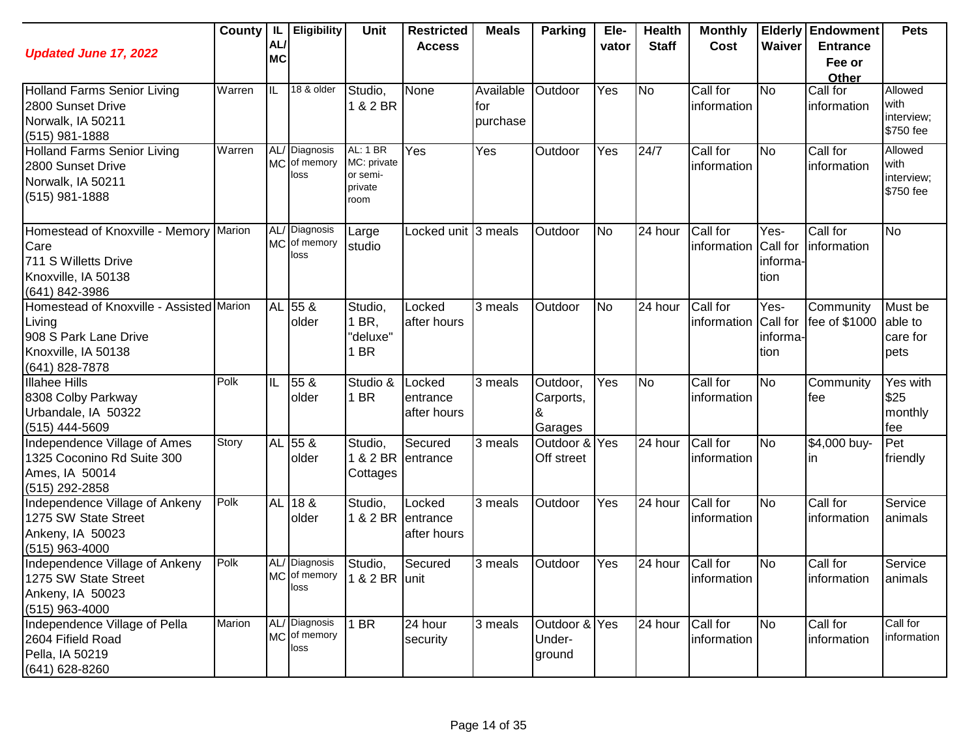| <b>Updated June 17, 2022</b>                                                                                         | County | L<br>AL<br><b>MC</b> | <b>Eligibility</b>                    | <b>Unit</b>                                            | <b>Restricted</b><br><b>Access</b> | <b>Meals</b>                 | <b>Parking</b>                    | Ele-<br>vator | <b>Health</b><br><b>Staff</b> | <b>Monthly</b><br>Cost           | Waiver                               | <b>Elderly Endowment</b><br><b>Entrance</b><br>Fee or | <b>Pets</b>                                |
|----------------------------------------------------------------------------------------------------------------------|--------|----------------------|---------------------------------------|--------------------------------------------------------|------------------------------------|------------------------------|-----------------------------------|---------------|-------------------------------|----------------------------------|--------------------------------------|-------------------------------------------------------|--------------------------------------------|
| <b>Holland Farms Senior Living</b><br>2800 Sunset Drive<br>Norwalk, IA 50211<br>(515) 981-1888                       | Warren | ℡                    | 18 & older                            | Studio,<br>1 & 2 BR                                    | None                               | Available<br>for<br>purchase | Outdoor                           | Yes           | <b>No</b>                     | Call for<br>information          | <b>No</b>                            | Other<br>Call for<br>information                      | Allowed<br>with<br>interview;<br>\$750 fee |
| <b>Holland Farms Senior Living</b><br>2800 Sunset Drive<br>Norwalk, IA 50211<br>$(515)$ 981-1888                     | Warren |                      | AL/ Diagnosis<br>MC of memory<br>loss | AL: 1 BR<br>MC: private<br>or semi-<br>private<br>room | Yes                                | Yes                          | Outdoor                           | Yes           | 24/7                          | Call for<br>information          | N <sub>o</sub>                       | Call for<br>information                               | Allowed<br>with<br>interview;<br>\$750 fee |
| Homestead of Knoxville - Memory Marion<br>Care<br>711 S Willetts Drive<br>Knoxville, IA 50138<br>(641) 842-3986      |        | <b>MC</b>            | AL/ Diagnosis<br>of memory<br>loss    | Large<br>studio                                        | Locked unit 3 meals                |                              | Outdoor                           | <b>No</b>     | 24 hour                       | Call for<br>information          | Yes-<br>Call for<br>informa-<br>tion | Call for<br>information                               | <b>No</b>                                  |
| Homestead of Knoxville - Assisted Marion<br>Living<br>908 S Park Lane Drive<br>Knoxville, IA 50138<br>(641) 828-7878 |        |                      | AL 55 &<br>older                      | Studio,<br>1 BR,<br>"deluxe"<br>1 BR                   | Locked<br>after hours              | 3 meals                      | Outdoor                           | <b>No</b>     | 24 hour                       | Call for<br>information Call for | Yes-<br>informa-<br>tion             | Community<br>fee of \$1000                            | Must be<br>able to<br>care for<br>pets     |
| <b>Illahee Hills</b><br>8308 Colby Parkway<br>Urbandale, IA 50322<br>(515) 444-5609                                  | Polk   | IL                   | 55 &<br>older                         | Studio &<br>1 BR                                       | Locked<br>entrance<br>after hours  | 3 meals                      | Outdoor,<br>Carports,<br>Garages  | Yes           | <b>No</b>                     | Call for<br>information          | N <sub>o</sub>                       | Community<br>lfee                                     | Yes with<br>\$25<br>monthly<br>fee         |
| Independence Village of Ames<br>1325 Coconino Rd Suite 300<br>Ames, IA 50014<br>(515) 292-2858                       | Story  |                      | AL 55 &<br>older                      | Studio,<br>1 & 2 BR<br>Cottages                        | Secured<br>entrance                | 3 meals                      | Outdoor & Yes<br>Off street       |               | 24 hour                       | Call for<br>information          | <b>No</b>                            | \$4,000 buy-<br>In                                    | Pet<br>friendly                            |
| Independence Village of Ankeny<br>1275 SW State Street<br>Ankeny, IA 50023<br>(515) 963-4000                         | Polk   | <b>AL</b>            | 18 &<br>older                         | Studio,<br>1 & 2 BR entrance                           | Locked<br>after hours              | 3 meals                      | Outdoor                           | Yes           | 24 hour                       | Call for<br>information          | <b>No</b>                            | Call for<br>information                               | Service<br>animals                         |
| Independence Village of Ankeny<br>1275 SW State Street<br>Ankeny, IA 50023<br>(515) 963-4000                         | Polk   |                      | AL/ Diagnosis<br>MC of memory<br>loss | Studio,<br>1 & 2 BR unit                               | Secured                            | 3 meals                      | Outdoor                           | Yes           | 24 hour                       | Call for<br>information          | <b>No</b>                            | Call for<br>information                               | Service<br>animals                         |
| Independence Village of Pella<br>2604 Fifield Road<br>Pella, IA 50219<br>(641) 628-8260                              | Marion |                      | AL/ Diagnosis<br>MC of memory<br>loss | $1$ BR                                                 | 24 hour<br>security                | 3 meals                      | Outdoor & Yes<br>Under-<br>ground |               | 24 hour                       | Call for<br>information          | <b>No</b>                            | Call for<br>information                               | Call for<br>information                    |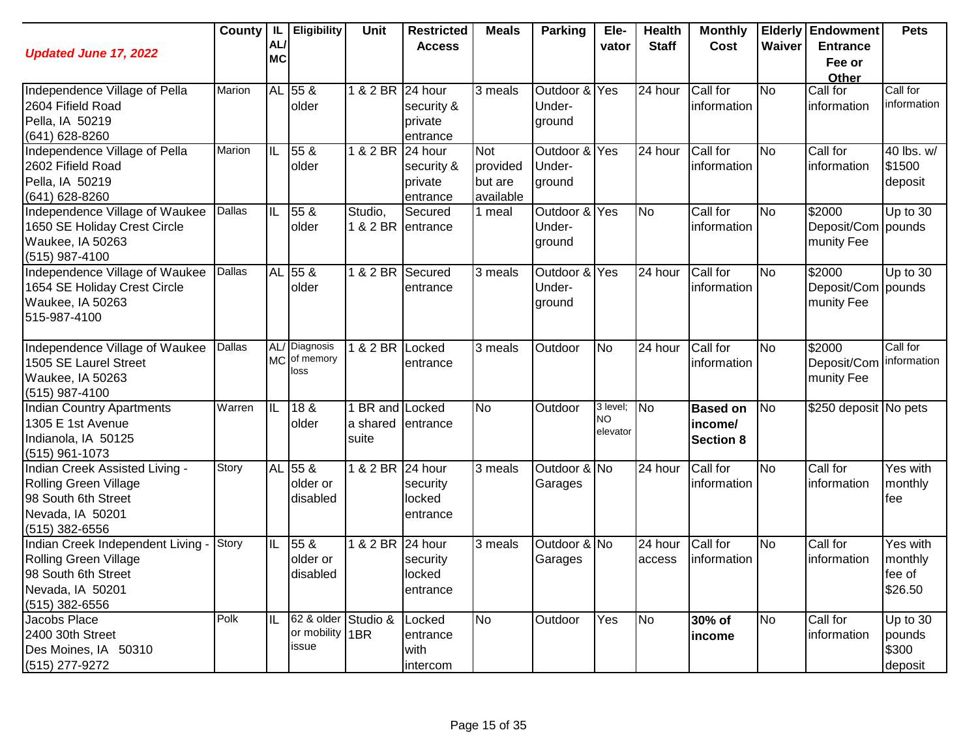| <b>Updated June 17, 2022</b>     | <b>County</b> | IL<br>AL/ | Eligibility                | <b>Unit</b>       | <b>Restricted</b><br><b>Access</b> | <b>Meals</b> | <b>Parking</b> | Ele-<br>vator  | <b>Health</b><br><b>Staff</b> | <b>Monthly</b><br>Cost | Waiver    | <b>Elderly Endowment</b><br><b>Entrance</b> | <b>Pets</b>     |
|----------------------------------|---------------|-----------|----------------------------|-------------------|------------------------------------|--------------|----------------|----------------|-------------------------------|------------------------|-----------|---------------------------------------------|-----------------|
|                                  |               | <b>MC</b> |                            |                   |                                    |              |                |                |                               |                        |           | Fee or<br>Other                             |                 |
| Independence Village of Pella    | Marion        |           | AL 55 &                    | 1 & 2 BR 24 hour  |                                    | 3 meals      | Outdoor & Yes  |                | 24 hour                       | Call for               | No        | Call for                                    | Call for        |
| 2604 Fifield Road                |               |           | older                      |                   | security &                         |              | Under-         |                |                               | information            |           | information                                 | information     |
| Pella, IA 50219                  |               |           |                            |                   | private                            |              | ground         |                |                               |                        |           |                                             |                 |
| (641) 628-8260                   |               |           |                            |                   | entrance                           |              |                |                |                               |                        |           |                                             |                 |
| Independence Village of Pella    | Marion        | IL        | 55 <sub>8</sub>            | 1 & 2 BR          | 24 hour                            | <b>Not</b>   | Outdoor & Yes  |                | 24 hour                       | Call for               | No        | Call for                                    | 40 lbs. w/      |
| 2602 Fifield Road                |               |           | older                      |                   | security &                         | provided     | Under-         |                |                               | information            |           | information                                 | \$1500          |
| Pella, IA 50219                  |               |           |                            |                   | private                            | but are      | ground         |                |                               |                        |           |                                             | deposit         |
| (641) 628-8260                   |               |           |                            |                   | entrance                           | available    |                |                |                               |                        |           |                                             |                 |
| Independence Village of Waukee   | Dallas        | IL        | 55 &                       | Studio,           | Secured                            | 1 meal       | Outdoor & Yes  |                | <b>No</b>                     | Call for               | <b>No</b> | \$2000                                      | Up to $30$      |
| 1650 SE Holiday Crest Circle     |               |           | older                      | 1 & 2 BR entrance |                                    |              | Under-         |                |                               | information            |           | Deposit/Com                                 | pounds          |
| Waukee, IA 50263                 |               |           |                            |                   |                                    |              | ground         |                |                               |                        |           | munity Fee                                  |                 |
| (515) 987-4100                   |               |           |                            |                   |                                    |              |                |                |                               |                        |           |                                             |                 |
| Independence Village of Waukee   | Dallas        |           | AL 55 &                    | 1 & 2 BR          | Secured                            | 3 meals      | Outdoor & Yes  |                | 24 hour                       | Call for               | <b>No</b> | $\sqrt{$2000}$                              | $Up$ to 30      |
| 1654 SE Holiday Crest Circle     |               |           | older                      |                   | entrance                           |              | Under-         |                |                               | information            |           | Deposit/Com pounds                          |                 |
| Waukee, IA 50263                 |               |           |                            |                   |                                    |              | ground         |                |                               |                        |           | munity Fee                                  |                 |
| 515-987-4100                     |               |           |                            |                   |                                    |              |                |                |                               |                        |           |                                             |                 |
|                                  |               |           |                            |                   |                                    |              |                |                |                               |                        |           |                                             |                 |
| Independence Village of Waukee   | Dallas        | <b>MC</b> | AL/ Diagnosis<br>of memory | 1 & 2 BR Locked   |                                    | 3 meals      | Outdoor        | <b>No</b>      | 24 hour                       | Call for               | <b>No</b> | \$2000                                      | Call for        |
| 1505 SE Laurel Street            |               |           | loss                       |                   | entrance                           |              |                |                |                               | information            |           | Deposit/Com                                 | information     |
| Waukee, IA 50263                 |               |           |                            |                   |                                    |              |                |                |                               |                        |           | munity Fee                                  |                 |
| (515) 987-4100                   |               |           |                            |                   |                                    |              |                |                |                               |                        |           |                                             |                 |
| <b>Indian Country Apartments</b> | Warren        | IL        | 18 &                       | 1 BR and Locked   |                                    | <b>No</b>    | Outdoor        | 3 level;<br>NO | <b>No</b>                     | <b>Based on</b>        | <b>No</b> | \$250 deposit No pets                       |                 |
| 1305 E 1st Avenue                |               |           | older                      | a shared          | entrance                           |              |                | elevator       |                               | income/                |           |                                             |                 |
| Indianola, IA 50125              |               |           |                            | suite             |                                    |              |                |                |                               | <b>Section 8</b>       |           |                                             |                 |
| (515) 961-1073                   |               |           |                            |                   |                                    |              |                |                |                               |                        |           |                                             |                 |
| Indian Creek Assisted Living -   | Story         |           | AL 55 &                    | 1 & 2 BR 24 hour  |                                    | 3 meals      | Outdoor & No   |                | $\overline{2}4$ hour          | Call for               | No        | Call for                                    | Yes with        |
| <b>Rolling Green Village</b>     |               |           | older or                   |                   | security                           |              | Garages        |                |                               | information            |           | information                                 | monthly         |
| 98 South 6th Street              |               |           | disabled                   |                   | locked                             |              |                |                |                               |                        |           |                                             | fee             |
| Nevada, IA 50201                 |               |           |                            |                   | entrance                           |              |                |                |                               |                        |           |                                             |                 |
| (515) 382-6556                   |               |           |                            |                   |                                    |              |                |                |                               |                        |           |                                             |                 |
| Indian Creek Independent Living  | Story         | IL        | 55 &                       | 1 & 2 BR 24 hour  |                                    | 3 meals      | Outdoor & No   |                | 24 hour                       | Call for               | No        | Call for                                    | Yes with        |
| <b>Rolling Green Village</b>     |               |           | older or                   |                   | security                           |              | Garages        |                | access                        | information            |           | information                                 | monthly         |
| 98 South 6th Street              |               |           | disabled                   |                   | locked                             |              |                |                |                               |                        |           |                                             | fee of          |
| Nevada, IA 50201                 |               |           |                            |                   | entrance                           |              |                |                |                               |                        |           |                                             | \$26.50         |
| (515) 382-6556                   | Polk          | IL        | 62 & older Studio &        |                   |                                    | <b>No</b>    | Outdoor        | Yes            | <b>No</b>                     |                        |           | Call for                                    |                 |
| Jacobs Place                     |               |           | or mobility 1BR            |                   | Locked                             |              |                |                |                               | 30% of                 | <b>No</b> |                                             | Up to 30        |
| 2400 30th Street                 |               |           | issue                      |                   | entrance                           |              |                |                |                               | income                 |           | information                                 | pounds<br>\$300 |
| Des Moines, IA 50310             |               |           |                            |                   | with                               |              |                |                |                               |                        |           |                                             |                 |
| (515) 277-9272                   |               |           |                            |                   | intercom                           |              |                |                |                               |                        |           |                                             | deposit         |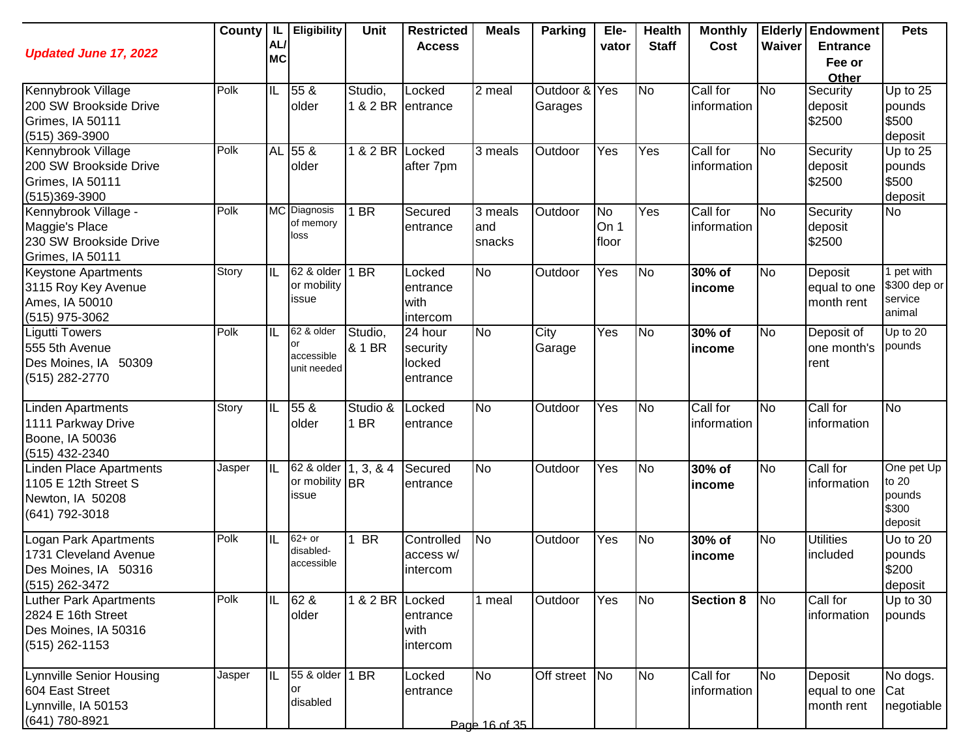| <b>Updated June 17, 2022</b>                                                                    | County | IL.<br>AL/<br><b>MC</b> | <b>Eligibility</b>                              | Unit              | <b>Restricted</b><br><b>Access</b>        | <b>Meals</b>               | <b>Parking</b>           | Ele-<br>vator              | <b>Health</b><br><b>Staff</b> | <b>Monthly</b><br>Cost  | Waiver         | <b>Elderly Endowment</b><br><b>Entrance</b><br>Fee or<br>Other | <b>Pets</b>                                       |
|-------------------------------------------------------------------------------------------------|--------|-------------------------|-------------------------------------------------|-------------------|-------------------------------------------|----------------------------|--------------------------|----------------------------|-------------------------------|-------------------------|----------------|----------------------------------------------------------------|---------------------------------------------------|
| Kennybrook Village<br>200 SW Brookside Drive<br>Grimes, IA 50111<br>$(515)$ 369-3900            | Polk   | IL                      | 55 &<br>older                                   | Studio,           | Locked<br>1 & 2 BR entrance               | 2 meal                     | Outdoor & Yes<br>Garages |                            | <b>No</b>                     | Call for<br>information | <b>No</b>      | Security<br>deposit<br>\$2500                                  | Up to $25$<br>pounds<br>\$500<br>deposit          |
| Kennybrook Village<br>200 SW Brookside Drive<br>Grimes, IA 50111<br>$(515)369-3900$             | Polk   |                         | AL 55 &<br>older                                | 1 & 2 BR Locked   | after 7pm                                 | $\overline{3}$ meals       | Outdoor                  | Yes                        | Yes                           | Call for<br>information | <b>No</b>      | Security<br>deposit<br>\$2500                                  | Up to 25<br>pounds<br>\$500<br>deposit            |
| Kennybrook Village -<br>Maggie's Place<br>230 SW Brookside Drive<br>Grimes, IA 50111            | Polk   |                         | MC Diagnosis<br>of memory<br>loss               | 1 BR              | Secured<br>entrance                       | 3 meals<br>and<br>snacks   | Outdoor                  | <b>No</b><br>On 1<br>floor | Yes                           | Call for<br>information | N <sub>o</sub> | Security<br>deposit<br>\$2500                                  | <b>No</b>                                         |
| <b>Keystone Apartments</b><br>3115 Roy Key Avenue<br>Ames, IA 50010<br>(515) 975-3062           | Story  | IIL                     | 62 & older<br>or mobility<br>issue              | 1 BR              | Locked<br>entrance<br>with<br>intercom    | <b>No</b>                  | Outdoor                  | Yes                        | <b>No</b>                     | 30% of<br>income        | <b>No</b>      | Deposit<br>equal to one<br>month rent                          | 1 pet with<br>\$300 dep or<br>service<br>animal   |
| Ligutti Towers<br>555 5th Avenue<br>Des Moines, IA 50309<br>(515) 282-2770                      | Polk   | IL                      | 62 & older<br>or<br>accessible<br>unit needed   | Studio,<br>& 1 BR | 24 hour<br>security<br>locked<br>entrance | <b>No</b>                  | City<br>Garage           | Yes                        | No                            | 30% of<br>income        | <b>No</b>      | Deposit of<br>one month's<br>rent                              | Up to $20$<br>pounds                              |
| Linden Apartments<br>1111 Parkway Drive<br>Boone, IA 50036<br>(515) 432-2340                    | Story  | IL                      | 55 &<br>older                                   | Studio &<br>1 BR  | Locked<br>entrance                        | <b>No</b>                  | Outdoor                  | Yes                        | No                            | Call for<br>information | No             | Call for<br>information                                        | <b>No</b>                                         |
| Linden Place Apartments<br>1105 E 12th Street S<br>Newton, IA 50208<br>(641) 792-3018           | Jasper | $\overline{\mathbb{L}}$ | 62 & older 1, 3, & 4<br>or mobility BR<br>issue |                   | Secured<br>entrance                       | <b>No</b>                  | Outdoor                  | Yes                        | No                            | 30% of<br>income        | No             | Call for<br>information                                        | One pet Up<br>to 20<br>pounds<br>\$300<br>deposit |
| Logan Park Apartments<br>1731 Cleveland Avenue<br>Des Moines, IA 50316<br>(515) 262-3472        | Polk   | IL                      | $62+$ or<br>disabled-<br>accessible             | <b>BR</b>         | Controlled<br>access w/<br>intercom       | <b>No</b>                  | Outdoor                  | Yes                        | No                            | 30% of<br>income        | <b>No</b>      | <b>Utilities</b><br>included                                   | Uo to 20<br>pounds<br>\$200<br>deposit            |
| <b>Luther Park Apartments</b><br>2824 E 16th Street<br>Des Moines, IA 50316<br>$(515)$ 262-1153 | Polk   | IL                      | 62 &<br>older                                   | 1 & 2 BR Locked   | entrance<br>with<br>intercom              | 1 meal                     | Outdoor                  | Yes                        | No                            | <b>Section 8</b>        | No             | Call for<br>information                                        | Up to 30<br>pounds                                |
| Lynnville Senior Housing<br>604 East Street<br>Lynnville, IA 50153<br>(641) 780-8921            | Jasper | IIL                     | 55 & older<br>lor<br>disabled                   | 1 BR              | Locked<br>entrance                        | <b>No</b><br>Page 16 of 35 | Off street No            |                            | <b>No</b>                     | Call for<br>information | <b>No</b>      | Deposit<br>equal to one<br>month rent                          | No dogs.<br>Cat<br>negotiable                     |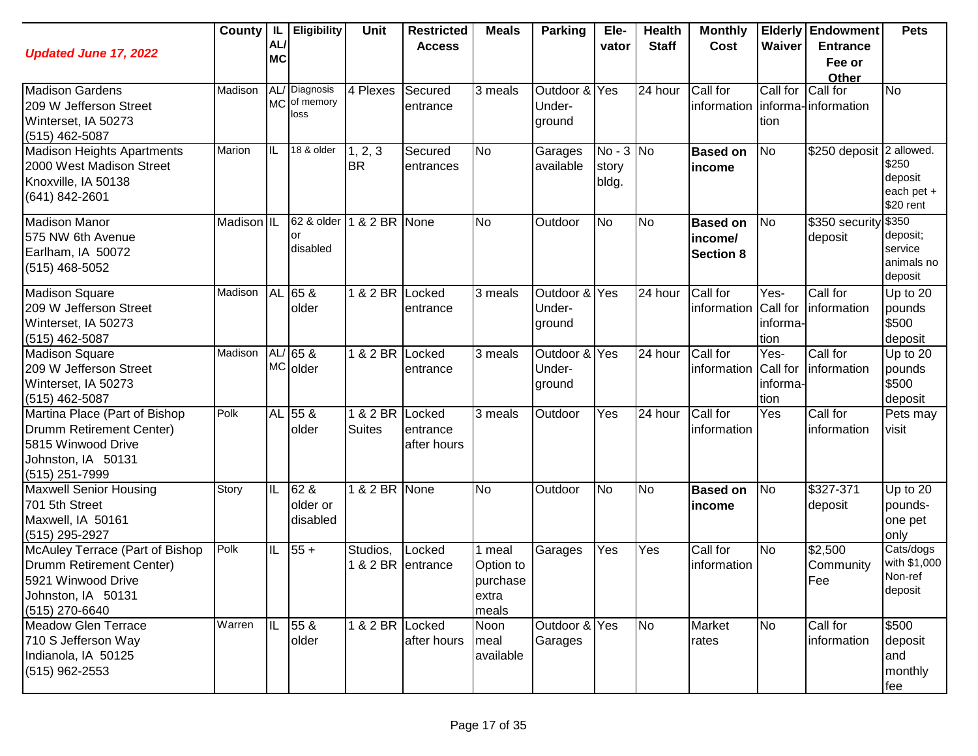| <b>Updated June 17, 2022</b>                                                                                              |            | AL/<br><b>MC</b> | County   IL   Eligibility             | <b>Unit</b>          | <b>Restricted</b><br><b>Access</b> | <b>Meals</b>                                      | Parking                           | Ele-<br>vator                 | <b>Health</b><br><b>Staff</b> | <b>Monthly</b><br>Cost                         | Waiver                               | <b>Elderly Endowment</b><br><b>Entrance</b><br>Fee or<br>Other | <b>Pets</b>                                           |
|---------------------------------------------------------------------------------------------------------------------------|------------|------------------|---------------------------------------|----------------------|------------------------------------|---------------------------------------------------|-----------------------------------|-------------------------------|-------------------------------|------------------------------------------------|--------------------------------------|----------------------------------------------------------------|-------------------------------------------------------|
| <b>Madison Gardens</b><br>209 W Jefferson Street<br>Winterset, IA 50273<br>(515) 462-5087                                 | Madison    |                  | AL/ Diagnosis<br>MC of memory<br>loss | 4 Plexes             | Secured<br>entrance                | 3 meals                                           | Outdoor & Yes<br>Under-<br>ground |                               | 24 hour                       | Call for<br>information   informa- information | Call for<br>tion                     | Call for                                                       | $\overline{N}$                                        |
| <b>Madison Heights Apartments</b><br>2000 West Madison Street<br>Knoxville, IA 50138<br>(641) 842-2601                    | Marion     | ℼ                | 18 & older                            | 1, 2, 3<br><b>BR</b> | Secured<br>entrances               | <b>No</b>                                         | Garages<br>available              | $No - 3 No$<br>story<br>bldg. |                               | <b>Based on</b><br>income                      | No                                   | \$250 deposit 2 allowed.                                       | \$250<br>deposit<br>each pet +<br>\$20 rent           |
| <b>Madison Manor</b><br>575 NW 6th Avenue<br>Earlham, IA 50072<br>$(515)$ 468-5052                                        | Madison IL |                  | 62 & older<br>or<br>disabled          | 1 & 2 BR             | <b>None</b>                        | <b>No</b>                                         | Outdoor                           | <b>No</b>                     | N <sub>o</sub>                | <b>Based on</b><br>income/<br><b>Section 8</b> | N <sub>o</sub>                       | \$350 security<br>deposit                                      | \$350<br>deposit;<br>service<br>animals no<br>deposit |
| <b>Madison Square</b><br>209 W Jefferson Street<br>Winterset, IA 50273<br>$(515)$ 462-5087                                | Madison    |                  | AL 65 &<br>older                      | 1 & 2 BR             | Locked<br>entrance                 | 3 meals                                           | Outdoor & Yes<br>Under-<br>ground |                               | 24 hour                       | Call for<br>information                        | Yes-<br>Call for<br>informa-<br>tion | Call for<br>information                                        | Up to 20<br>pounds<br>\$500<br>deposit                |
| <b>Madison Square</b><br>209 W Jefferson Street<br>Winterset, IA 50273<br>$(515)$ 462-5087                                | Madison    |                  | $AL/65$ &<br>MC older                 | 1 & 2 BR             | Locked<br>entrance                 | 3 meals                                           | Outdoor &<br>Under-<br>ground     | Yes                           | 24 hour                       | Call for<br>information                        | Yes-<br>Call for<br>informa-<br>tion | Call for<br>information                                        | Up to 20<br>pounds<br>\$500<br>deposit                |
| Martina Place (Part of Bishop<br>Drumm Retirement Center)<br>5815 Winwood Drive<br>Johnston, IA 50131<br>(515) 251-7999   | Polk       |                  | AL 55 &<br>older                      | 1 & 2 BR<br>Suites   | Locked<br>entrance<br>after hours  | 3 meals                                           | Outdoor                           | Yes                           | $\overline{24}$ hour          | Call for<br>information                        | Yes                                  | Call for<br>information                                        | Pets may<br>visit                                     |
| <b>Maxwell Senior Housing</b><br>701 5th Street<br>Maxwell, IA 50161<br>(515) 295-2927                                    | Story      | IL               | 62 &<br>older or<br>disabled          | 1 & 2 BR None        |                                    | <b>No</b>                                         | Outdoor                           | No                            | N <sub>o</sub>                | <b>Based on</b><br><b>lincome</b>              | <b>No</b>                            | \$327-371<br>deposit                                           | Up to 20<br>pounds-<br>one pet<br>only                |
| McAuley Terrace (Part of Bishop<br>Drumm Retirement Center)<br>5921 Winwood Drive<br>Johnston, IA 50131<br>(515) 270-6640 | Polk       | IIL              | $55 +$                                | Studios,             | Locked<br>& 2 BR entrance          | 1 meal<br>Option to<br>purchase<br>extra<br>meals | Garages                           | Yes                           | Yes                           | Call for<br>information                        | <b>No</b>                            | \$2,500<br>Community<br>Fee                                    | Cats/dogs<br>with \$1,000<br>Non-ref<br>deposit       |
| <b>Meadow Glen Terrace</b><br>710 S Jefferson Way<br>Indianola, IA 50125<br>$(515)$ 962-2553                              | Warren     | IIL.             | $55\ \&$<br>older                     | 1 & 2 BR Locked      | after hours                        | Noon<br>meal<br>available                         | Outdoor & Yes<br>Garages          |                               | No                            | Market<br>rates                                | <b>No</b>                            | Call for<br>information                                        | \$500<br>deposit<br>and<br>monthly<br>fee             |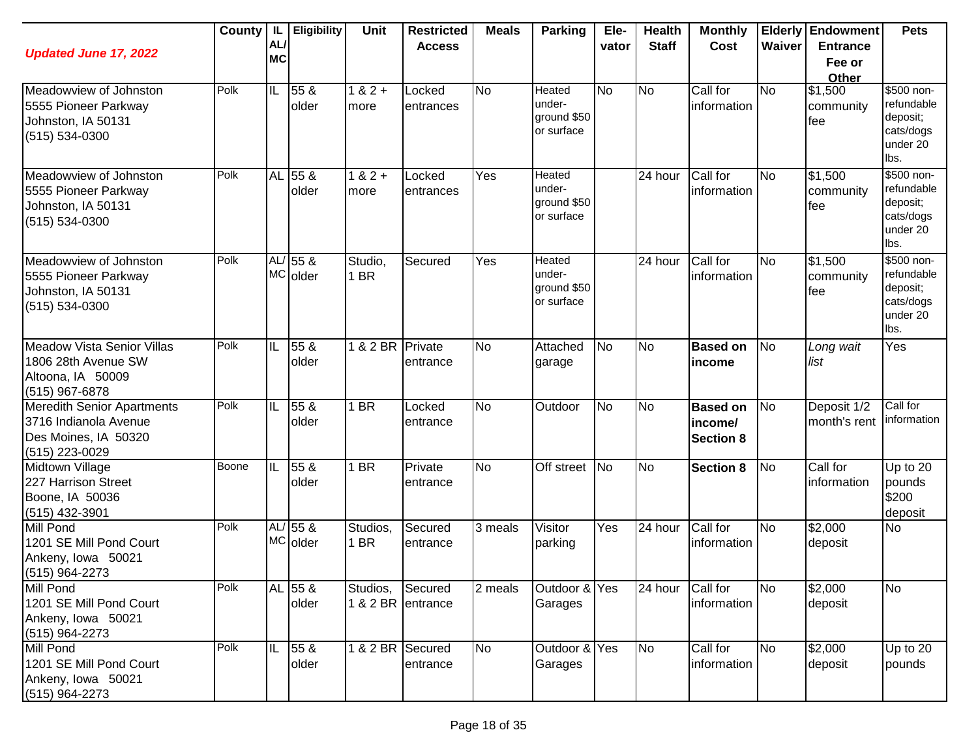| <b>Updated June 17, 2022</b>                                                                         |       | AL/<br><b>MC</b>        | County   IL   Eligibility | Unit                          | <b>Restricted</b><br><b>Access</b> | <b>Meals</b> | <b>Parking</b>                                | Ele-<br>vator | <b>Health</b><br><b>Staff</b> | <b>Monthly</b><br>Cost                         | Waiver         | <b>Elderly Endowment</b><br><b>Entrance</b><br>Fee or<br>Other | <b>Pets</b>                                                           |
|------------------------------------------------------------------------------------------------------|-------|-------------------------|---------------------------|-------------------------------|------------------------------------|--------------|-----------------------------------------------|---------------|-------------------------------|------------------------------------------------|----------------|----------------------------------------------------------------|-----------------------------------------------------------------------|
| Meadowview of Johnston<br>5555 Pioneer Parkway<br>Johnston, IA 50131<br>(515) 534-0300               | Polk  | $\overline{\mathbb{L}}$ | 55 &<br>older             | $182 +$<br>more               | Locked<br>entrances                | <b>No</b>    | Heated<br>under-<br>ground \$50<br>or surface | <b>No</b>     | <b>No</b>                     | Call for<br>information                        | <b>No</b>      | \$1,500<br>community<br>fee                                    | \$500 non-<br>refundable<br>deposit;<br>cats/dogs<br>under 20<br>lbs. |
| Meadowview of Johnston<br>5555 Pioneer Parkway<br>Johnston, IA 50131<br>(515) 534-0300               | Polk  |                         | AL 55 &<br>older          | $182 +$<br>more               | Locked<br>entrances                | Yes          | Heated<br>under-<br>ground \$50<br>or surface |               | 24 hour                       | Call for<br>information                        | N <sub>o</sub> | \$1,500<br>community<br>fee                                    | \$500 non-<br>refundable<br>deposit;<br>cats/dogs<br>under 20<br>lbs. |
| Meadowview of Johnston<br>5555 Pioneer Parkway<br>Johnston, IA 50131<br>(515) 534-0300               | Polk  |                         | $AL/55$ &<br>MC older     | Studio,<br>1 BR               | Secured                            | Yes          | Heated<br>under-<br>ground \$50<br>or surface |               | 24 hour                       | Call for<br>information                        | No             | \$1,500<br>community<br>fee                                    | \$500 non-<br>refundable<br>deposit;<br>cats/dogs<br>under 20<br>lbs. |
| <b>Meadow Vista Senior Villas</b><br>1806 28th Avenue SW<br>Altoona, IA 50009<br>$(515)$ 967-6878    | Polk  | IL                      | 55 &<br>older             | 1 & 2 BR                      | Private<br>entrance                | <b>No</b>    | Attached<br>garage                            | <b>No</b>     | <b>No</b>                     | <b>Based on</b><br>income                      | No             | Long wait<br>list                                              | Yes                                                                   |
| <b>Meredith Senior Apartments</b><br>3716 Indianola Avenue<br>Des Moines, IA 50320<br>(515) 223-0029 | Polk  | IL                      | 55 &<br>older             | 1 BR                          | Locked<br>entrance                 | <b>No</b>    | Outdoor                                       | <b>No</b>     | <b>No</b>                     | <b>Based on</b><br>income/<br><b>Section 8</b> | No             | Deposit 1/2<br>month's rent                                    | Call for<br>information                                               |
| Midtown Village<br>227 Harrison Street<br>Boone, IA 50036<br>(515) 432-3901                          | Boone | IL                      | 55 &<br>older             | 1 BR                          | Private<br>entrance                | <b>No</b>    | Off street                                    | <b>No</b>     | No                            | <b>Section 8</b>                               | No             | Call for<br>information                                        | Up to 20<br>pounds<br>\$200<br>deposit                                |
| Mill Pond<br>1201 SE Mill Pond Court<br>Ankeny, Iowa 50021<br>(515) 964-2273                         | Polk  |                         | $AL/55$ &<br>MC older     | Studios,<br>1 BR              | Secured<br>entrance                | 3 meals      | Visitor<br>parking                            | Yes           | 24 hour                       | Call for<br>information                        | No             | \$2,000<br>deposit                                             | <b>No</b>                                                             |
| Mill Pond<br>1201 SE Mill Pond Court<br>Ankeny, Iowa 50021<br>(515) 964-2273                         | Polk  |                         | AL 55 &<br>older          | Studios,<br>1 & 2 BR entrance | Secured                            | 2 meals      | Outdoor & Yes<br>Garages                      |               | 24 hour Call for              | information                                    | No             | $\sqrt{$2,000}$<br>deposit                                     | No                                                                    |
| Mill Pond<br>1201 SE Mill Pond Court<br>Ankeny, Iowa 50021<br>(515) 964-2273                         | Polk  | IL                      | $55\ \&$<br>older         | 1 & 2 BR Secured              | entrance                           | <b>No</b>    | Outdoor & Yes<br>Garages                      |               | No                            | Call for<br>information                        | <b>No</b>      | \$2,000<br>deposit                                             | Up to 20<br>pounds                                                    |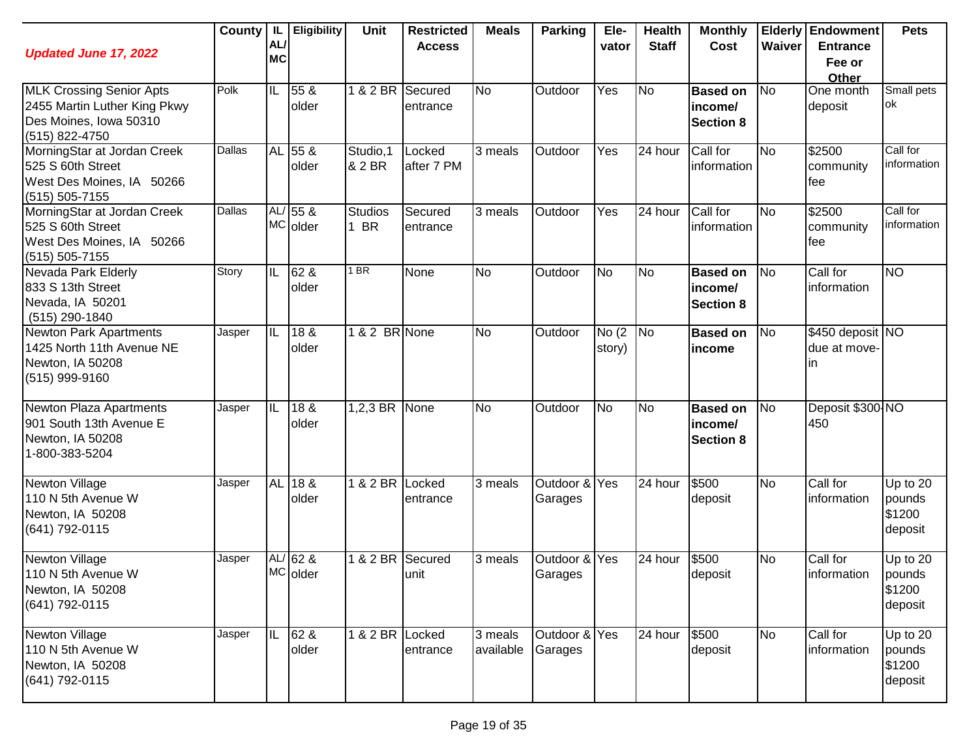| <b>Updated June 17, 2022</b>                                                                                | <b>County</b> | IL<br>AL/<br><b>MC</b> | <b>Eligibility</b>           | Unit                   | <b>Restricted</b><br><b>Access</b> | <b>Meals</b>         | <b>Parking</b>           | Ele-<br>vator    | <b>Health</b><br><b>Staff</b> | <b>Monthly</b><br>Cost                         | Waiver    | <b>Elderly Endowment</b><br><b>Entrance</b><br>Fee or<br>Other | <b>Pets</b>                             |
|-------------------------------------------------------------------------------------------------------------|---------------|------------------------|------------------------------|------------------------|------------------------------------|----------------------|--------------------------|------------------|-------------------------------|------------------------------------------------|-----------|----------------------------------------------------------------|-----------------------------------------|
| <b>MLK Crossing Senior Apts</b><br>2455 Martin Luther King Pkwy<br>Des Moines, Iowa 50310<br>(515) 822-4750 | Polk          | IL                     | 55 &<br>older                | 1 & 2 BR               | Secured<br>entrance                | <b>No</b>            | Outdoor                  | Yes              | <b>No</b>                     | <b>Based on</b><br>income/<br><b>Section 8</b> | No        | One month<br>deposit                                           | Small pets<br>lok                       |
| MorningStar at Jordan Creek<br>525 S 60th Street<br>West Des Moines, IA 50266<br>$(515) 505 - 7155$         | <b>Dallas</b> |                        | AL 55 &<br>older             | Studio, 1<br>& 2 BR    | Locked<br>after 7 PM               | 3 meals              | Outdoor                  | Yes              | 24 hour                       | Call for<br>information                        | <b>No</b> | \$2500<br>community<br>fee                                     | Call for<br>information                 |
| MorningStar at Jordan Creek<br>525 S 60th Street<br>West Des Moines, IA 50266<br>$(515) 505 - 7155$         | Dallas        |                        | $AL/55$ &<br><b>MC</b> older | <b>Studios</b><br>1 BR | Secured<br>entrance                | 3 meals              | Outdoor                  | Yes              | 24 hour                       | Call for<br>information                        | <b>No</b> | \$2500<br>community<br>fee                                     | Call for<br>information                 |
| Nevada Park Elderly<br>833 S 13th Street<br>Nevada, IA 50201<br>(515) 290-1840                              | Story         | IL                     | 62 &<br>older                | $1$ BR                 | None                               | <b>No</b>            | Outdoor                  | <b>No</b>        | <b>No</b>                     | <b>Based on</b><br>income/<br><b>Section 8</b> | No        | Call for<br>information                                        | <b>NO</b>                               |
| <b>Newton Park Apartments</b><br>1425 North 11th Avenue NE<br>Newton, IA 50208<br>(515) 999-9160            | Jasper        | IL                     | 18 <sub>8</sub><br>older     | 1 & 2 BR None          |                                    | <b>No</b>            | Outdoor                  | No (2)<br>story) | N <sub>o</sub>                | <b>Based on</b><br>income                      | No        | \$450 deposit NO<br>due at move-<br>ın                         |                                         |
| Newton Plaza Apartments<br>901 South 13th Avenue E<br>Newton, IA 50208<br>1-800-383-5204                    | Jasper        | IL                     | 18 &<br>older                | $1,2,3$ BR             | None                               | <b>No</b>            | Outdoor                  | No               | <b>No</b>                     | <b>Based on</b><br>income/<br><b>Section 8</b> | No        | Deposit \$300 NO<br>450                                        |                                         |
| Newton Village<br>110 N 5th Avenue W<br>Newton, IA 50208<br>(641) 792-0115                                  | Jasper        |                        | AL 18 &<br>older             | 1 & 2 BR Locked        | entrance                           | 3 meals              | Outdoor & Yes<br>Garages |                  | 24 hour                       | \$500<br>deposit                               | <b>No</b> | Call for<br>information                                        | Up to 20<br>pounds<br>\$1200<br>deposit |
| Newton Village<br>110 N 5th Avenue W<br>Newton, IA 50208<br>(641) 792-0115                                  | Jasper        |                        | AL/ 62 &<br>MC older         | 1 & 2 BR               | Secured<br>unit                    | 3 meals              | Outdoor & Yes<br>Garages |                  | 24 hour                       | \$500<br>deposit                               | <b>No</b> | Call for<br>information                                        | Up to 20<br>pounds<br>\$1200<br>deposit |
| <b>Newton Village</b><br>110 N 5th Avenue W<br>Newton, IA 50208<br>(641) 792-0115                           | Jasper        | IIL                    | 62 &<br>older                | 1 & 2 BR Locked        | entrance                           | 3 meals<br>available | Outdoor & Yes<br>Garages |                  | 24 hour                       | \$500<br>deposit                               | <b>No</b> | Call for<br>information                                        | Up to 20<br>pounds<br>\$1200<br>deposit |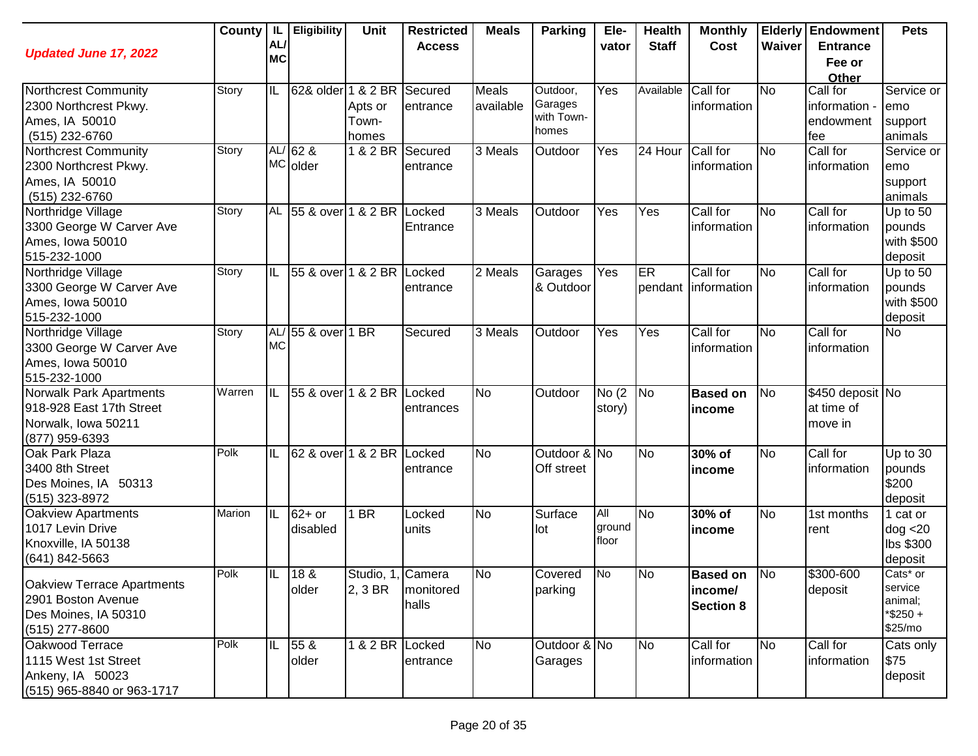| <b>Updated June 17, 2022</b>                                                                 | County | IL.<br>AL/<br><b>MC</b> | <b>Eligibility</b>        | <b>Unit</b>                  | <b>Restricted</b><br><b>Access</b> | <b>Meals</b>         | <b>Parking</b>                             | Ele-<br>vator          | <b>Health</b><br><b>Staff</b> | <b>Monthly</b><br>Cost                         | Waiver         | <b>Elderly Endowment</b><br><b>Entrance</b><br>Fee or<br>Other | <b>Pets</b>                                              |
|----------------------------------------------------------------------------------------------|--------|-------------------------|---------------------------|------------------------------|------------------------------------|----------------------|--------------------------------------------|------------------------|-------------------------------|------------------------------------------------|----------------|----------------------------------------------------------------|----------------------------------------------------------|
| Northcrest Community<br>2300 Northcrest Pkwy.<br>Ames, IA 50010<br>(515) 232-6760            | Story  | IL                      | 62& older 1 & 2 BR        | Apts or<br>Town-<br>homes    | Secured<br>entrance                | Meals<br>available   | Outdoor,<br>Garages<br>with Town-<br>homes | Yes                    | Available                     | Call for<br>information                        | <b>No</b>      | Call for<br>information -<br>endowment<br>fee                  | Service or<br>emo<br>support<br>animals                  |
| Northcrest Community<br>2300 Northcrest Pkwy.<br>Ames, IA 50010<br>(515) 232-6760            | Story  |                         | $AL/62$ &<br>MC older     | 1 & 2 BR Secured             | entrance                           | 3 Meals              | Outdoor                                    | Yes                    | 24 Hour                       | Call for<br>information                        | <b>No</b>      | Call for<br>information                                        | Service or<br>emo<br>support<br>animals                  |
| Northridge Village<br>3300 George W Carver Ave<br>Ames, Iowa 50010<br>515-232-1000           | Story  | <b>AL</b>               | 55 & over 1 & 2 BR Locked |                              | Entrance                           | $\overline{3}$ Meals | Outdoor                                    | Yes                    | Yes                           | Call for<br>information                        | <b>No</b>      | Call for<br>information                                        | Up to 50<br>pounds<br>with \$500<br>deposit              |
| Northridge Village<br>3300 George W Carver Ave<br>Ames, Iowa 50010<br>515-232-1000           | Story  | IL                      | 55 & over 1 & 2 BR        |                              | Locked<br>entrance                 | $\overline{2}$ Meals | Garages<br>& Outdoor                       | Yes                    | <b>ER</b>                     | Call for<br>pendant information                | <b>No</b>      | Call for<br>information                                        | Up to 50<br>pounds<br>with \$500<br>deposit              |
| Northridge Village<br>3300 George W Carver Ave<br>Ames, Iowa 50010<br>515-232-1000           | Story  | AL/<br><b>MC</b>        | 55 & over 1 BR            |                              | Secured                            | 3 Meals              | Outdoor                                    | Yes                    | Yes                           | Call for<br>information                        | <b>No</b>      | Call for<br>information                                        | <b>No</b>                                                |
| Norwalk Park Apartments<br>918-928 East 17th Street<br>Norwalk, Iowa 50211<br>(877) 959-6393 | Warren | IIL                     | 55 & over 1 & 2 BR        |                              | Locked<br>entrances                | <b>No</b>            | Outdoor                                    | No(2)<br>story)        | No                            | <b>Based on</b><br>income                      | <b>No</b>      | \$450 deposit No<br>at time of<br>move in                      |                                                          |
| Oak Park Plaza<br>3400 8th Street<br>Des Moines, IA 50313<br>(515) 323-8972                  | Polk   | IIL                     | 62 & over 1 & 2 BR        |                              | Locked<br>entrance                 | <b>No</b>            | Outdoor & No<br>Off street                 |                        | N <sub>o</sub>                | 30% of<br>income                               | <b>No</b>      | Call for<br>information                                        | Up to 30<br>pounds<br>\$200<br>deposit                   |
| Oakview Apartments<br>1017 Levin Drive<br>Knoxville, IA 50138<br>(641) 842-5663              | Marion | IL                      | $62+$ or<br>disabled      | 1 BR                         | Locked<br>units                    | <b>No</b>            | Surface<br>lot                             | All<br>ground<br>floor | <b>No</b>                     | 30% of<br>income                               | <b>No</b>      | 1st months<br>rent                                             | 1 cat or<br>dog < 20<br>lbs \$300<br>deposit             |
| Oakview Terrace Apartments<br>2901 Boston Avenue<br>Des Moines, IA 50310<br>$(515)$ 277-8600 | Polk   | IIL                     | 18 &<br>older             | Studio, 1, Camera<br>2, 3 BR | monitored<br>halls                 | No                   | Covered<br>parking                         | No                     | <b>No</b>                     | <b>Based on</b><br>income/<br><b>Section 8</b> | N <sub>o</sub> | \$300-600<br>deposit                                           | Cats* or<br>service<br>animal;<br>$*$ \$250 +<br>\$25/mo |
| Oakwood Terrace<br>1115 West 1st Street<br>Ankeny, IA 50023<br>(515) 965-8840 or 963-1717    | Polk   | IIL                     | 55 &<br>older             | 1 & 2 BR Locked              | entrance                           | <b>No</b>            | Outdoor & No<br>Garages                    |                        | <b>No</b>                     | Call for<br>information                        | <b>No</b>      | Call for<br>information                                        | Cats only<br>\$75<br>deposit                             |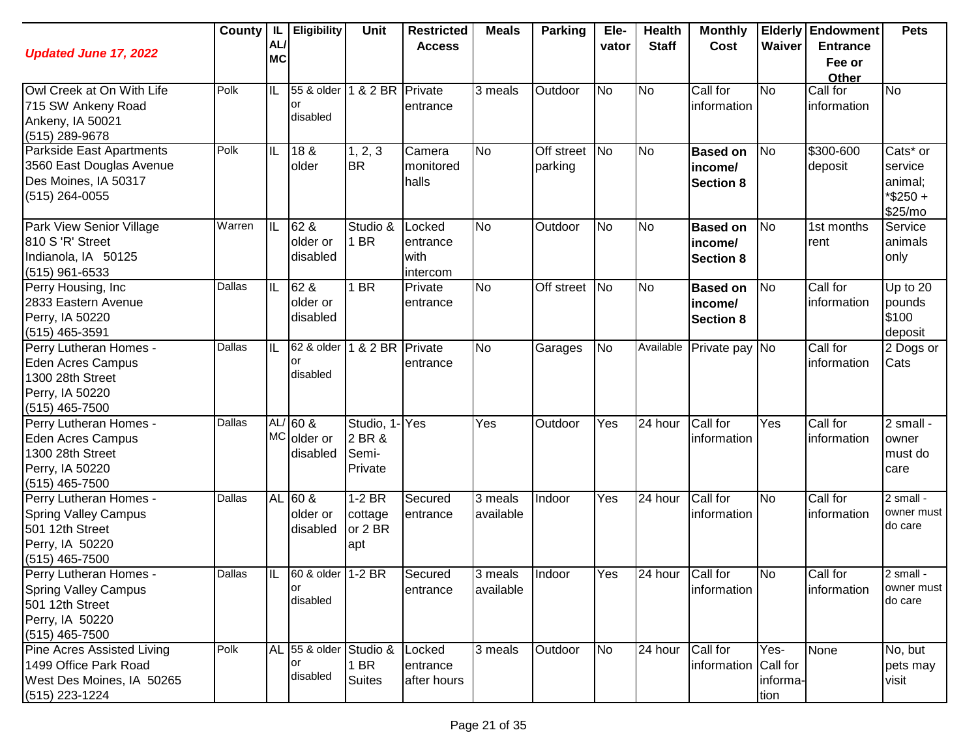| <b>Updated June 17, 2022</b>                                                                                    | County | IL.<br>AL/<br><b>MC</b> | <b>Eligibility</b>                   | <b>Unit</b>                             | <b>Restricted</b><br><b>Access</b>     | <b>Meals</b>         | <b>Parking</b>           | Ele-<br>vator | <b>Health</b><br><b>Staff</b> | <b>Monthly</b><br>Cost                         | Waiver                   | <b>Elderly Endowment</b><br><b>Entrance</b><br>Fee or<br>Other | <b>Pets</b>                                                      |
|-----------------------------------------------------------------------------------------------------------------|--------|-------------------------|--------------------------------------|-----------------------------------------|----------------------------------------|----------------------|--------------------------|---------------|-------------------------------|------------------------------------------------|--------------------------|----------------------------------------------------------------|------------------------------------------------------------------|
| Owl Creek at On With Life<br>715 SW Ankeny Road<br>Ankeny, IA 50021<br>(515) 289-9678                           | Polk   | IL                      | 55 & older<br>or<br>disabled         | 1 & 2 BR Private                        | entrance                               | 3 meals              | Outdoor                  | <b>No</b>     | <b>No</b>                     | Call for<br>information                        | <b>No</b>                | Call for<br>information                                        | No                                                               |
| Parkside East Apartments<br>3560 East Douglas Avenue<br>Des Moines, IA 50317<br>(515) 264-0055                  | Polk   | IIL                     | 18 <sub>8</sub><br>older             | 1, 2, 3<br><b>BR</b>                    | Camera<br>monitored<br>halls           | <b>No</b>            | Off street No<br>parking |               | No                            | <b>Based on</b><br>income/<br>Section 8        | N <sub>o</sub>           | \$300-600<br>deposit                                           | Cats <sup>*</sup> or<br>service<br>animal;<br>*\$250+<br>\$25/mo |
| Park View Senior Village<br>810 S 'R' Street<br>Indianola, IA 50125<br>$(515)$ 961-6533                         | Warren | IIL                     | 62 &<br>older or<br>disabled         | Studio &<br>1 BR                        | Locked<br>entrance<br>with<br>intercom | <b>No</b>            | Outdoor                  | <b>No</b>     | <b>No</b>                     | <b>Based on</b><br>income/<br><b>Section 8</b> | N <sub>o</sub>           | 1st months<br>rent                                             | Service<br>animals<br>only                                       |
| Perry Housing, Inc<br>2833 Eastern Avenue<br>Perry, IA 50220<br>$(515)$ 465-3591                                | Dallas | IL                      | 62 &<br>older or<br>disabled         | I BR                                    | Private<br>entrance                    | <b>No</b>            | Off street               | No            | <b>No</b>                     | <b>Based on</b><br>income/<br><b>Section 8</b> | No                       | Call for<br>information                                        | Up to 20<br>pounds<br>\$100<br>deposit                           |
| Perry Lutheran Homes -<br><b>Eden Acres Campus</b><br>1300 28th Street<br>Perry, IA 50220<br>(515) 465-7500     | Dallas | IL                      | 62 & older<br>or<br>disabled         | 1 & 2 BR                                | Private<br>entrance                    | <b>No</b>            | Garages                  | <b>No</b>     | Available                     | Private pay No                                 |                          | Call for<br>information                                        | 2 Dogs or<br>Cats                                                |
| Perry Lutheran Homes -<br><b>Eden Acres Campus</b><br>1300 28th Street<br>Perry, IA 50220<br>(515) 465-7500     | Dallas |                         | $AL/60$ &<br>MC older or<br>disabled | Studio, 1<br>2 BR &<br>Semi-<br>Private | <b>Yes</b>                             | Yes                  | Outdoor                  | Yes           | 24 hour                       | Call for<br>information                        | Yes                      | Call for<br>information                                        | 2 small -<br>owner<br>must do<br>care                            |
| Perry Lutheran Homes -<br><b>Spring Valley Campus</b><br>501 12th Street<br>Perry, IA 50220<br>$(515)$ 465-7500 | Dallas |                         | AL 60 &<br>older or<br>disabled      | $1-2$ BR<br>cottage<br>or 2 BR<br>apt   | Secured<br>entrance                    | 3 meals<br>available | Indoor                   | Yes           | 24 hour                       | Call for<br>information                        | <b>No</b>                | Call for<br>information                                        | 2 small -<br>owner must<br>do care                               |
| Perry Lutheran Homes -<br><b>Spring Valley Campus</b><br>501 12th Street<br>Perry, IA 50220<br>$(515)$ 465-7500 | Dallas | IIL                     | 60 & older 1-2 BR<br>or<br>disabled  |                                         | Secured<br>entrance                    | 3 meals<br>available | Indoor                   | Yes           | 24 hour Call for              | information                                    | N <sub>o</sub>           | Call for<br>information                                        | 2 small -<br>owner must<br>do care                               |
| <b>Pine Acres Assisted Living</b><br>1499 Office Park Road<br>West Des Moines, IA 50265<br>(515) 223-1224       | Polk   |                         | AL 55 & older<br>or<br>disabled      | Studio &<br>1 BR<br><b>Suites</b>       | Locked<br>entrance<br>after hours      | 3 meals              | Outdoor                  | <b>No</b>     | 24 hour                       | Call for<br>information Call for               | Yes-<br>informa-<br>tion | None                                                           | No, but<br>pets may<br>visit                                     |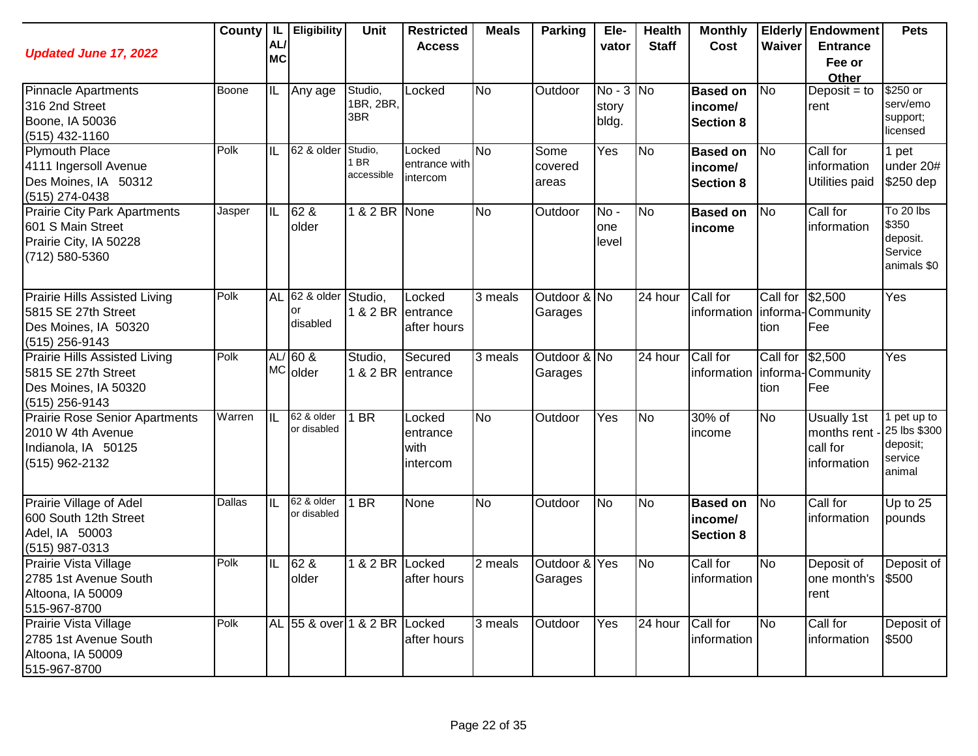| <b>Updated June 17, 2022</b>                                                                          | County | <b>IL</b><br>AL<br><b>MC</b> | <b>Eligibility</b>           | <b>Unit</b>                   | <b>Restricted</b><br><b>Access</b>     | <b>Meals</b>   | <b>Parking</b>           | Ele-<br>vator                 | <b>Health</b><br><b>Staff</b> | <b>Monthly</b><br>Cost                         | Waiver                   | <b>Elderly Endowment</b><br><b>Entrance</b><br>Fee or<br>Other | <b>Pets</b>                                                  |
|-------------------------------------------------------------------------------------------------------|--------|------------------------------|------------------------------|-------------------------------|----------------------------------------|----------------|--------------------------|-------------------------------|-------------------------------|------------------------------------------------|--------------------------|----------------------------------------------------------------|--------------------------------------------------------------|
| <b>Pinnacle Apartments</b><br>316 2nd Street<br>Boone, IA 50036<br>$(515)$ 432-1160                   | Boone  | ΙL                           | Any age                      | Studio,<br>1BR, 2BR,<br>3BR   | Locked                                 | <b>No</b>      | Outdoor                  | $No - 3 No$<br>story<br>bldg. |                               | <b>Based on</b><br>income/<br><b>Section 8</b> | <b>No</b>                | Deposit = $to$<br>rent                                         | \$250 or<br>serv/emo<br>support;<br>licensed                 |
| <b>Plymouth Place</b><br>4111 Ingersoll Avenue<br>Des Moines, IA 50312<br>(515) 274-0438              | Polk   | ΙL                           | 62 & older                   | Studio,<br>1 BR<br>accessible | Locked<br>entrance with<br>intercom    | N <sub>o</sub> | Some<br>covered<br>areas | Yes                           | N <sub>o</sub>                | <b>Based on</b><br>income/<br><b>Section 8</b> | No                       | Call for<br>information<br>Utilities paid                      | 1 pet<br>under 20#<br>\$250 dep                              |
| <b>Prairie City Park Apartments</b><br>601 S Main Street<br>Prairie City, IA 50228<br>(712) 580-5360  | Jasper | IL                           | 62 &<br>older                | 1 & 2 BR None                 |                                        | <b>No</b>      | Outdoor                  | No-<br>one<br>level           | N <sub>o</sub>                | <b>Based on</b><br>income                      | <b>No</b>                | Call for<br>information                                        | To 20 lbs<br>\$350<br>deposit.<br>Service<br>animals \$0     |
| <b>Prairie Hills Assisted Living</b><br>5815 SE 27th Street<br>Des Moines, IA 50320<br>(515) 256-9143 | Polk   | <b>AL</b>                    | 62 & older<br>or<br>disabled | Studio,<br>1 & 2 BR entrance  | Locked<br>after hours                  | 3 meals        | Outdoor & No<br>Garages  |                               | 24 hour                       | Call for<br>information                        | Call for \$2,500<br>tion | informa-Community<br>Fee                                       | Yes                                                          |
| Prairie Hills Assisted Living<br>5815 SE 27th Street<br>Des Moines, IA 50320<br>(515) 256-9143        | Polk   |                              | $AL/60$ &<br>MC older        | Studio,<br>1 & 2 BR entrance  | Secured                                | 3 meals        | Outdoor & No<br>Garages  |                               | 24 hour                       | Call for<br>information                        | Call for<br>tion         | \$2,500<br>informa-Community<br><b>Fee</b>                     | Yes                                                          |
| <b>Prairie Rose Senior Apartments</b><br>2010 W 4th Avenue<br>Indianola, IA 50125<br>(515) 962-2132   | Warren | ΠL                           | 62 & older<br>or disabled    | $1$ BR                        | Locked<br>entrance<br>with<br>intercom | <b>No</b>      | Outdoor                  | Yes                           | <b>No</b>                     | 30% of<br>income                               | <b>No</b>                | <b>Usually 1st</b><br>months rent -<br>call for<br>information | 1 pet up to<br>25 lbs \$300<br>deposit;<br>service<br>animal |
| Prairie Village of Adel<br>600 South 12th Street<br>Adel, IA 50003<br>(515) 987-0313                  | Dallas | ΙL                           | 62 & older<br>or disabled    | 1 BR                          | None                                   | <b>No</b>      | Outdoor                  | No                            | <b>No</b>                     | <b>Based on</b><br>income/<br><b>Section 8</b> | No                       | Call for<br>information                                        | Up to 25<br>pounds                                           |
| Prairie Vista Village<br>2785 1st Avenue South<br>Altoona, IA 50009<br>515-967-8700                   | Polk   | IL                           | 62 &<br>older                | 1 & 2 BR Locked               | after hours                            | 2 meals        | Outdoor & Yes<br>Garages |                               | <b>No</b>                     | Call for<br>information                        | <b>No</b>                | Deposit of<br>one month's \$500<br>rent                        | Deposit of                                                   |
| Prairie Vista Village<br>2785 1st Avenue South<br>Altoona, IA 50009<br>515-967-8700                   | Polk   |                              | AL 55 & over 1 & 2 BR Locked |                               | after hours                            | 3 meals        | Outdoor                  | Yes                           | 24 hour                       | Call for<br>information                        | No                       | Call for<br>information                                        | Deposit of<br>\$500                                          |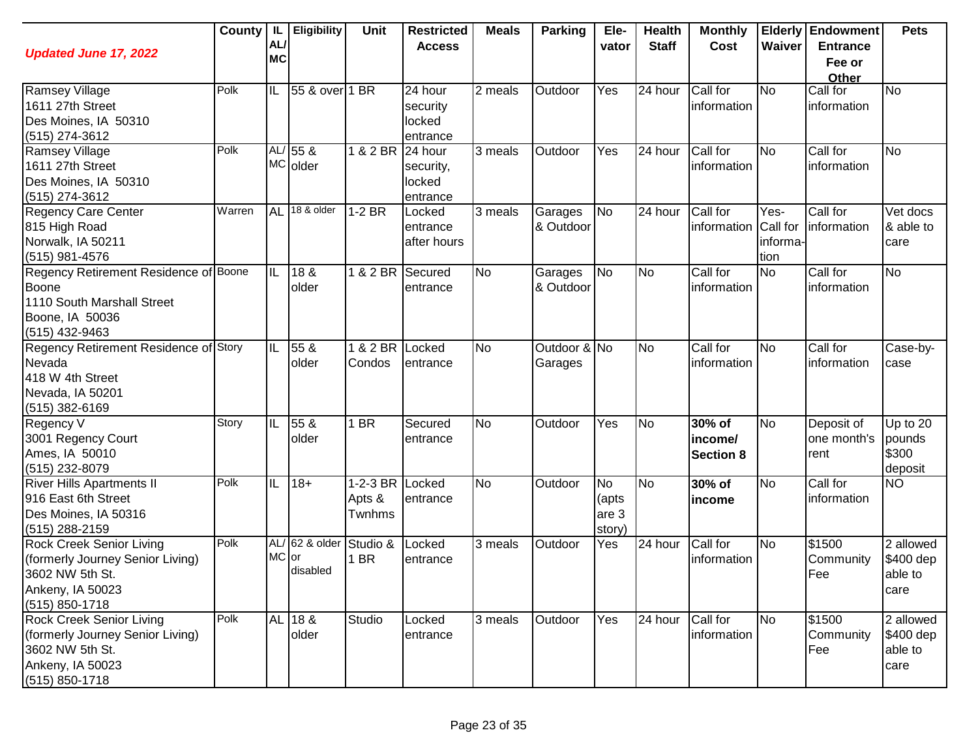| <b>Updated June 17, 2022</b>                                                                                                     |        | AL/<br><b>MC</b> | County   IL   Eligibility  | Unit                                | <b>Restricted</b><br><b>Access</b>         | <b>Meals</b>         | <b>Parking</b>          | Ele-<br>vator                         | <b>Health</b><br><b>Staff</b> | <b>Monthly</b><br>Cost                | Waiver                               | <b>Elderly Endowment</b><br><b>Entrance</b><br>Fee or<br>Other | <b>Pets</b>                               |
|----------------------------------------------------------------------------------------------------------------------------------|--------|------------------|----------------------------|-------------------------------------|--------------------------------------------|----------------------|-------------------------|---------------------------------------|-------------------------------|---------------------------------------|--------------------------------------|----------------------------------------------------------------|-------------------------------------------|
| Ramsey Village<br>1611 27th Street<br>Des Moines, IA 50310<br>(515) 274-3612                                                     | Polk   | IL               | 55 & over 1 BR             |                                     | 24 hour<br>security<br>locked<br>entrance  | 2 meals              | Outdoor                 | Yes                                   | 24 hour                       | Call for<br>information               | No                                   | Call for<br>information                                        | <b>No</b>                                 |
| Ramsey Village<br>1611 27th Street<br>Des Moines, IA 50310<br>(515) 274-3612                                                     | Polk   |                  | AL/ 55 &<br>MC older       | 1 & 2 BR                            | 24 hour<br>security,<br>locked<br>entrance | 3 meals              | Outdoor                 | Yes                                   | 24 hour                       | Call for<br>information               | No                                   | Call for<br>information                                        | <b>No</b>                                 |
| <b>Regency Care Center</b><br>815 High Road<br>Norwalk, IA 50211<br>(515) 981-4576                                               | Warren | <b>AL</b>        | 18 & older                 | $1-2$ BR                            | Locked<br>entrance<br>after hours          | 3 meals              | Garages<br>& Outdoor    | <b>No</b>                             | 24 hour                       | Call for<br>information               | Yes-<br>Call for<br>informa-<br>tion | Call for<br>information                                        | Vet docs<br>& able to<br>care             |
| Regency Retirement Residence of Boone<br>Boone<br>1110 South Marshall Street<br>Boone, IA 50036<br>(515) 432-9463                |        | IL               | 18 &<br>older              | 1 & 2 BR                            | Secured<br>entrance                        | <b>No</b>            | Garages<br>& Outdoor    | <b>No</b>                             | <b>No</b>                     | Call for<br>information               | <b>No</b>                            | Call for<br>information                                        | <b>No</b>                                 |
| Regency Retirement Residence of Story<br>Nevada<br>418 W 4th Street<br>Nevada, IA 50201<br>(515) 382-6169                        |        | IL               | 55 &<br>older              | 1 & 2 BR<br>Condos                  | Locked<br>entrance                         | <b>No</b>            | Outdoor & No<br>Garages |                                       | <b>No</b>                     | Call for<br>information               | No                                   | Call for<br>information                                        | Case-by-<br>case                          |
| Regency V<br>3001 Regency Court<br>Ames, IA 50010<br>(515) 232-8079                                                              | Story  | IL               | 55 &<br>older              | 1 BR                                | Secured<br>entrance                        | <b>No</b>            | Outdoor                 | Yes                                   | No                            | 30% of<br>income/<br><b>Section 8</b> | No                                   | Deposit of<br>one month's<br>rent                              | Up to $20$<br>pounds<br>\$300<br>deposit  |
| <b>River Hills Apartments II</b><br>916 East 6th Street<br>Des Moines, IA 50316<br>(515) 288-2159                                | Polk   | IIL              | $18 +$                     | 1-2-3 BR Locked<br>Apts &<br>Twnhms | entrance                                   | <b>No</b>            | Outdoor                 | <b>No</b><br>(apts<br>are 3<br>story) | <b>No</b>                     | 30% of<br>income                      | No                                   | Call for<br>information                                        | <b>NO</b>                                 |
| <b>Rock Creek Senior Living</b><br>(formerly Journey Senior Living)<br>3602 NW 5th St.<br>Ankeny, IA 50023<br>(515) 850-1718     | Polk   | MC or            | AL/ 62 & older<br>disabled | Studio &<br>1 BR                    | Locked<br>entrance                         | $\overline{3}$ meals | Outdoor                 | Yes                                   | 24 hour                       | Call for<br>information               | No                                   | $\sqrt{$1500}$<br>Community<br>Fee                             | 2 allowed<br>\$400 dep<br>able to<br>care |
| <b>Rock Creek Senior Living</b><br>(formerly Journey Senior Living)<br>3602 NW 5th St.<br>Ankeny, IA 50023<br>$(515) 850 - 1718$ | Polk   |                  | AL 18 &<br>older           | Studio                              | Locked<br>entrance                         | 3 meals              | Outdoor                 | Yes                                   | 24 hour                       | Call for<br>information               | <b>No</b>                            | \$1500<br>Community<br>Fee                                     | 2 allowed<br>\$400 dep<br>able to<br>care |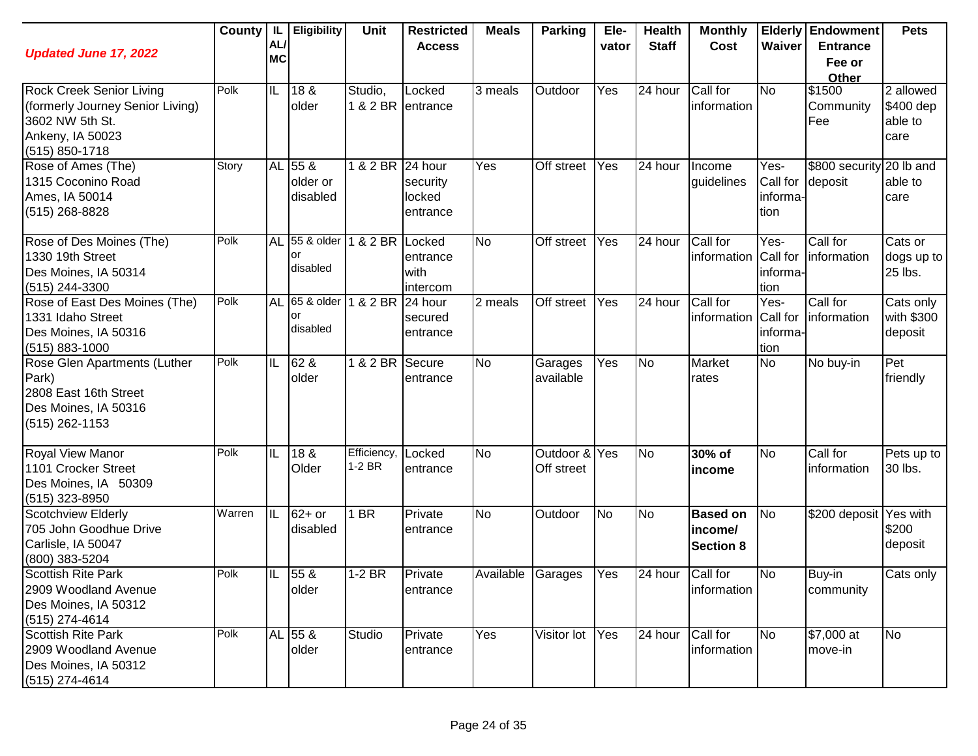| <b>Updated June 17, 2022</b>                                                                                                 | County | IL I<br>AL/<br><b>MC</b> | <b>Eligibility</b>              | Unit                         | <b>Restricted</b><br><b>Access</b> | <b>Meals</b>      | <b>Parking</b>              | Ele-<br>vator    | <b>Health</b><br><b>Staff</b> | <b>Monthly</b><br>Cost                         | Waiver                               | <b>Elderly Endowment</b><br><b>Entrance</b><br>Fee or<br>Other | <b>Pets</b>                               |
|------------------------------------------------------------------------------------------------------------------------------|--------|--------------------------|---------------------------------|------------------------------|------------------------------------|-------------------|-----------------------------|------------------|-------------------------------|------------------------------------------------|--------------------------------------|----------------------------------------------------------------|-------------------------------------------|
| <b>Rock Creek Senior Living</b><br>(formerly Journey Senior Living)<br>3602 NW 5th St.<br>Ankeny, IA 50023<br>(515) 850-1718 | Polk   | IL                       | 18 &<br>older                   | Studio,<br>1 & 2 BR entrance | Locked                             | 3 meals           | Outdoor                     | $\overline{Yes}$ | 24 hour                       | Call for<br>information                        | <b>No</b>                            | \$1500<br>Community<br>Fee                                     | 2 allowed<br>\$400 dep<br>able to<br>care |
| Rose of Ames (The)<br>1315 Coconino Road<br>Ames, IA 50014<br>(515) 268-8828                                                 | Story  |                          | AL 55 &<br>older or<br>disabled | 1 & 2 BR 24 hour             | security<br>locked<br>entrance     | Yes               | Off street                  | Yes              | 24 hour                       | Income<br>guidelines                           | Yes-<br>Call for<br>informa-<br>tion | \$800 security<br>deposit                                      | 20 lb and<br>able to<br>care              |
| Rose of Des Moines (The)<br>1330 19th Street<br>Des Moines, IA 50314<br>(515) 244-3300                                       | Polk   | <b>AL</b>                | 55 & older<br>or<br>disabled    | 1 & 2 BR Locked              | entrance<br>with<br>intercom       | <b>No</b>         | Off street                  | Yes              | 24 hour                       | Call for<br>information Call for               | Yes-<br>informa-<br>tion             | Call for<br>information                                        | Cats or<br>dogs up to<br>25 lbs.          |
| Rose of East Des Moines (The)<br>1331 Idaho Street<br>Des Moines, IA 50316<br>$(515) 883 - 1000$                             | Polk   | <b>AL</b>                | 65 & older<br>or<br>disabled    | 1 & 2 BR                     | 24 hour<br>secured<br>entrance     | 2 meals           | Off street                  | Yes              | 24 hour                       | Call for<br>information                        | Yes-<br>Call for<br>informa-<br>tion | Call for<br>information                                        | Cats only<br>with \$300<br>deposit        |
| Rose Glen Apartments (Luther<br>Park)<br>2808 East 16th Street<br>Des Moines, IA 50316<br>(515) 262-1153                     | Polk   | IL                       | 62 &<br>older                   | 1 & 2 BR                     | Secure<br>entrance                 | <b>No</b>         | Garages<br>available        | Yes              | <b>No</b>                     | Market<br>rates                                | <b>No</b>                            | No buy-in                                                      | Pet<br>friendly                           |
| Royal View Manor<br>1101 Crocker Street<br>Des Moines, IA 50309<br>(515) 323-8950                                            | Polk   | IL                       | 18 &<br>Older                   | Efficiency,<br>1-2 BR        | Locked<br>entrance                 | <b>No</b>         | Outdoor & Yes<br>Off street |                  | No                            | 30% of<br>income                               | No                                   | Call for<br>information                                        | Pets up to<br>30 lbs.                     |
| Scotchview Elderly<br>705 John Goodhue Drive<br>Carlisle, IA 50047<br>(800) 383-5204                                         | Warren | IIL                      | $62+$ or<br>disabled            | 1 BR                         | Private<br>entrance                | <b>No</b>         | Outdoor                     | <b>No</b>        | <b>No</b>                     | <b>Based on</b><br>income/<br><b>Section 8</b> | <b>No</b>                            | \$200 deposit Yes with                                         | \$200<br>deposit                          |
| <b>Scottish Rite Park</b><br>2909 Woodland Avenue<br>Des Moines, IA 50312<br>$(515)$ 274-4614                                | Polk   | IIL                      | 55 &<br>older                   | $1-2$ BR                     | <b>IPrivate</b><br>entrance        | Available Garages |                             | Yes              | 24 hour                       | Call for<br>information                        | <b>No</b>                            | Buy-in<br>community                                            | Cats only                                 |
| <b>Scottish Rite Park</b><br>2909 Woodland Avenue<br>Des Moines, IA 50312<br>$(515)$ 274-4614                                | Polk   |                          | AL 55 &<br>older                | Studio                       | Private<br>entrance                | Yes               | Visitor lot                 | Yes              | 24 hour                       | Call for<br>information                        | <b>No</b>                            | \$7,000 at<br>move-in                                          | <b>No</b>                                 |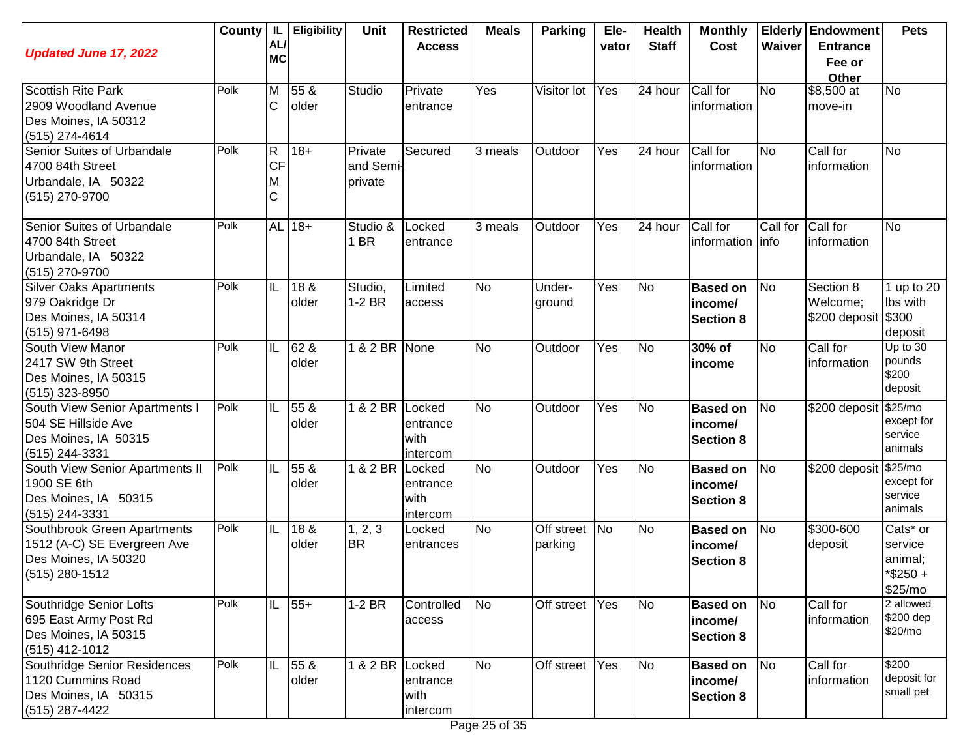| <b>Updated June 17, 2022</b>                                                                           | County | - IL<br>AL/<br><b>MC</b>                  | <b>Eligibility</b>       | <b>Unit</b>                     | <b>Restricted</b><br><b>Access</b>     | <b>Meals</b> | Parking                  | Ele-<br>vator | <b>Health</b><br><b>Staff</b> | <b>Monthly</b><br>Cost                         | Waiver    | <b>Elderly Endowment</b><br><b>Entrance</b><br>Fee or<br>Other | <b>Pets</b>                                              |
|--------------------------------------------------------------------------------------------------------|--------|-------------------------------------------|--------------------------|---------------------------------|----------------------------------------|--------------|--------------------------|---------------|-------------------------------|------------------------------------------------|-----------|----------------------------------------------------------------|----------------------------------------------------------|
| <b>Scottish Rite Park</b><br>2909 Woodland Avenue<br>Des Moines, IA 50312<br>(515) 274-4614            | Polk   | $\overline{\mathsf{M}}$<br>$\mathsf{C}$   | 55 &<br>older            | Studio                          | Private<br>entrance                    | Yes          | Visitor lot              | Yes           | 24 hour                       | Call for<br>information                        | <b>No</b> | $$8,500$ at<br>move-in                                         | <b>No</b>                                                |
| Senior Suites of Urbandale<br>4700 84th Street<br>Urbandale, IA 50322<br>(515) 270-9700                | Polk   | $\overline{\mathsf{R}}$<br><b>CF</b><br>M | $18 +$                   | Private<br>and Semi-<br>private | Secured                                | 3 meals      | Outdoor                  | Yes           | 24 hour                       | Call for<br>information                        | <b>No</b> | Call for<br>information                                        | <b>No</b>                                                |
| Senior Suites of Urbandale<br>4700 84th Street<br>Urbandale, IA 50322<br>(515) 270-9700                | Polk   |                                           | AL 18+                   | Studio &<br>1 BR                | Locked<br>entrance                     | 3 meals      | Outdoor                  | Yes           | 24 hour                       | Call for<br>information info                   | Call for  | Call for<br>information                                        | <b>No</b>                                                |
| <b>Silver Oaks Apartments</b><br>979 Oakridge Dr<br>Des Moines, IA 50314<br>(515) 971-6498             | Polk   | $ \mathsf{IL} $                           | 18 &<br>lolder           | Studio,<br>$1-2$ BR             | Limited<br>access                      | No           | Under-<br>ground         | Yes           | N <sub>o</sub>                | <b>Based on</b><br>income/<br><b>Section 8</b> | <b>No</b> | Section 8<br>Welcome;<br>\$200 deposit \$300                   | 1 up to 20<br>Ibs with<br>deposit                        |
| South View Manor<br>2417 SW 9th Street<br>Des Moines, IA 50315<br>(515) 323-8950                       | Polk   | ℼ                                         | 62 &<br>older            | 1 & 2 BR None                   |                                        | No           | Outdoor                  | Yes           | N <sub>o</sub>                | 30% of<br>income                               | <b>No</b> | Call for<br>information                                        | Up to 30<br>pounds<br>\$200<br>deposit                   |
| South View Senior Apartments I<br>504 SE Hillside Ave<br>Des Moines, IA 50315<br>(515) 244-3331        | Polk   | ℼ                                         | 55 <sub>8</sub><br>older | 1 & 2 BR Locked                 | entrance<br>with<br>intercom           | <b>No</b>    | Outdoor                  | Yes           | No                            | <b>Based on</b><br>income/<br><b>Section 8</b> | <b>No</b> | \$200 deposit \$25/mo                                          | except for<br>service<br>animals                         |
| South View Senior Apartments II<br>1900 SE 6th<br>Des Moines, IA 50315<br>(515) 244-3331               | Polk   | ℼ                                         | 55 <sub>8</sub><br>older | 1 & 2 BR                        | Locked<br>entrance<br>with<br>intercom | <b>No</b>    | Outdoor                  | Yes           | <b>No</b>                     | <b>Based on</b><br>income/<br><b>Section 8</b> | No        | \$200 deposit \$25/mo                                          | except for<br>service<br>animals                         |
| Southbrook Green Apartments<br>1512 (A-C) SE Evergreen Ave<br>Des Moines, IA 50320<br>$(515)$ 280-1512 | Polk   | ℼ                                         | 18 &<br>older            | 1, 2, 3<br><b>BR</b>            | Locked<br>entrances                    | <b>No</b>    | Off street No<br>parking |               | N <sub>o</sub>                | <b>Based on</b><br>income/<br><b>Section 8</b> | <b>No</b> | \$300-600<br>deposit                                           | Cats* or<br>service<br>animal;<br>$*$ \$250 +<br>\$25/mo |
| Southridge Senior Lofts<br>695 East Army Post Rd<br>Des Moines, IA 50315<br>(515) 412-1012             | Polk   | IL                                        | $55+$                    | $1-2$ BR                        | Controlled<br>access                   | <b>No</b>    | Off street               | Yes           | No                            | <b>Based on</b><br>income/<br><b>Section 8</b> | No        | Call for<br>information                                        | 2 allowed<br>\$200 dep<br>\$20/mo                        |
| Southridge Senior Residences<br>1120 Cummins Road<br>Des Moines, IA 50315<br>(515) 287-4422            | Polk   | ℼ                                         | 55 &<br>older            | 1 & 2 BR Locked                 | entrance<br>with<br>intercom           | <b>No</b>    | Off street               | Yes           | N <sub>o</sub>                | <b>Based on</b><br>income/<br><b>Section 8</b> | No        | Call for<br>information                                        | \$200<br>deposit for<br>small pet                        |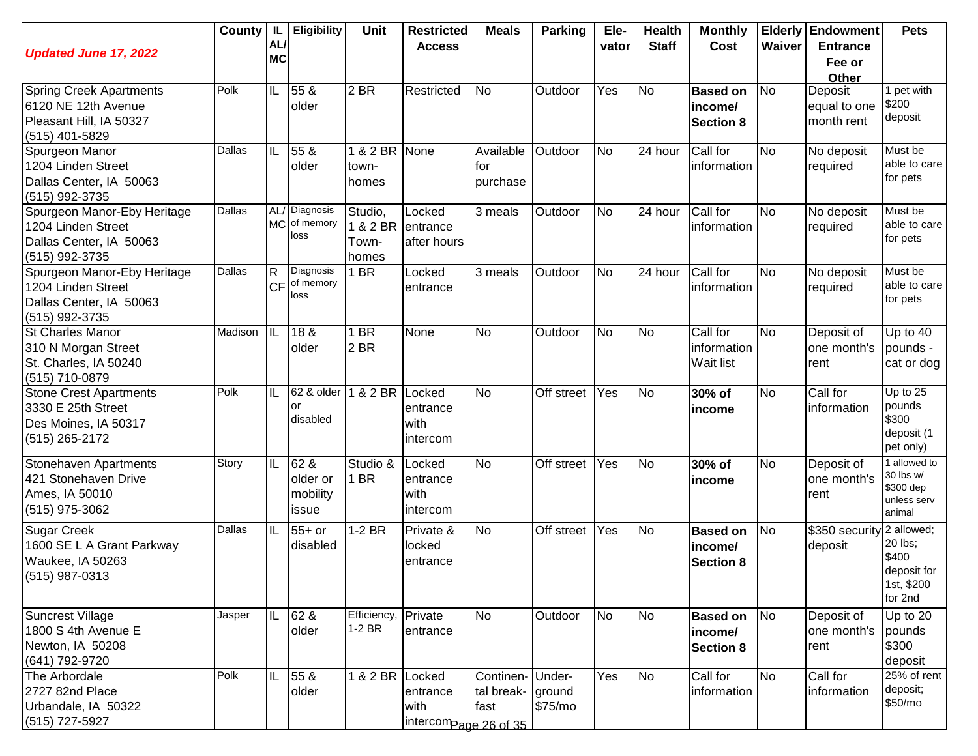| <b>Updated June 17, 2022</b>                                                                       | County  | -IL<br>AL/<br><b>MC</b>            | <b>Eligibility</b>                    | Unit                                  | <b>Restricted</b><br><b>Access</b>        | <b>Meals</b>                                  | <b>Parking</b> | Ele-<br>vator | <b>Health</b><br><b>Staff</b> | <b>Monthly</b><br>Cost                         | Waiver         | <b>Elderly Endowment</b><br><b>Entrance</b><br>Fee or<br>Other | <b>Pets</b>                                                            |
|----------------------------------------------------------------------------------------------------|---------|------------------------------------|---------------------------------------|---------------------------------------|-------------------------------------------|-----------------------------------------------|----------------|---------------|-------------------------------|------------------------------------------------|----------------|----------------------------------------------------------------|------------------------------------------------------------------------|
| <b>Spring Creek Apartments</b><br>6120 NE 12th Avenue<br>Pleasant Hill, IA 50327<br>(515) 401-5829 | Polk    | IL                                 | 55 &<br>older                         | 2 BR                                  | Restricted                                | <b>No</b>                                     | Outdoor        | Yes           | N <sub>o</sub>                | <b>Based on</b><br>income/<br><b>Section 8</b> | N <sub>o</sub> | Deposit<br>equal to one<br>month rent                          | 1 pet with<br>\$200<br>deposit                                         |
| Spurgeon Manor<br>1204 Linden Street<br>Dallas Center, IA 50063<br>(515) 992-3735                  | Dallas  | IIL                                | 55 &<br>older                         | 1 & 2 BR None<br>town-<br>homes       |                                           | Available<br>for<br>purchase                  | Outdoor        | <b>No</b>     | 24 hour                       | Call for<br>information                        | <b>No</b>      | No deposit<br>required                                         | Must be<br>able to care<br>for pets                                    |
| Spurgeon Manor-Eby Heritage<br>1204 Linden Street<br>Dallas Center, IA 50063<br>(515) 992-3735     | Dallas  |                                    | AL/ Diagnosis<br>MC of memory<br>loss | Studio,<br>1 & 2 BR<br>Town-<br>homes | Locked<br>entrance<br>after hours         | 3 meals                                       | Outdoor        | <b>No</b>     | 24 hour                       | Call for<br>information                        | <b>No</b>      | No deposit<br>required                                         | Must be<br>able to care<br>for pets                                    |
| Spurgeon Manor-Eby Heritage<br>1204 Linden Street<br>Dallas Center, IA 50063<br>(515) 992-3735     | Dallas  | lR.<br><b>CF</b>                   | Diagnosis<br>of memory<br>loss        | 1 BR                                  | Locked<br>entrance                        | 3 meals                                       | Outdoor        | <b>No</b>     | 24 hour                       | Call for<br>information                        | <b>No</b>      | No deposit<br>required                                         | Must be<br>able to care<br>for pets                                    |
| <b>St Charles Manor</b><br>310 N Morgan Street<br>St. Charles, IA 50240<br>(515) 710-0879          | Madison | IIL                                | 18 &<br>older                         | 1 BR<br>2 BR                          | None                                      | <b>No</b>                                     | Outdoor        | <b>No</b>     | <b>No</b>                     | Call for<br>information<br>Wait list           | <b>No</b>      | Deposit of<br>one month's<br>rent                              | Up to 40<br>pounds -<br>cat or dog                                     |
| <b>Stone Crest Apartments</b><br>3330 E 25th Street<br>Des Moines, IA 50317<br>(515) 265-2172      | Polk    | IL                                 | 62 & older<br>or<br>disabled          | 1 & 2 BR                              | Locked<br>entrance<br>with<br>intercom    | <b>No</b>                                     | Off street     | Yes           | N <sub>o</sub>                | 30% of<br>income                               | <b>No</b>      | Call for<br>information                                        | Up to 25<br>pounds<br>\$300<br>deposit (1<br>pet only)                 |
| Stonehaven Apartments<br>421 Stonehaven Drive<br>Ames, IA 50010<br>(515) 975-3062                  | Story   | IIL                                | 62 &<br>older or<br>mobility<br>issue | Studio &<br>1 BR                      | Locked<br>entrance<br>with<br>intercom    | <b>No</b>                                     | Off street     | Yes           | N <sub>o</sub>                | 30% of<br>income                               | <b>No</b>      | Deposit of<br>one month's<br>rent                              | I allowed to<br>30 lbs w/<br>\$300 dep<br>unless serv<br>animal        |
| <b>Sugar Creek</b><br>1600 SE L A Grant Parkway<br>Waukee, IA 50263<br>(515) 987-0313              | Dallas  | IL                                 | $55+$ or<br>disabled                  | $1-2$ BR                              | Private &<br>locked<br>entrance           | <b>No</b>                                     | Off street     | Yes           | N <sub>o</sub>                | <b>Based on</b><br>income/<br><b>Section 8</b> | <b>No</b>      | \$350 security<br>deposit                                      | 2 allowed;<br>20 lbs;<br>\$400<br>deposit for<br>1st, \$200<br>for 2nd |
| Suncrest Village<br>1800 S 4th Avenue E<br>Newton, IA 50208<br>(641) 792-9720                      | Jasper  | $\overline{\mathbb{I} \mathbb{L}}$ | 62 &<br>older                         | Efficiency,<br>$1-2$ BR               | Private<br>entrance                       | <b>No</b>                                     | Outdoor        | <b>No</b>     | <b>No</b>                     | <b>Based on</b><br>income/<br><b>Section 8</b> | N <sub>o</sub> | Deposit of<br>one month's<br>rent                              | Up to $20$<br>pounds<br>\$300<br>deposit                               |
| The Arbordale<br>2727 82nd Place<br>Urbandale, IA 50322<br>(515) 727-5927                          | Polk    | IL                                 | 55 &<br>older                         | 1 & 2 BR Locked                       | entrance<br>with<br>intercompage 26 of 35 | Continen- Under-<br>tal break- ground<br>fast | \$75/mo        | Yes           | <b>No</b>                     | Call for<br>information                        | No             | Call for<br>information                                        | 25% of rent<br>deposit;<br>\$50/mo                                     |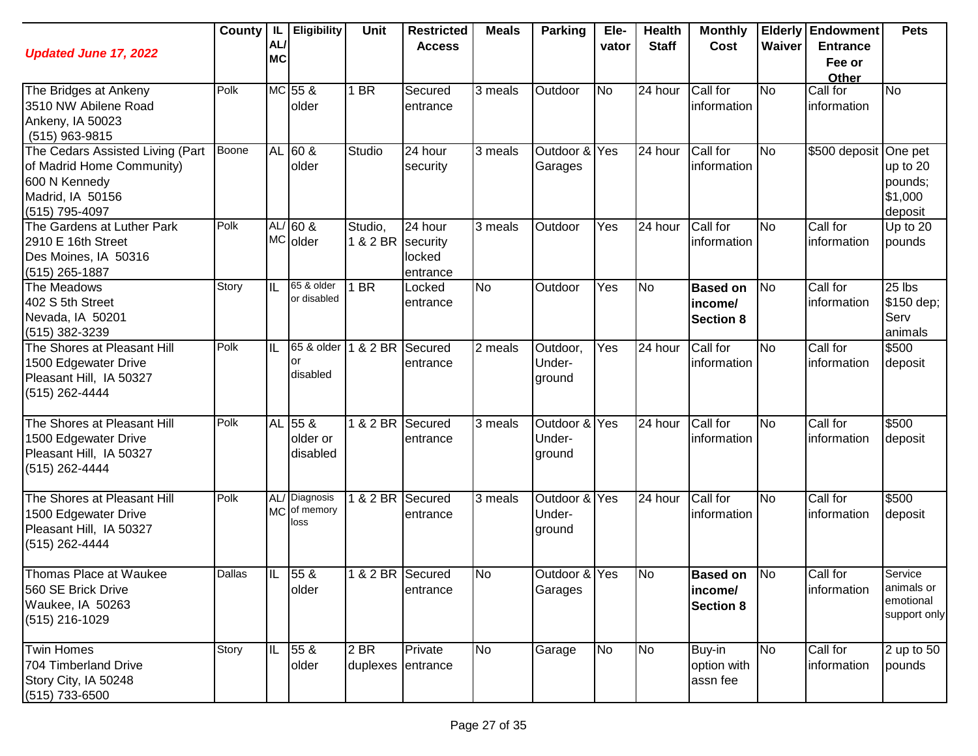| <b>Updated June 17, 2022</b>                                                                                         | County | AL/<br><b>MC</b> | IL Eligibility                        | Unit                      | <b>Restricted</b><br><b>Access</b>        | <b>Meals</b>         | <b>Parking</b>                    | Ele-<br>vator | <b>Health</b><br><b>Staff</b> | <b>Monthly</b><br>Cost                            | Waiver                 | <b>Elderly Endowment</b><br><b>Entrance</b><br>Fee or<br>Other | <b>Pets</b>                                        |
|----------------------------------------------------------------------------------------------------------------------|--------|------------------|---------------------------------------|---------------------------|-------------------------------------------|----------------------|-----------------------------------|---------------|-------------------------------|---------------------------------------------------|------------------------|----------------------------------------------------------------|----------------------------------------------------|
| The Bridges at Ankeny<br>3510 NW Abilene Road<br>Ankeny, IA 50023<br>(515) 963-9815                                  | Polk   |                  | MC 55 &<br>older                      | 1 BR                      | Secured<br>entrance                       | 3 meals              | Outdoor                           | <b>No</b>     | 24 hour                       | Call for<br>information                           | <b>No</b>              | Call for<br>information                                        | No                                                 |
| The Cedars Assisted Living (Part<br>of Madrid Home Community)<br>600 N Kennedy<br>Madrid, IA 50156<br>(515) 795-4097 | Boone  |                  | AL 60 &<br>older                      | Studio                    | 24 hour<br>security                       | 3 meals              | Outdoor & Yes<br>Garages          |               | 24 hour                       | Call for<br>information                           | <b>No</b>              | \$500 deposit One pet                                          | up to 20<br>pounds;<br>\$1,000<br>deposit          |
| The Gardens at Luther Park<br>2910 E 16th Street<br>Des Moines, IA 50316<br>$(515)$ 265-1887                         | Polk   |                  | $AL/60$ &<br>MC older                 | Studio,<br>1 & 2 BR       | 24 hour<br>security<br>locked<br>entrance | $\overline{3}$ meals | Outdoor                           | Yes           | 24 hour                       | Call for<br>information                           | <b>No</b>              | Call for<br>information                                        | Up to $20$<br>pounds                               |
| The Meadows<br>402 S 5th Street<br>Nevada, IA 50201<br>(515) 382-3239                                                | Story  | IL               | 65 & older<br>or disabled             | 1 BR                      | Locked<br>entrance                        | <b>No</b>            | Outdoor                           | Yes           | <b>No</b>                     | <b>Based on</b><br>income/<br><b>Section 8</b>    | No                     | Call for<br>information                                        | 25 lbs<br>\$150 dep;<br>Serv<br>animals            |
| The Shores at Pleasant Hill<br>1500 Edgewater Drive<br>Pleasant Hill, IA 50327<br>(515) 262-4444                     | Polk   | IL               | 65 & older<br>or<br>disabled          | 1 & 2 BR                  | Secured<br>entrance                       | 2 meals              | Outdoor,<br>Under-<br>ground      | Yes           | 24 hour                       | Call for<br>information                           | No                     | Call for<br>information                                        | \$500<br>deposit                                   |
| The Shores at Pleasant Hill<br>1500 Edgewater Drive<br>Pleasant Hill, IA 50327<br>(515) 262-4444                     | Polk   |                  | AL 55 &<br>older or<br>disabled       | 1 & 2 BR                  | Secured<br>entrance                       | 3 meals              | Outdoor & Yes<br>Under-<br>ground |               | 24 hour                       | Call for<br>information                           | No                     | Call for<br>information                                        | \$500<br>deposit                                   |
| The Shores at Pleasant Hill<br>1500 Edgewater Drive<br>Pleasant Hill, IA 50327<br>(515) 262-4444                     | Polk   |                  | AL/ Diagnosis<br>MC of memory<br>loss | $1$ & $2$ BR              | Secured<br>entrance                       | $\overline{3}$ meals | Outdoor & Yes<br>Under-<br>ground |               | 24 hour                       | Call for<br>information                           | $\overline{\text{No}}$ | Call for<br>information                                        | \$500<br>deposit                                   |
| Thomas Place at Waukee<br>560 SE Brick Drive<br>Waukee, IA 50263<br>(515) 216-1029                                   | Dallas | IL               | 55 &<br>older                         | 1 & 2 BR Secured          | entrance                                  | No                   | Outdoor & Yes<br>Garages          |               | <b>No</b>                     | <b>Based on No</b><br>income/<br><b>Section 8</b> |                        | Call for<br>information                                        | Service<br>animals or<br>emotional<br>support only |
| <b>Twin Homes</b><br>704 Timberland Drive<br>Story City, IA 50248<br>$(515)$ 733-6500                                | Story  | IL               | 55 &<br>older                         | 2 BR<br>duplexes entrance | Private                                   | <b>No</b>            | Garage                            | <b>No</b>     | N <sub>o</sub>                | Buy-in<br>option with<br>assn fee                 | No                     | Call for<br>information                                        | 2 up to 50<br>pounds                               |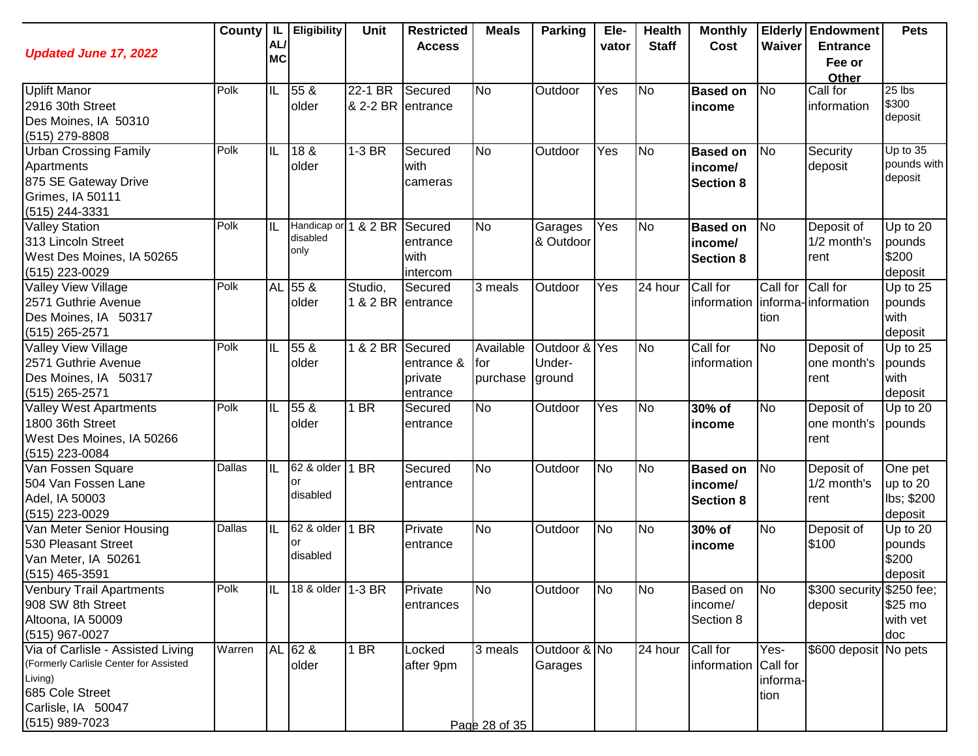| <b>Updated June 17, 2022</b>                                                                                                                      | County        | -IL<br>AL/<br><b>MC</b> | Eligibility                              | <b>Unit</b>                  | <b>Restricted</b><br><b>Access</b>           | <b>Meals</b>                 | <b>Parking</b>                    | Ele-<br>vator | <b>Health</b><br><b>Staff</b> | <b>Monthly</b><br>Cost                         | Waiver                   | <b>Elderly Endowment</b><br><b>Entrance</b><br>Fee or<br>Other | <b>Pets</b>                                  |
|---------------------------------------------------------------------------------------------------------------------------------------------------|---------------|-------------------------|------------------------------------------|------------------------------|----------------------------------------------|------------------------------|-----------------------------------|---------------|-------------------------------|------------------------------------------------|--------------------------|----------------------------------------------------------------|----------------------------------------------|
| <b>Uplift Manor</b><br>2916 30th Street<br>Des Moines, IA 50310<br>(515) 279-8808                                                                 | Polk          | ℼ                       | 55 &<br>older                            | 22-1 BR<br>& 2-2 BR entrance | Secured                                      | No                           | Outdoor                           | Yes           | <b>No</b>                     | <b>Based on</b><br>income                      | <b>No</b>                | Call for<br>information                                        | 25 lbs<br>\$300<br>deposit                   |
| <b>Urban Crossing Family</b><br>Apartments<br>875 SE Gateway Drive<br>Grimes, IA 50111<br>(515) 244-3331                                          | Polk          | ℼ                       | 18 &<br>older                            | 1-3 BR                       | Secured<br>with<br>cameras                   | <b>No</b>                    | Outdoor                           | Yes           | <b>No</b>                     | <b>Based on</b><br>income/<br><b>Section 8</b> | N <sub>o</sub>           | Security<br>deposit                                            | Up to 35<br>pounds with<br>deposit           |
| <b>Valley Station</b><br>313 Lincoln Street<br>West Des Moines, IA 50265<br>(515) 223-0029                                                        | Polk          | IL                      | Handicap or 1 & 2 BR<br>disabled<br>only |                              | Secured<br>entrance<br>with<br>intercom      | No                           | Garages<br>& Outdoor              | Yes           | N <sub>o</sub>                | <b>Based on</b><br>income/<br><b>Section 8</b> | No                       | Deposit of<br>1/2 month's<br>rent                              | Up to $20$<br>pounds<br>\$200<br>deposit     |
| Valley View Village<br>2571 Guthrie Avenue<br>Des Moines, IA 50317<br>(515) 265-2571                                                              | Polk          |                         | AL 55 &<br>older                         | Studio,<br>1 & 2 BR entrance | Secured                                      | 3 meals                      | Outdoor                           | Yes           | 24 hour                       | Call for<br>information informa-information    | Call for<br>tion         | Call for                                                       | Up to 25<br>pounds<br>with<br>deposit        |
| Valley View Village<br>2571 Guthrie Avenue<br>Des Moines, IA 50317<br>(515) 265-2571                                                              | Polk          | IL                      | 55 <sub>8</sub><br>older                 | 182BR                        | Secured<br>entrance &<br>private<br>entrance | Available<br>for<br>purchase | Outdoor & Yes<br>Under-<br>ground |               | N <sub>o</sub>                | Call for<br>information                        | <b>No</b>                | Deposit of<br>one month's<br>rent                              | Up to 25<br>pounds<br>with<br>deposit        |
| <b>Valley West Apartments</b><br>1800 36th Street<br>West Des Moines, IA 50266<br>(515) 223-0084                                                  | Polk          | ℼ                       | 55 <sub>8</sub><br>older                 | 1 BR                         | Secured<br>entrance                          | <b>No</b>                    | Outdoor                           | Yes           | No                            | 30% of<br>income                               | N <sub>o</sub>           | Deposit of<br>one month's<br>rent                              | Up to $20$<br>pounds                         |
| Van Fossen Square<br>504 Van Fossen Lane<br>Adel, IA 50003<br>(515) 223-0029                                                                      | <b>Dallas</b> | ℼ                       | 62 & older<br>or<br>disabled             | $1$ BR                       | Secured<br>entrance                          | <b>No</b>                    | Outdoor                           | No            | <b>No</b>                     | <b>Based on</b><br>income/<br><b>Section 8</b> | N <sub>o</sub>           | Deposit of<br>1/2 month's<br>rent                              | One pet<br>up to 20<br>lbs; \$200<br>deposit |
| Van Meter Senior Housing<br>530 Pleasant Street<br>Van Meter, IA 50261<br>$(515)$ 465-3591                                                        | Dallas        | ℼ                       | 62 & older<br>or<br>disabled             | 1 BR                         | Private<br>entrance                          | <b>No</b>                    | Outdoor                           | No            | <b>No</b>                     | 30% of<br>income                               | <b>No</b>                | Deposit of<br>\$100                                            | Up to 20<br>pounds<br>\$200<br>deposit       |
| <b>Venbury Trail Apartments</b><br>908 SW 8th Street<br>Altoona, IA 50009<br>(515) 967-0027                                                       | Polk          | ℿ                       | 18 & older 1-3 BR                        |                              | Private<br>entrances                         | <b>No</b>                    | Outdoor                           | No            | <b>No</b>                     | <b>Based on</b><br>income/<br>Section 8        | No                       | \$300 security \$250 fee;<br>deposit                           | \$25 mo<br>with vet<br>doc                   |
| Via of Carlisle - Assisted Living<br>(Formerly Carlisle Center for Assisted<br>Living)<br>685 Cole Street<br>Carlisle, IA 50047<br>(515) 989-7023 | Warren        |                         | AL 62 &<br>older                         | 1 BR                         | Locked<br>after 9pm                          | 3 meals<br>Page 28 of 35     | Outdoor & No<br>Garages           |               | 24 hour                       | Call for<br>information Call for               | Yes-<br>informa-<br>tion | \$600 deposit No pets                                          |                                              |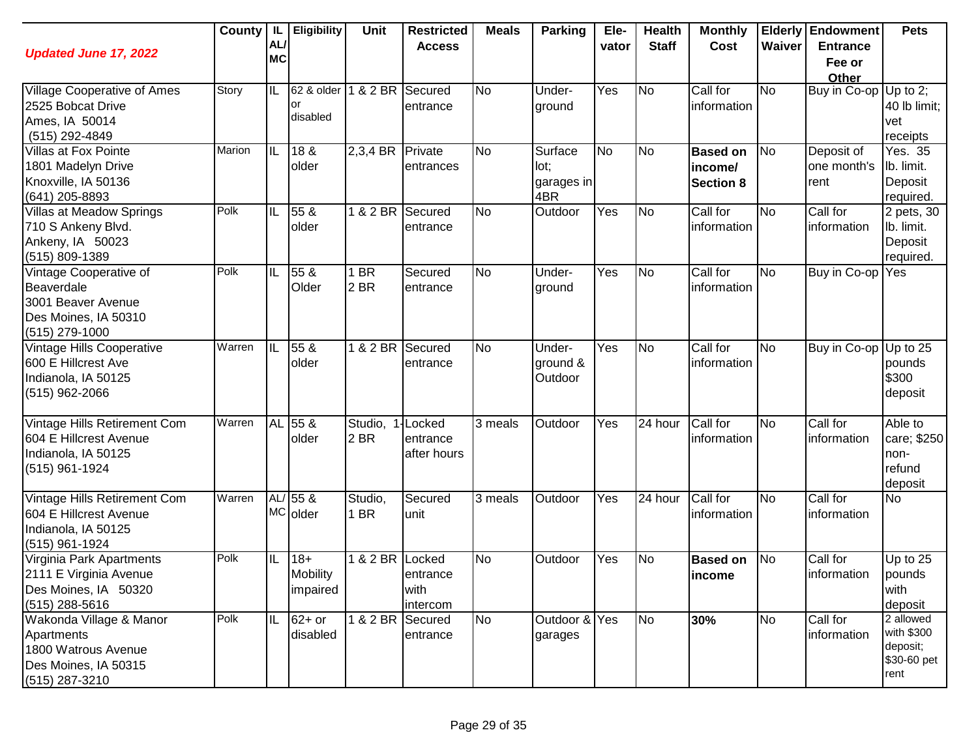| <b>Updated June 17, 2022</b>                                                                             | County | $^{\prime}$ IL.<br>AL/<br><b>MC</b> | <b>Eligibility</b>                    | Unit             | <b>Restricted</b><br><b>Access</b>       | <b>Meals</b> | Parking                              | Ele-<br>vator | <b>Health</b><br><b>Staff</b> | <b>Monthly</b><br>Cost                         | Waiver         | <b>Elderly Endowment</b><br><b>Entrance</b><br>Fee or<br>Other | <b>Pets</b>                                                |
|----------------------------------------------------------------------------------------------------------|--------|-------------------------------------|---------------------------------------|------------------|------------------------------------------|--------------|--------------------------------------|---------------|-------------------------------|------------------------------------------------|----------------|----------------------------------------------------------------|------------------------------------------------------------|
| Village Cooperative of Ames<br>2525 Bobcat Drive<br>Ames, IA 50014<br>(515) 292-4849                     | Story  | IL                                  | 62 & older<br>or<br>disabled          | 1 & 2 BR         | Secured<br>entrance                      | <b>No</b>    | Under-<br>ground                     | Yes           | <b>No</b>                     | Call for<br>information                        | <b>No</b>      | Buy in Co-op                                                   | Up to $2$ ;<br>40 lb limit;<br>vet<br>receipts             |
| Villas at Fox Pointe<br>1801 Madelyn Drive<br>Knoxville, IA 50136<br>(641) 205-8893                      | Marion | ℼ                                   | 18 <sub>8</sub><br>older              | 2,3,4 BR Private | entrances                                | <b>No</b>    | Surface<br>lot;<br>garages in<br>4BR | No            | No                            | <b>Based on</b><br>income/<br><b>Section 8</b> | N <sub>o</sub> | Deposit of<br>one month's<br>rent                              | Yes. 35<br>Ib. limit.<br>Deposit<br>required.              |
| Villas at Meadow Springs<br>710 S Ankeny Blvd.<br>Ankeny, IA 50023<br>(515) 809-1389                     | Polk   | IL                                  | 55 <sub>8</sub><br>older              | 1 & 2 BR         | Secured<br>entrance                      | <b>No</b>    | Outdoor                              | Yes           | <b>No</b>                     | Call for<br>information                        | <b>No</b>      | Call for<br>information                                        | 2 pets, 30<br>lb. limit.<br>Deposit<br>required.           |
| Vintage Cooperative of<br>Beaverdale<br>3001 Beaver Avenue<br>Des Moines, IA 50310<br>(515) 279-1000     | Polk   | IL                                  | 55 &<br>Older                         | 1 BR<br>2 BR     | Secured<br>entrance                      | <b>No</b>    | Under-<br>ground                     | Yes           | N <sub>o</sub>                | Call for<br>information                        | <b>No</b>      | Buy in Co-op                                                   | Yes                                                        |
| <b>Vintage Hills Cooperative</b><br>600 E Hillcrest Ave<br>Indianola, IA 50125<br>$(515)$ 962-2066       | Warren | IL                                  | 55 &<br>older                         | $1& 2$ BR        | Secured<br>entrance                      | <b>No</b>    | Under-<br>ground &<br>Outdoor        | Yes           | <b>No</b>                     | Call for<br>information                        | <b>No</b>      | Buy in Co-op                                                   | Up to 25<br>pounds<br>\$300<br>deposit                     |
| Vintage Hills Retirement Com<br>604 E Hillcrest Avenue<br>Indianola, IA 50125<br>(515) 961-1924          | Warren |                                     | AL 55 &<br>lolder                     | Studio,<br>2 BR  | <b>Locked</b><br>entrance<br>after hours | 3 meals      | Outdoor                              | Yes           | 24 hour                       | Call for<br>information                        | No             | Call for<br>information                                        | Able to<br>care; \$250<br>non-<br>refund<br>deposit        |
| Vintage Hills Retirement Com<br>604 E Hillcrest Avenue<br>Indianola, IA 50125<br>(515) 961-1924          | Warren |                                     | $AL/55$ &<br>MC older                 | Studio,<br>1 BR  | Secured<br>unit                          | 3 meals      | Outdoor                              | Yes           | 24 hour                       | Call for<br>information                        | <b>No</b>      | Call for<br>information                                        | <b>No</b>                                                  |
| Virginia Park Apartments<br>2111 E Virginia Avenue<br>Des Moines, IA 50320<br>$(515)$ 288-5616           | Polk   |                                     | $18 +$<br><b>Mobility</b><br>impaired | 1 & 2 BR Locked  | entrance<br>with<br>intercom             | <b>No</b>    | Outdoor                              | Yes           | <b>No</b>                     | <b>Based on</b><br>income                      | <b>No</b>      | Call for<br>information                                        | Up to 25<br>pounds<br>with<br>deposit                      |
| Wakonda Village & Manor<br>Apartments<br>1800 Watrous Avenue<br>Des Moines, IA 50315<br>$(515)$ 287-3210 | Polk   | IL                                  | $62+$ or<br>disabled                  | $1& 2$ BR        | Secured<br>entrance                      | <b>No</b>    | Outdoor & Yes<br>garages             |               | <b>No</b>                     | 30%                                            | <b>No</b>      | Call for<br>information                                        | 2 allowed<br>with \$300<br>deposit;<br>\$30-60 pet<br>rent |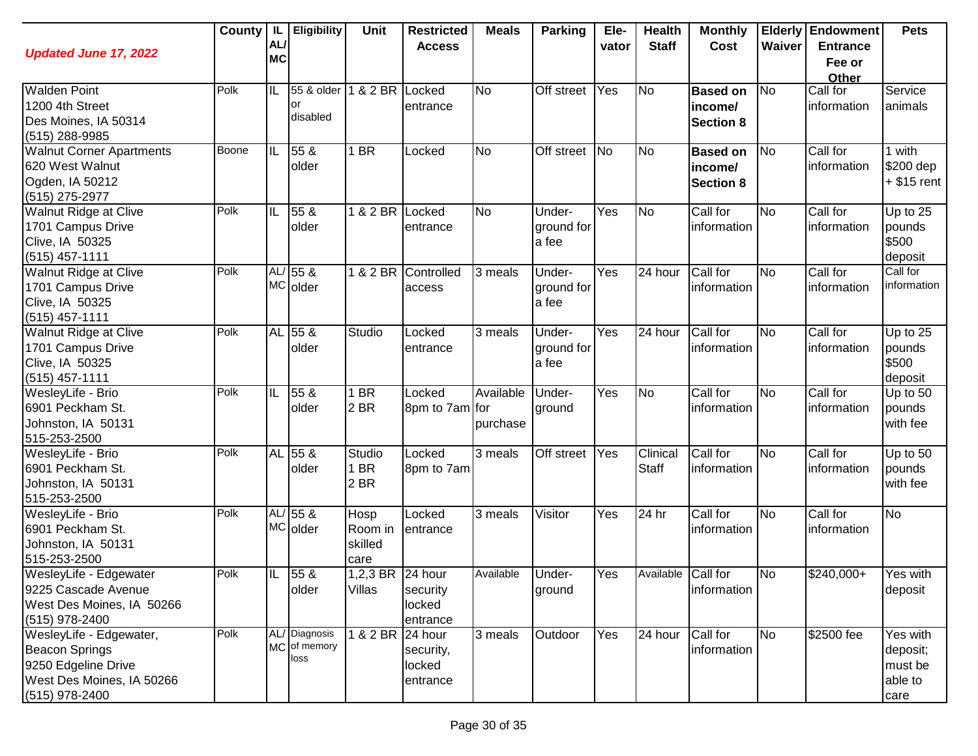| <b>Updated June 17, 2022</b>                                                                                           | County       | -IL<br>AL/<br><b>MC</b> | <b>Eligibility</b>                    | <b>Unit</b>                        | <b>Restricted</b><br><b>Access</b>         | <b>Meals</b>          | <b>Parking</b>                | Ele-<br>vator | <b>Health</b><br><b>Staff</b> | <b>Monthly</b><br>Cost                         | Waiver         | <b>Elderly Endowment</b><br><b>Entrance</b><br>Fee or<br>Other | <b>Pets</b>                                        |
|------------------------------------------------------------------------------------------------------------------------|--------------|-------------------------|---------------------------------------|------------------------------------|--------------------------------------------|-----------------------|-------------------------------|---------------|-------------------------------|------------------------------------------------|----------------|----------------------------------------------------------------|----------------------------------------------------|
| <b>Walden Point</b><br>1200 4th Street<br>Des Moines, IA 50314<br>(515) 288-9985                                       | Polk         | ΙL                      | 55 & older<br>or<br>disabled          | 1 & 2 BR Locked                    | entrance                                   | <b>No</b>             | Off street                    | Yes           | <b>No</b>                     | <b>Based on</b><br>income/<br><b>Section 8</b> | N <sub>o</sub> | Call for<br>information                                        | Service<br>animals                                 |
| <b>Walnut Corner Apartments</b><br>620 West Walnut<br>Ogden, IA 50212<br>(515) 275-2977                                | <b>Boone</b> | $ \mathsf{IL} $         | 55 <sub>8</sub><br>older              | 1 BR                               | Locked                                     | <b>No</b>             | Off street No                 |               | N <sub>o</sub>                | <b>Based on</b><br>income/<br><b>Section 8</b> | <b>No</b>      | Call for<br>information                                        | 1 with<br>\$200 dep<br>$+$ \$15 rent               |
| Walnut Ridge at Clive<br>1701 Campus Drive<br>Clive, IA 50325<br>(515) 457-1111                                        | Polk         | ℼ                       | 55 &<br>older                         | 1 & 2 BR Locked                    | entrance                                   | <b>No</b>             | Under-<br>ground for<br>a fee | Yes           | <b>No</b>                     | Call for<br>information                        | <b>No</b>      | Call for<br>information                                        | Up to 25<br>pounds<br>\$500<br>deposit             |
| Walnut Ridge at Clive<br>1701 Campus Drive<br>Clive, IA 50325<br>$(515)$ 457-1111                                      | Polk         | AL/                     | 55 <sub>8</sub><br>MC older           | 1 & 2 BR                           | Controlled<br>access                       | 3 meals               | Under-<br>ground for<br>a fee | Yes           | 24 hour                       | Call for<br>information                        | <b>No</b>      | Call for<br>information                                        | Call for<br>information                            |
| Walnut Ridge at Clive<br>1701 Campus Drive<br>Clive, IA 50325<br>(515) 457-1111                                        | Polk         | <b>AL</b>               | $55\ \&$<br>older                     | Studio                             | Locked<br>entrance                         | 3 meals               | Under-<br>ground for<br>a fee | Yes           | 24 hour                       | Call for<br>information                        | <b>No</b>      | Call for<br>information                                        | Up to 25<br>pounds<br>\$500<br>deposit             |
| WesleyLife - Brio<br>6901 Peckham St.<br>Johnston, IA 50131<br>515-253-2500                                            | Polk         | $ \mathsf{IL} $         | 55 <sub>8</sub><br>older              | 1 BR<br>2 BR                       | Locked<br>8pm to 7am for                   | Available<br>purchase | Under-<br>ground              | Yes           | <b>No</b>                     | Call for<br>information                        | <b>No</b>      | Call for<br>information                                        | Up to 50<br>pounds<br>with fee                     |
| WesleyLife - Brio<br>6901 Peckham St.<br>Johnston, IA 50131<br>515-253-2500                                            | Polk         | <b>AL</b>               | $55\ \&$<br>older                     | Studio<br>1 BR<br>2 BR             | Locked<br>8pm to 7am                       | $3$ meals             | Off street                    | Yes           | Clinical<br>Staff             | Call for<br>information                        | No             | Call for<br>information                                        | Up to 50<br>pounds<br>with fee                     |
| WesleyLife - Brio<br>6901 Peckham St.<br>Johnston, IA 50131<br>515-253-2500                                            | Polk         |                         | $AL/55$ &<br>MC older                 | Hosp<br>Room in<br>skilled<br>care | Locked<br>entrance                         | 3 meals               | Visitor                       | Yes           | 24 hr                         | Call for<br>information                        | <b>No</b>      | Call for<br>information                                        | <b>No</b>                                          |
| WesleyLife - Edgewater<br>9225 Cascade Avenue<br>West Des Moines, IA 50266<br>(515) 978-2400                           | Polk         | ℡                       | 55 &<br>older                         | 1,2,3 BR 24 hour<br>Villas         | security<br>locked<br>entrance             | Available             | Under-<br>ground              | Yes           | Available Call for            | information                                    | <b>No</b>      | $\sqrt{$240,000+}$                                             | Yes with<br>deposit                                |
| WesleyLife - Edgewater,<br><b>Beacon Springs</b><br>9250 Edgeline Drive<br>West Des Moines, IA 50266<br>(515) 978-2400 | Polk         |                         | AL/ Diagnosis<br>MC of memory<br>loss | $1 & 2$ BR                         | 24 hour<br>security,<br>locked<br>entrance | 3 meals               | Outdoor                       | Yes           | 24 hour                       | Call for<br>information                        | <b>No</b>      | \$2500 fee                                                     | Yes with<br>deposit;<br>must be<br>able to<br>care |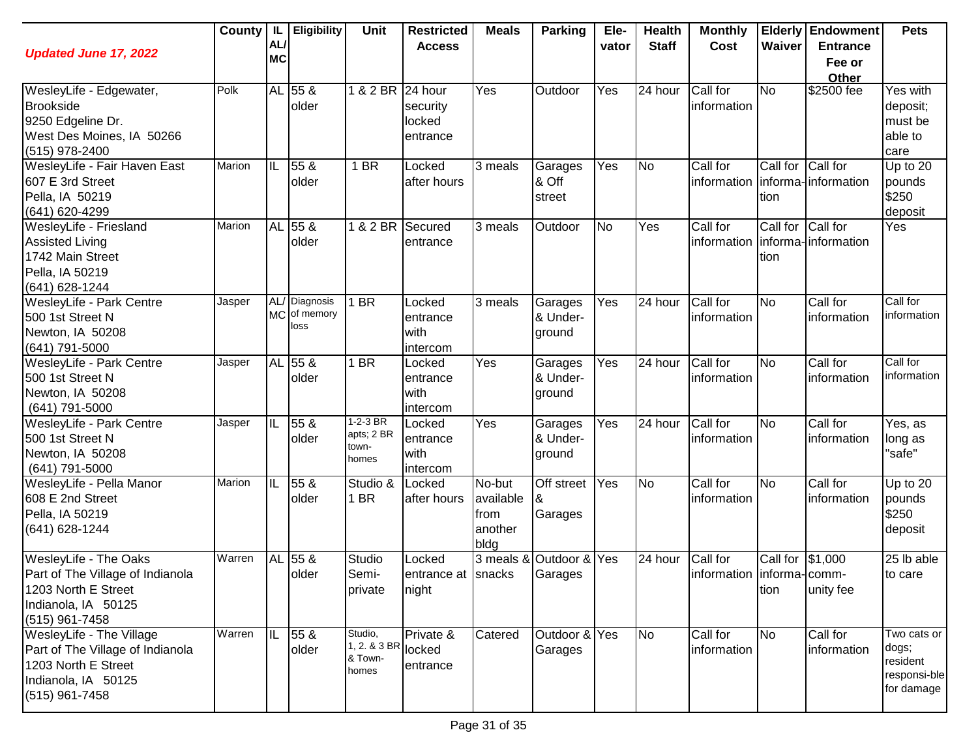| <b>Updated June 17, 2022</b>                                                                                                   | County | IL.<br>AL/<br><b>MC</b> | <b>Eligibility</b>                    | Unit                                               | <b>Restricted</b><br><b>Access</b>     | <b>Meals</b>                                   | Parking                            | Ele-<br>vator | <b>Health</b><br><b>Staff</b> | <b>Monthly</b><br>Cost                      | Waiver           | <b>Elderly Endowment</b><br><b>Entrance</b><br>Fee or<br>Other | <b>Pets</b>                                                    |
|--------------------------------------------------------------------------------------------------------------------------------|--------|-------------------------|---------------------------------------|----------------------------------------------------|----------------------------------------|------------------------------------------------|------------------------------------|---------------|-------------------------------|---------------------------------------------|------------------|----------------------------------------------------------------|----------------------------------------------------------------|
| WesleyLife - Edgewater,<br><b>Brookside</b><br>9250 Edgeline Dr.<br>West Des Moines, IA 50266<br>(515) 978-2400                | Polk   |                         | AL 55 &<br>older                      | 1 & 2 BR 24 hour                                   | security<br>locked<br>entrance         | Yes                                            | Outdoor                            | Yes           | 24 hour                       | Call for<br>information                     | <b>No</b>        | \$2500 fee                                                     | Yes with<br>deposit;<br>must be<br>able to<br>care             |
| WesleyLife - Fair Haven East<br>607 E 3rd Street<br>Pella, IA 50219<br>(641) 620-4299                                          | Marion | IIL                     | 55 <sub>8</sub><br>older              | 1 BR                                               | Locked<br>after hours                  | $\overline{3}$ meals                           | Garages<br>& Off<br>street         | Yes           | <b>No</b>                     | Call for<br>information informa-information | Call for<br>tion | Call for                                                       | Up to $20$<br>pounds<br>\$250<br>deposit                       |
| WesleyLife - Friesland<br><b>Assisted Living</b><br>1742 Main Street<br>Pella, IA 50219<br>(641) 628-1244                      | Marion |                         | AL 55 &<br>older                      | 1 & 2 BR                                           | Secured<br>entrance                    | 3 meals                                        | Outdoor                            | No            | Yes                           | Call for<br>information                     | Call for<br>tion | Call for<br>informa-information                                | Yes                                                            |
| WesleyLife - Park Centre<br>500 1st Street N<br>Newton, IA 50208<br>(641) 791-5000                                             | Jasper |                         | AL/ Diagnosis<br>MC of memory<br>loss | <b>BR</b>                                          | Locked<br>entrance<br>with<br>intercom | 3 meals                                        | Garages<br>& Under-<br>ground      | Yes           | 24 hour                       | Call for<br>information                     | <b>No</b>        | Call for<br>information                                        | Call for<br>information                                        |
| WesleyLife - Park Centre<br>500 1st Street N<br>Newton, IA 50208<br>(641) 791-5000                                             | Jasper |                         | AL 55 &<br>older                      | 1 BR                                               | Locked<br>entrance<br>with<br>intercom | Yes                                            | Garages<br>& Under-<br>ground      | Yes           | 24 hour                       | Call for<br>information                     | <b>No</b>        | Call for<br>information                                        | Call for<br>information                                        |
| WesleyLife - Park Centre<br>500 1st Street N<br>Newton, IA 50208<br>(641) 791-5000                                             | Jasper | ℼ                       | 55 <sub>8</sub><br>older              | $1-2-3$ BR<br>apts; 2 BR<br>town-<br>homes         | Locked<br>entrance<br>with<br>intercom | Yes                                            | Garages<br>& Under-<br>ground      | Yes           | 24 hour                       | Call for<br>information                     | <b>No</b>        | Call for<br>information                                        | Yes, as<br>long as<br>"safe"                                   |
| WesleyLife - Pella Manor<br>608 E 2nd Street<br>Pella, IA 50219<br>(641) 628-1244                                              | Marion | ΙIΓ                     | 55 &<br>older                         | Studio &<br>1 BR                                   | Locked<br>after hours                  | No-but<br>available<br>from<br>another<br>bldg | Off street<br>&<br>Garages         | Yes           | <b>No</b>                     | Call for<br>information                     | <b>No</b>        | Call for<br>information                                        | Up to $20$<br>pounds<br>\$250<br>deposit                       |
| WesleyLife - The Oaks<br>Part of The Village of Indianola<br>1203 North E Street<br>Indianola, IA 50125<br>$(515)$ 961-7458    | Warren |                         | AL 55 &<br>older                      | Studio<br>Semi-<br>private                         | Locked<br>entrance at snacks<br>night  |                                                | 3 meals & Outdoor & Yes<br>Garages |               | 24 hour                       | Call for<br>information informa-comm-       | Call for<br>tion | \$1,000<br>unity fee                                           | 25 lb able<br>to care                                          |
| WesleyLife - The Village<br>Part of The Village of Indianola<br>1203 North E Street<br>Indianola, IA 50125<br>$(515)$ 961-7458 | Warren | IIL                     | 55 &<br>older                         | Studio,<br>1, 2. & 3 BR locked<br>& Town-<br>homes | Private &<br>entrance                  | Catered                                        | Outdoor & Yes<br>Garages           |               | N <sub>o</sub>                | Call for<br>information                     | <b>No</b>        | Call for<br>information                                        | Two cats or<br>dogs;<br>resident<br>responsi-ble<br>for damage |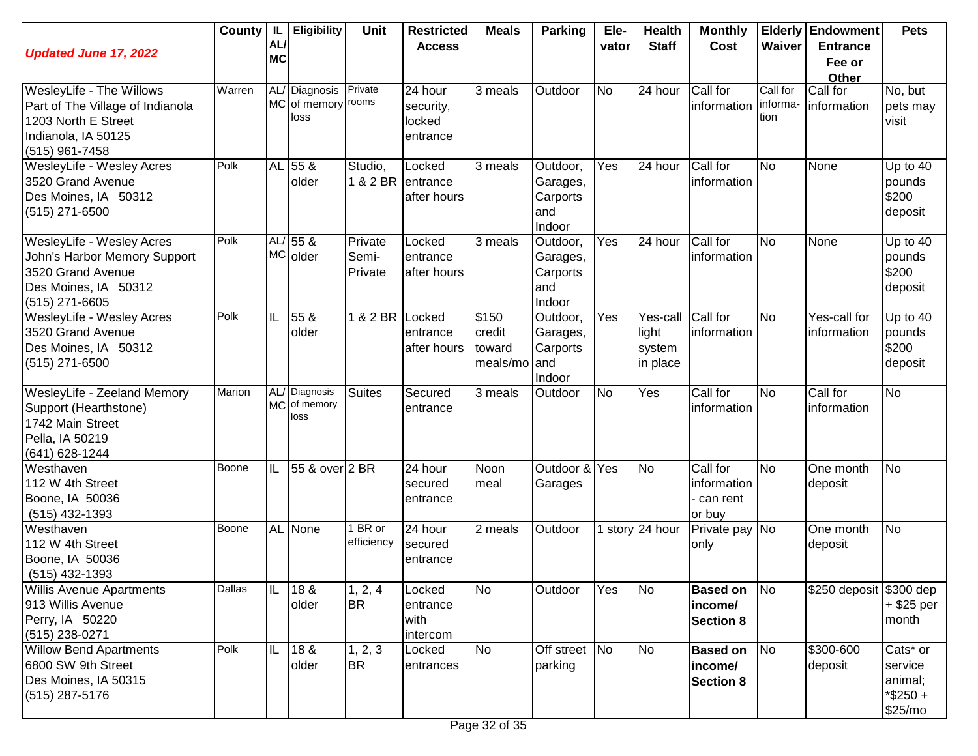| <b>Updated June 17, 2022</b>                                                                                                   |        | AL/<br><b>MC</b> | County   IL   Eligibility                           | <b>Unit</b>                  | <b>Restricted</b><br><b>Access</b>                  | <b>Meals</b>                                        | <b>Parking</b>                                     | Ele-<br>vator | <b>Health</b><br><b>Staff</b>           | <b>Monthly</b><br>Cost                         | Waiver                       | <b>Elderly Endowment</b><br><b>Entrance</b><br>Fee or<br>Other | <b>Pets</b>                                              |
|--------------------------------------------------------------------------------------------------------------------------------|--------|------------------|-----------------------------------------------------|------------------------------|-----------------------------------------------------|-----------------------------------------------------|----------------------------------------------------|---------------|-----------------------------------------|------------------------------------------------|------------------------------|----------------------------------------------------------------|----------------------------------------------------------|
| WesleyLife - The Willows<br>Part of The Village of Indianola<br>1203 North E Street<br>Indianola, IA 50125<br>$(515)$ 961-7458 | Warren |                  | AL/ Diagnosis Private<br>MC of memory rooms<br>loss |                              | $\sqrt{24}$ hour<br>security,<br>locked<br>entrance | 3 meals                                             | Outdoor                                            | <b>No</b>     | 24 hour                                 | Call for<br>information                        | Call for<br>informa-<br>tion | Call for<br>information                                        | No, but<br>pets may<br>visit                             |
| <b>WesleyLife - Wesley Acres</b><br>3520 Grand Avenue<br>Des Moines, IA 50312<br>(515) 271-6500                                | Polk   |                  | AL 55 &<br>older                                    | Studio,<br>1 & 2 BR entrance | Locked<br>after hours                               | 3 meals                                             | Outdoor,<br>Garages,<br>Carports<br>and<br>Indoor  | Yes           | 24 hour                                 | Call for<br>information                        | <b>No</b>                    | None                                                           | Up to $40$<br>pounds<br>\$200<br>deposit                 |
| WesleyLife - Wesley Acres<br>John's Harbor Memory Support<br>3520 Grand Avenue<br>Des Moines, IA 50312<br>(515) 271-6605       | Polk   |                  | $AL/55$ &<br>MC older                               | Private<br>Semi-<br>Private  | Locked<br>entrance<br>after hours                   | 3 meals                                             | Outdoor,<br>Garages,<br>Carports<br>and<br>Indoor  | Yes           | 24 hour                                 | Call for<br>information                        | <b>No</b>                    | None                                                           | Up to 40<br>pounds<br>\$200<br>deposit                   |
| WesleyLife - Wesley Acres<br>3520 Grand Avenue<br>Des Moines, IA 50312<br>(515) 271-6500                                       | Polk   | IL               | 55 &<br>older                                       | 1 & 2 BR                     | Locked<br>entrance<br>after hours                   | $\overline{\$}$ 150<br>credit<br>toward<br>meals/mo | Outdoor,<br>Garages,<br>Carports<br>land<br>Indoor | Yes           | Yes-call<br>light<br>system<br>in place | Call for<br>information                        | <b>No</b>                    | Yes-call for<br>information                                    | Up to $40$<br>pounds<br>\$200<br>deposit                 |
| WesleyLife - Zeeland Memory<br>Support (Hearthstone)<br>1742 Main Street<br>Pella, IA 50219<br>(641) 628-1244                  | Marion |                  | AL/ Diagnosis<br>MC of memory<br>loss               | <b>Suites</b>                | Secured<br>entrance                                 | 3 meals                                             | Outdoor                                            | <b>No</b>     | Yes                                     | Call for<br>information                        | <b>No</b>                    | Call for<br>information                                        | <b>No</b>                                                |
| Westhaven<br>112 W 4th Street<br>Boone, IA 50036<br>$(515)$ 432-1393                                                           | Boone  | IL               | 55 & over 2 BR                                      |                              | 24 hour<br>secured<br>entrance                      | Noon<br>meal                                        | Outdoor & Yes<br>Garages                           |               | No                                      | Call for<br>information<br>can rent<br>or buy  | <b>No</b>                    | One month<br>deposit                                           | <b>No</b>                                                |
| Westhaven<br>112 W 4th Street<br>Boone, IA 50036<br>$(515)$ 432-1393                                                           | Boone  |                  | <b>AL</b> None                                      | 1 BR or<br>efficiency        | 24 hour<br>secured<br>entrance                      | 2 meals                                             | Outdoor                                            |               | 1 story $\sqrt{24}$ hour                | Private pay No<br>only                         |                              | One month<br>deposit                                           | No                                                       |
| <b>Willis Avenue Apartments</b><br>913 Willis Avenue<br>Perry, IA 50220<br>(515) 238-0271                                      | Dallas | IIL              | 18 &<br>older                                       | 1, 2, 4<br><b>BR</b>         | Locked<br>entrance<br>with<br>intercom              | No                                                  | Outdoor                                            | Yes           | No                                      | <b>Based on</b><br>income/<br><b>Section 8</b> | No                           | \$250 deposit \$300 dep                                        | $+$ \$25 per<br>month                                    |
| <b>Willow Bend Apartments</b><br>6800 SW 9th Street<br>Des Moines, IA 50315<br>$(515)$ 287-5176                                | Polk   | IL               | 18 &<br>older                                       | 1, 2, 3<br><b>BR</b>         | Locked<br>entrances                                 | <b>No</b>                                           | Off street No<br>parking                           |               | No                                      | <b>Based on</b><br>income/<br><b>Section 8</b> | <b>No</b>                    | \$300-600<br>deposit                                           | Cats* or<br>service<br>animal;<br>$*$ \$250 +<br>\$25/mo |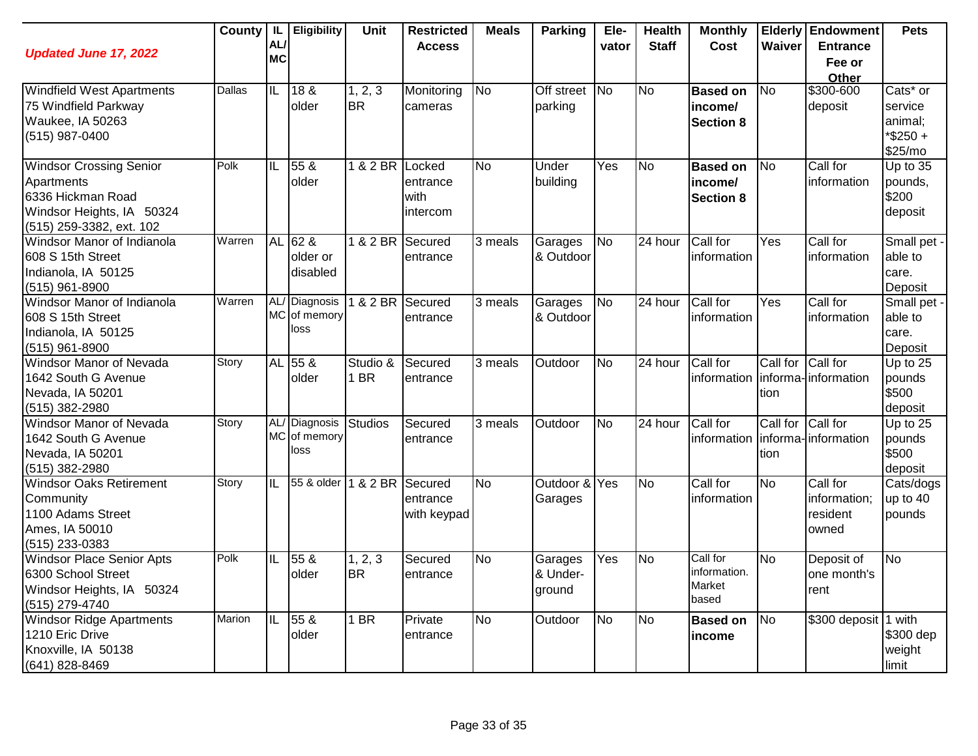| <b>Updated June 17, 2022</b>                   | <b>County</b> | IL<br>AL/ | <b>Eligibility</b>            | <b>Unit</b>          | <b>Restricted</b><br><b>Access</b> | <b>Meals</b>   | <b>Parking</b>    | Ele-<br>vator          | <b>Health</b><br><b>Staff</b> | <b>Monthly</b><br>Cost | Waiver    | <b>Elderly Endowment</b><br><b>Entrance</b> | <b>Pets</b>            |
|------------------------------------------------|---------------|-----------|-------------------------------|----------------------|------------------------------------|----------------|-------------------|------------------------|-------------------------------|------------------------|-----------|---------------------------------------------|------------------------|
|                                                |               | <b>MC</b> |                               |                      |                                    |                |                   |                        |                               |                        |           | Fee or<br>Other                             |                        |
| <b>Windfield West Apartments</b>               | Dallas        | IL        | 18 &                          | 1, 2, 3              | Monitoring                         | N <sub>o</sub> | <b>Off street</b> | <b>INo</b>             | N <sub>o</sub>                | <b>Based on</b>        | No        | \$300-600                                   | Cats* or               |
| 75 Windfield Parkway                           |               |           | older                         | <b>BR</b>            | cameras                            |                | parking           |                        |                               | income/                |           | deposit                                     | service                |
| Waukee, IA 50263                               |               |           |                               |                      |                                    |                |                   |                        |                               | <b>Section 8</b>       |           |                                             | animal;                |
| (515) 987-0400                                 |               |           |                               |                      |                                    |                |                   |                        |                               |                        |           |                                             | *\$250+<br>\$25/mo     |
| <b>Windsor Crossing Senior</b>                 | Polk          | IL        | 55 &                          | 1 & 2 BR Locked      |                                    | <b>No</b>      | Under             | Yes                    | <b>No</b>                     | <b>Based on</b>        | <b>No</b> | Call for                                    | Up to 35               |
| Apartments                                     |               |           | older                         |                      | entrance                           |                | building          |                        |                               | income/                |           | information                                 | pounds,                |
| 6336 Hickman Road                              |               |           |                               |                      | with                               |                |                   |                        |                               | <b>Section 8</b>       |           |                                             | \$200                  |
| Windsor Heights, IA 50324                      |               |           |                               |                      | intercom                           |                |                   |                        |                               |                        |           |                                             | deposit                |
| (515) 259-3382, ext. 102                       |               |           |                               |                      |                                    |                |                   |                        |                               |                        |           |                                             |                        |
| Windsor Manor of Indianola                     | Warren        |           | AL 62 &                       | 1 & 2 BR             | Secured                            | 3 meals        | Garages           | No                     | 24 hour                       | Call for               | Yes       | Call for                                    | Small pet -            |
| 608 S 15th Street                              |               |           | older or                      |                      | entrance                           |                | & Outdoor         |                        |                               | information            |           | information                                 | able to                |
| Indianola, IA 50125                            |               |           | disabled                      |                      |                                    |                |                   |                        |                               |                        |           |                                             | care.                  |
| $(515)$ 961-8900<br>Windsor Manor of Indianola | Warren        |           | AL/ Diagnosis                 | $\overline{18}$ 2 BR | Secured                            | 3 meals        | Garages           | <b>No</b>              | 24 hour                       | Call for               | Yes       | Call for                                    | Deposit<br>Small pet - |
| 608 S 15th Street                              |               |           | MC of memory                  |                      | entrance                           |                | & Outdoor         |                        |                               | information            |           | information                                 | able to                |
| Indianola, IA 50125                            |               |           | loss                          |                      |                                    |                |                   |                        |                               |                        |           |                                             | care.                  |
| $(515)$ 961-8900                               |               |           |                               |                      |                                    |                |                   |                        |                               |                        |           |                                             | Deposit                |
| <b>Windsor Manor of Nevada</b>                 | Story         |           | AL 55 &                       | Studio &             | Secured                            | 3 meals        | Outdoor           | <b>No</b>              | 24 hour                       | Call for               | Call for  | Call for                                    | Up to 25               |
| 1642 South G Avenue                            |               |           | older                         | 1 BR                 | entrance                           |                |                   |                        |                               | information            |           | informa-information                         | pounds                 |
| Nevada, IA 50201                               |               |           |                               |                      |                                    |                |                   |                        |                               |                        | tion      |                                             | \$500                  |
| (515) 382-2980                                 |               |           |                               |                      |                                    |                |                   |                        |                               |                        |           |                                             | deposit                |
| Windsor Manor of Nevada                        | Story         |           | AL/ Diagnosis<br>MC of memory | <b>Studios</b>       | Secured                            | 3 meals        | Outdoor           | <b>No</b>              | 24 hour                       | Call for               | Call for  | Call for                                    | Up to 25               |
| 1642 South G Avenue                            |               |           | loss                          |                      | entrance                           |                |                   |                        |                               | information            |           | informa-linformation                        | pounds<br>\$500        |
| Nevada, IA 50201<br>(515) 382-2980             |               |           |                               |                      |                                    |                |                   |                        |                               |                        | tion      |                                             | deposit                |
| <b>Windsor Oaks Retirement</b>                 | Story         | IL        | 55 & older                    | 1 & 2 BR             | <b>T</b> Secured                   | <b>No</b>      | Outdoor & Yes     |                        | N <sub>o</sub>                | Call for               | <b>No</b> | Call for                                    | Cats/dogs              |
| Community                                      |               |           |                               |                      | entrance                           |                | Garages           |                        |                               | information            |           | information;                                | up to 40               |
| 1100 Adams Street                              |               |           |                               |                      | with keypad                        |                |                   |                        |                               |                        |           | resident                                    | pounds                 |
| Ames, IA 50010                                 |               |           |                               |                      |                                    |                |                   |                        |                               |                        |           | owned                                       |                        |
| (515) 233-0383                                 |               |           |                               |                      |                                    |                |                   |                        |                               |                        |           |                                             |                        |
| <b>Windsor Place Senior Apts</b>               | Polk          | IL        | 55 &                          | 1, 2, 3              | Secured                            | <b>No</b>      | Garages           | Yes                    | N <sub>o</sub>                | Call for               | No        | Deposit of                                  | <b>No</b>              |
| 6300 School Street                             |               |           | older                         | <b>BR</b>            | entrance                           |                | & Under-          |                        |                               | information.           |           | one month's                                 |                        |
| Windsor Heights, IA 50324                      |               |           |                               |                      |                                    |                | ground            |                        |                               | Market<br>based        |           | rent                                        |                        |
| (515) 279-4740                                 |               |           |                               |                      |                                    |                |                   |                        |                               |                        |           |                                             |                        |
| <b>Windsor Ridge Apartments</b>                | Marion        | ℿ         | 55 <sub>8</sub>               | $1$ BR               | Private                            | <b>No</b>      | Outdoor           | $\overline{\text{No}}$ | N <sub>o</sub>                | <b>Based on</b>        | <b>No</b> | \$300 deposit 1 with                        |                        |
| 1210 Eric Drive<br>Knoxville, IA 50138         |               |           | older                         |                      | entrance                           |                |                   |                        |                               | income                 |           |                                             | \$300 dep              |
| (641) 828-8469                                 |               |           |                               |                      |                                    |                |                   |                        |                               |                        |           |                                             | weight<br>limit        |
|                                                |               |           |                               |                      |                                    |                |                   |                        |                               |                        |           |                                             |                        |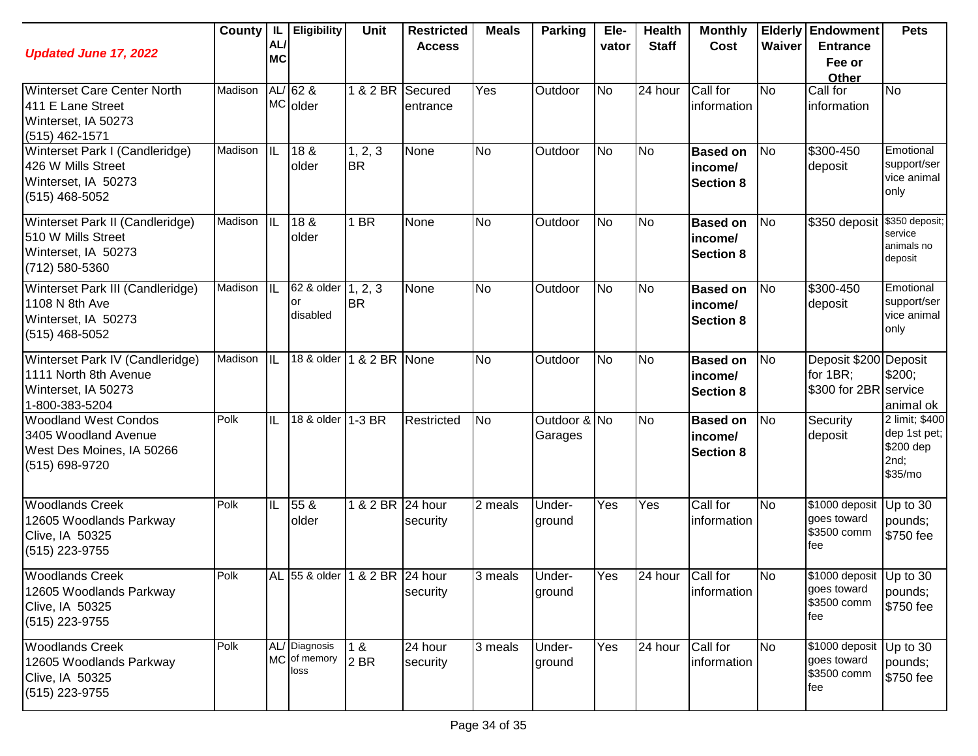| <b>Updated June 17, 2022</b>                                                                       | County  | AL/<br><b>MC</b>       | IL   Eligibility                      | Unit                           | <b>Restricted</b><br><b>Access</b> | <b>Meals</b> | <b>Parking</b>          | Ele-<br>vator  | <b>Health</b><br><b>Staff</b> | <b>Monthly</b><br>Cost                         | Waiver         | <b>Elderly Endowment</b><br><b>Entrance</b><br>Fee or<br>Other | <b>Pets</b>                                                    |
|----------------------------------------------------------------------------------------------------|---------|------------------------|---------------------------------------|--------------------------------|------------------------------------|--------------|-------------------------|----------------|-------------------------------|------------------------------------------------|----------------|----------------------------------------------------------------|----------------------------------------------------------------|
| <b>Winterset Care Center North</b><br>411 E Lane Street<br>Winterset, IA 50273<br>(515) 462-1571   | Madison |                        | $AL/62$ &<br>MC older                 | 1 & 2 BR                       | Secured<br>entrance                | Yes          | Outdoor                 | <b>No</b>      | 24 hour                       | Call for<br>information                        | <b>No</b>      | Call for<br>information                                        | No                                                             |
| Winterset Park I (Candleridge)<br>426 W Mills Street<br>Winterset, IA 50273<br>$(515)$ 468-5052    | Madison | $\overline{\text{IL}}$ | 18 <sub>8</sub><br>older              | 1, 2, 3<br><b>BR</b>           | None                               | <b>No</b>    | Outdoor                 | $\overline{N}$ | <b>No</b>                     | <b>Based on</b><br>income/<br><b>Section 8</b> | N <sub>o</sub> | \$300-450<br>deposit                                           | Emotional<br>support/ser<br>vice animal<br>only                |
| Winterset Park II (Candleridge)<br>510 W Mills Street<br>Winterset, IA 50273<br>(712) 580-5360     | Madison | lil                    | 18 &<br>older                         | 1 BR                           | None                               | <b>No</b>    | Outdoor                 | <b>No</b>      | <b>No</b>                     | <b>Based on</b><br>income/<br><b>Section 8</b> | <b>No</b>      | \$350 deposit                                                  | \$350 deposit;<br>service<br>animals no<br>deposit             |
| Winterset Park III (Candleridge)<br>1108 N 8th Ave<br>Winterset, IA 50273<br>$(515)$ 468-5052      | Madison | <b>IIL</b>             | 62 & older<br>or<br>disabled          | 1, 2, 3<br><b>BR</b>           | None                               | <b>No</b>    | Outdoor                 | <b>No</b>      | N <sub>o</sub>                | <b>Based on</b><br>income/<br><b>Section 8</b> | N <sub>o</sub> | \$300-450<br>deposit                                           | Emotional<br>support/ser<br>vice animal<br>only                |
| Winterset Park IV (Candleridge)<br>1111 North 8th Avenue<br>Winterset, IA 50273<br>1-800-383-5204  | Madison | <b>IIL</b>             |                                       | 18 & older 1 & 2 BR None       |                                    | <b>No</b>    | Outdoor                 | <b>No</b>      | <b>No</b>                     | <b>Based on</b><br>income/<br><b>Section 8</b> | N <sub>o</sub> | Deposit \$200 Deposit<br>for 1BR:<br>\$300 for 2BR service     | \$200;<br>animal ok                                            |
| <b>Woodland West Condos</b><br>3405 Woodland Avenue<br>West Des Moines, IA 50266<br>(515) 698-9720 | Polk    | IL                     | 18 & older 1-3 BR                     |                                | Restricted                         | <b>No</b>    | Outdoor & No<br>Garages |                | <b>No</b>                     | <b>Based on</b><br>income/<br><b>Section 8</b> | No             | Security<br>deposit                                            | 2 limit; \$400<br>dep 1st pet;<br>\$200 dep<br>2nd;<br>\$35/mo |
| <b>Woodlands Creek</b><br>12605 Woodlands Parkway<br>Clive, IA 50325<br>(515) 223-9755             | Polk    | IL                     | 55 &<br>older                         | 1 & 2 BR                       | 24 hour<br>security                | 2 meals      | Under-<br>ground        | Yes            | Yes                           | Call for<br>information                        | <b>No</b>      | \$1000 deposit<br>goes toward<br>\$3500 comm<br>fee            | Up to 30<br>pounds;<br>\$750 fee                               |
| <b>Woodlands Creek</b><br>12605 Woodlands Parkway<br>Clive, IA 50325<br>(515) 223-9755             | Polk    |                        |                                       | AL 55 & older 1 & 2 BR 24 hour | security                           | 3 meals      | Under-<br>ground        | Yes            | 24 hour Call for              | information                                    | No             | \$1000 deposit Up to 30<br>goes toward<br>\$3500 comm<br>fee   | pounds;<br>\$750 fee                                           |
| <b>Woodlands Creek</b><br>12605 Woodlands Parkway<br>Clive, IA 50325<br>(515) 223-9755             | Polk    |                        | AL/ Diagnosis<br>MC of memory<br>loss | 1 &<br>2 <sub>BR</sub>         | 24 hour<br>security                | 3 meals      | Under-<br>ground        | Yes            | 24 hour                       | Call for<br>information                        | <b>No</b>      | \$1000 deposit<br>goes toward<br>\$3500 comm<br>fee            | Up to 30<br>pounds;<br>\$750 fee                               |